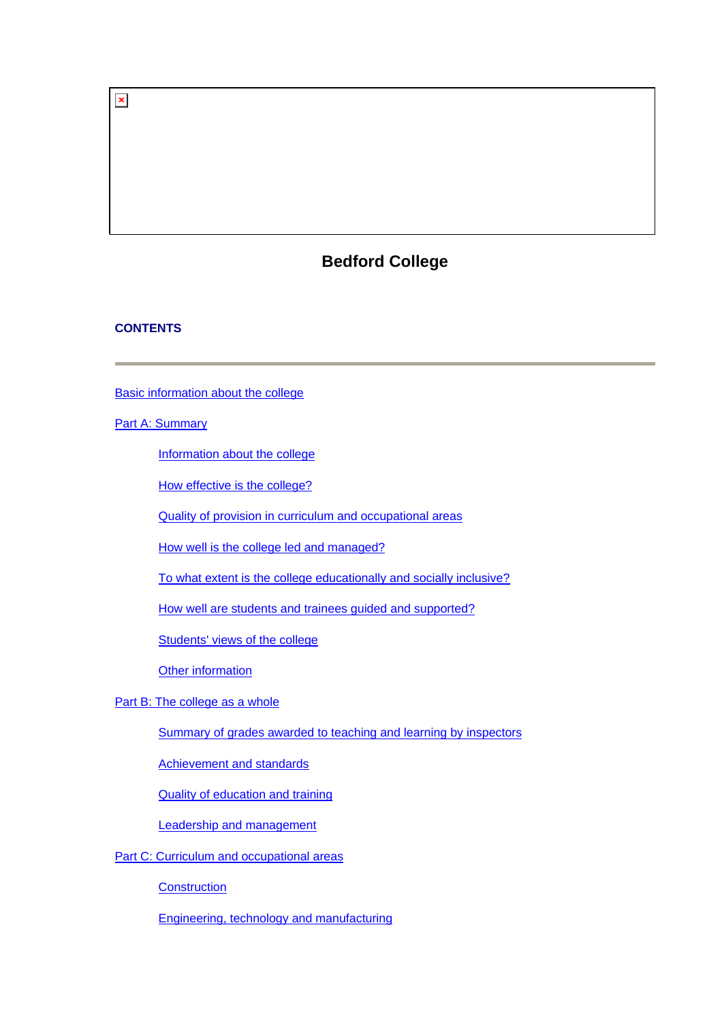# **Bedford College**

# **CONTENTS**

 $\pmb{\times}$ 

[Basic information about the college](#page-1-0)

# [Part A: Summary](#page-1-0)

[Information about the college](#page-2-0)

[How effective is the college?](#page-2-0)

[Quality of provision in curriculum and occupational areas](#page-4-0)

[How well is the college led and managed?](#page-5-0)

[To what extent is the college educationally and socially inclusive?](#page-6-0)

[How well are students and trainees guided and supported?](#page-6-0)

[Students' views of the college](#page-6-0)

[Other information](#page-8-0)

[Part B: The college as a whole](#page-8-0)

[Summary of grades awarded to teaching and learning by inspectors](#page-8-0)

[Achievement and standards](#page-8-0)

[Quality of education and training](#page-10-0)

[Leadership and management](#page-14-0)

[Part C: Curriculum and occupational areas](#page-16-0)

**[Construction](#page-16-0)** 

[Engineering, technology and manufacturing](#page-19-0)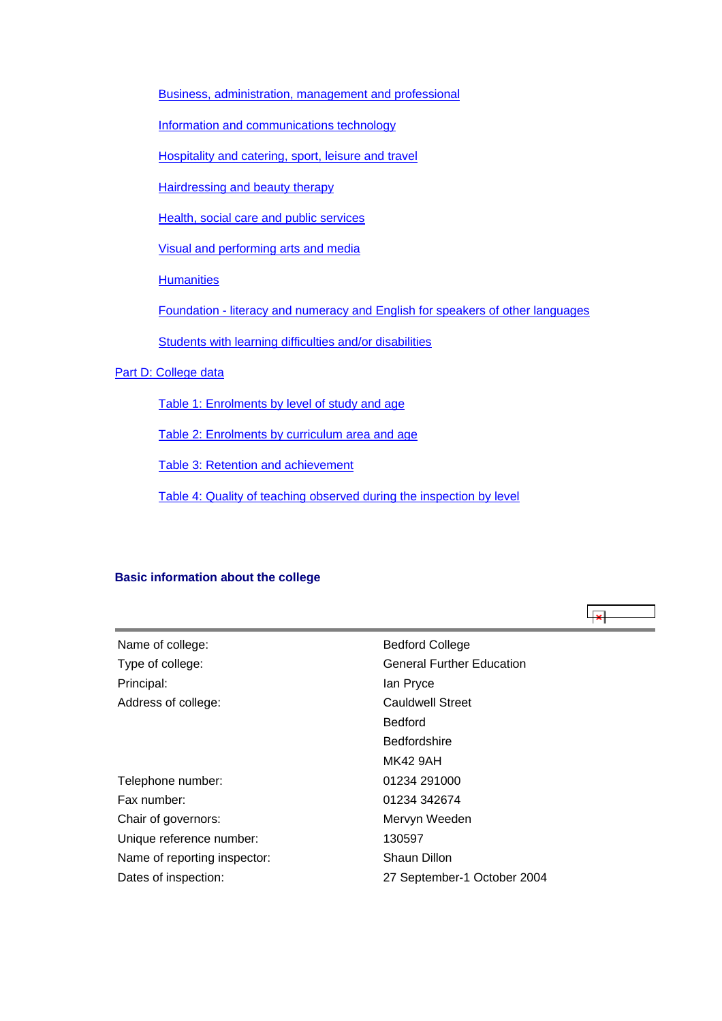<span id="page-1-0"></span>[Business, administration, management and professional](#page-22-0)

[Information and communications technology](#page-25-0)

[Hospitality and catering, sport, leisure and travel](#page-28-0)

[Hairdressing and beauty therapy](#page-31-0)

[Health, social care and public services](#page-34-0)

[Visual and performing arts and media](#page-37-0)

**[Humanities](#page-39-0)** 

[Foundation - literacy and numeracy and English for speakers of other languages](#page-42-0)

[Students with learning difficulties and/or disabilities](#page-44-0)

# [Part D: College data](#page-47-0)

[Table 1: Enrolments by level of study and age](#page-47-0)

[Table 2: Enrolments by curriculum area and age](#page-48-0)

[Table 3: Retention and achievement](#page-48-0)

[Table 4: Quality of teaching observed during the inspection by level](#page-49-0)

⊩یجا

#### **Basic information about the college**

| Name of college:             | <b>Bedford College</b>           |
|------------------------------|----------------------------------|
| Type of college:             | <b>General Further Education</b> |
| Principal:                   | lan Pryce                        |
| Address of college:          | Cauldwell Street                 |
|                              | <b>Bedford</b>                   |
|                              | <b>Bedfordshire</b>              |
|                              | MK42 9AH                         |
| Telephone number:            | 01234 291000                     |
| Fax number:                  | 01234 342674                     |
| Chair of governors:          | Mervyn Weeden                    |
| Unique reference number:     | 130597                           |
| Name of reporting inspector: | Shaun Dillon                     |
| Dates of inspection:         | 27 September-1 October 2004      |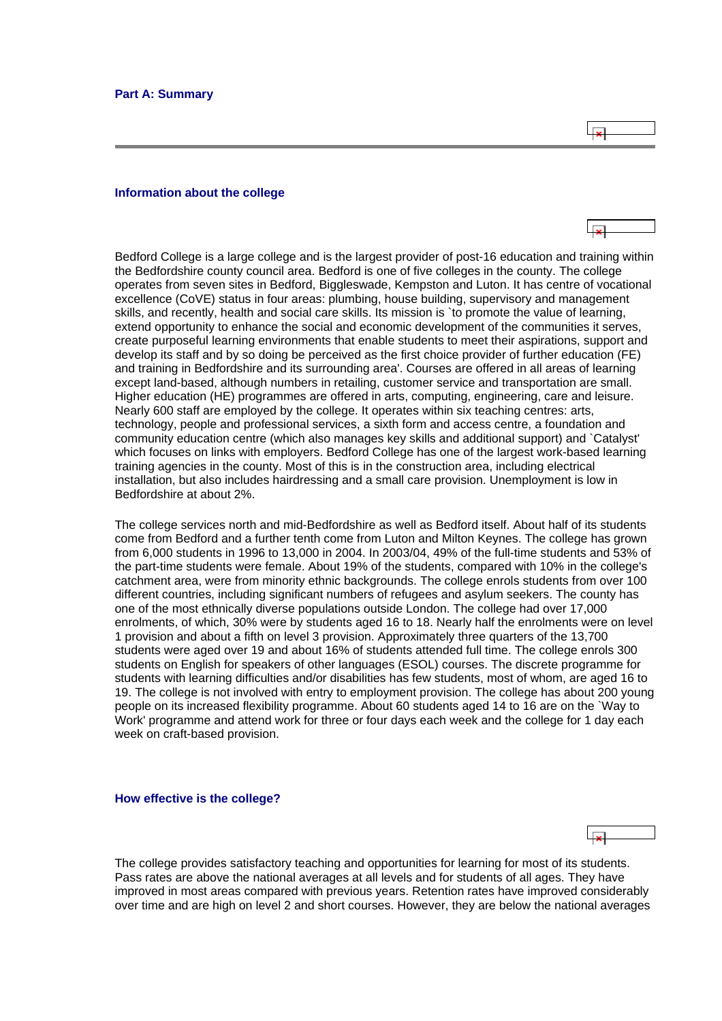$\overline{R}$ 

#### <span id="page-2-0"></span>**Information about the college**

Bedford College is a large college and is the largest provider of post-16 education and training within the Bedfordshire county council area. Bedford is one of five colleges in the county. The college operates from seven sites in Bedford, Biggleswade, Kempston and Luton. It has centre of vocational excellence (CoVE) status in four areas: plumbing, house building, supervisory and management skills, and recently, health and social care skills. Its mission is `to promote the value of learning, extend opportunity to enhance the social and economic development of the communities it serves, create purposeful learning environments that enable students to meet their aspirations, support and develop its staff and by so doing be perceived as the first choice provider of further education (FE) and training in Bedfordshire and its surrounding area'. Courses are offered in all areas of learning except land-based, although numbers in retailing, customer service and transportation are small. Higher education (HE) programmes are offered in arts, computing, engineering, care and leisure. Nearly 600 staff are employed by the college. It operates within six teaching centres: arts, technology, people and professional services, a sixth form and access centre, a foundation and community education centre (which also manages key skills and additional support) and `Catalyst' which focuses on links with employers. Bedford College has one of the largest work-based learning training agencies in the county. Most of this is in the construction area, including electrical installation, but also includes hairdressing and a small care provision. Unemployment is low in Bedfordshire at about 2%.

The college services north and mid-Bedfordshire as well as Bedford itself. About half of its students come from Bedford and a further tenth come from Luton and Milton Keynes. The college has grown from 6,000 students in 1996 to 13,000 in 2004. In 2003/04, 49% of the full-time students and 53% of the part-time students were female. About 19% of the students, compared with 10% in the college's catchment area, were from minority ethnic backgrounds. The college enrols students from over 100 different countries, including significant numbers of refugees and asylum seekers. The county has one of the most ethnically diverse populations outside London. The college had over 17,000 enrolments, of which, 30% were by students aged 16 to 18. Nearly half the enrolments were on level 1 provision and about a fifth on level 3 provision. Approximately three quarters of the 13,700 students were aged over 19 and about 16% of students attended full time. The college enrols 300 students on English for speakers of other languages (ESOL) courses. The discrete programme for students with learning difficulties and/or disabilities has few students, most of whom, are aged 16 to 19. The college is not involved with entry to employment provision. The college has about 200 young people on its increased flexibility programme. About 60 students aged 14 to 16 are on the `Way to Work' programme and attend work for three or four days each week and the college for 1 day each week on craft-based provision.

#### **How effective is the college?**

The college provides satisfactory teaching and opportunities for learning for most of its students. Pass rates are above the national averages at all levels and for students of all ages. They have improved in most areas compared with previous years. Retention rates have improved considerably over time and are high on level 2 and short courses. However, they are below the national averages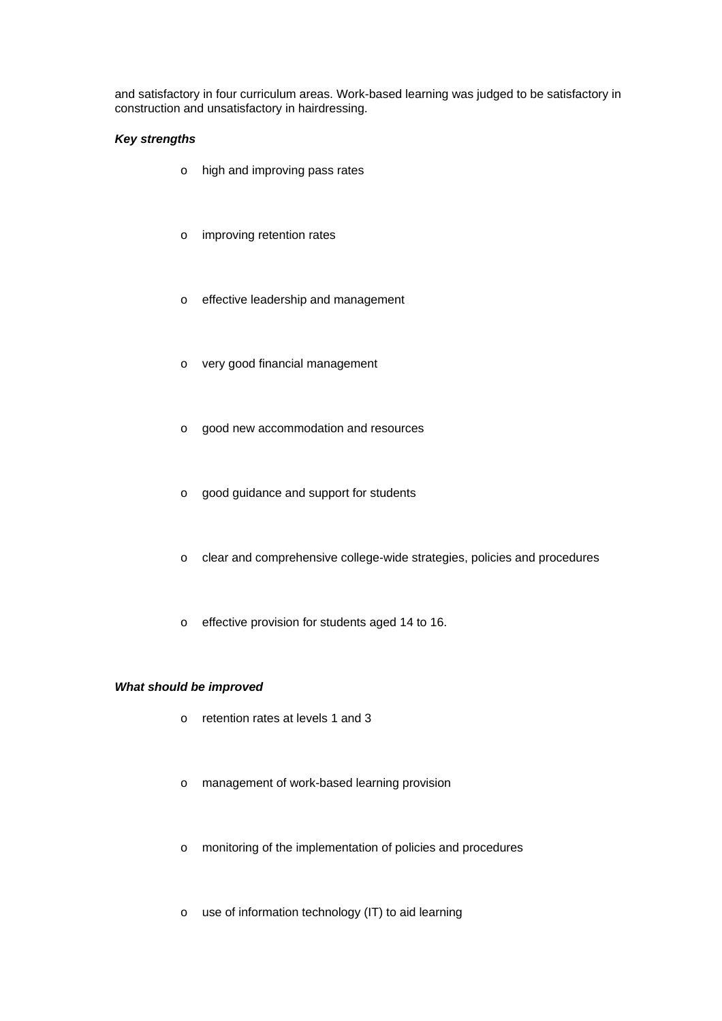and satisfactory in four curriculum areas. Work-based learning was judged to be satisfactory in construction and unsatisfactory in hairdressing.

# *Key strengths*

- o high and improving pass rates
- o improving retention rates
- o effective leadership and management
- o very good financial management
- o good new accommodation and resources
- o good guidance and support for students
- o clear and comprehensive college-wide strategies, policies and procedures
- o effective provision for students aged 14 to 16.

# *What should be improved*

- o retention rates at levels 1 and 3
- o management of work-based learning provision
- o monitoring of the implementation of policies and procedures
- o use of information technology (IT) to aid learning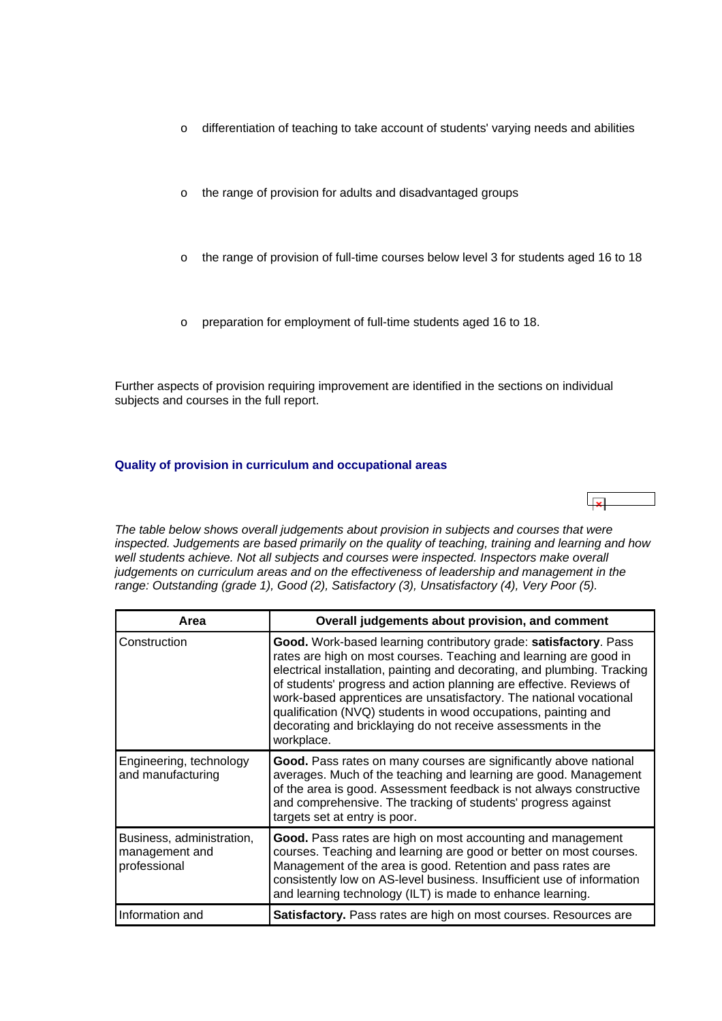- <span id="page-4-0"></span>o differentiation of teaching to take account of students' varying needs and abilities
- o the range of provision for adults and disadvantaged groups
- o the range of provision of full-time courses below level 3 for students aged 16 to 18
- o preparation for employment of full-time students aged 16 to 18.

Further aspects of provision requiring improvement are identified in the sections on individual subjects and courses in the full report.

# **Quality of provision in curriculum and occupational areas**

*The table below shows overall judgements about provision in subjects and courses that were inspected. Judgements are based primarily on the quality of teaching, training and learning and how*  well students achieve. Not all subjects and courses were inspected. Inspectors make overall *judgements on curriculum areas and on the effectiveness of leadership and management in the range: Outstanding (grade 1), Good (2), Satisfactory (3), Unsatisfactory (4), Very Poor (5).*

| Area                                                        | Overall judgements about provision, and comment                                                                                                                                                                                                                                                                                                                                                                                                                                                                |
|-------------------------------------------------------------|----------------------------------------------------------------------------------------------------------------------------------------------------------------------------------------------------------------------------------------------------------------------------------------------------------------------------------------------------------------------------------------------------------------------------------------------------------------------------------------------------------------|
| Construction                                                | Good. Work-based learning contributory grade: satisfactory. Pass<br>rates are high on most courses. Teaching and learning are good in<br>electrical installation, painting and decorating, and plumbing. Tracking<br>of students' progress and action planning are effective. Reviews of<br>work-based apprentices are unsatisfactory. The national vocational<br>qualification (NVQ) students in wood occupations, painting and<br>decorating and bricklaying do not receive assessments in the<br>workplace. |
| Engineering, technology<br>and manufacturing                | Good. Pass rates on many courses are significantly above national<br>averages. Much of the teaching and learning are good. Management<br>of the area is good. Assessment feedback is not always constructive<br>and comprehensive. The tracking of students' progress against<br>targets set at entry is poor.                                                                                                                                                                                                 |
| Business, administration,<br>management and<br>professional | Good. Pass rates are high on most accounting and management<br>courses. Teaching and learning are good or better on most courses.<br>Management of the area is good. Retention and pass rates are<br>consistently low on AS-level business. Insufficient use of information<br>and learning technology (ILT) is made to enhance learning.                                                                                                                                                                      |
| Information and                                             | <b>Satisfactory.</b> Pass rates are high on most courses. Resources are                                                                                                                                                                                                                                                                                                                                                                                                                                        |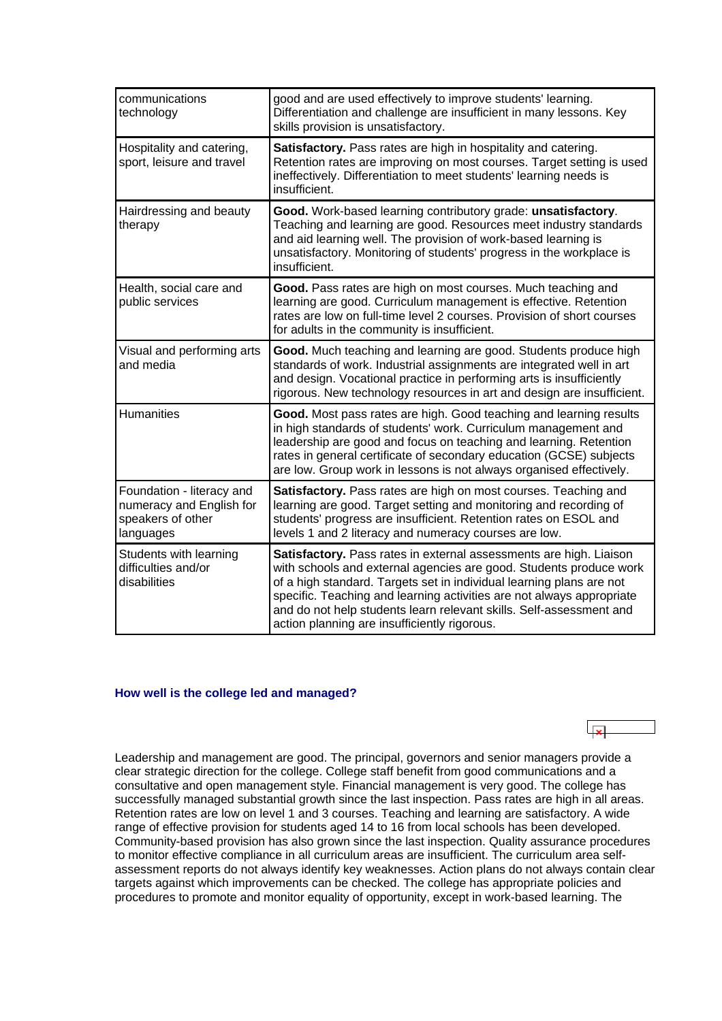<span id="page-5-0"></span>

| communications<br>technology                                                            | good and are used effectively to improve students' learning.<br>Differentiation and challenge are insufficient in many lessons. Key<br>skills provision is unsatisfactory.                                                                                                                                                                                                                                       |
|-----------------------------------------------------------------------------------------|------------------------------------------------------------------------------------------------------------------------------------------------------------------------------------------------------------------------------------------------------------------------------------------------------------------------------------------------------------------------------------------------------------------|
| Hospitality and catering,<br>sport, leisure and travel                                  | Satisfactory. Pass rates are high in hospitality and catering.<br>Retention rates are improving on most courses. Target setting is used<br>ineffectively. Differentiation to meet students' learning needs is<br>insufficient.                                                                                                                                                                                   |
| Hairdressing and beauty<br>therapy                                                      | Good. Work-based learning contributory grade: unsatisfactory.<br>Teaching and learning are good. Resources meet industry standards<br>and aid learning well. The provision of work-based learning is<br>unsatisfactory. Monitoring of students' progress in the workplace is<br>insufficient.                                                                                                                    |
| Health, social care and<br>public services                                              | Good. Pass rates are high on most courses. Much teaching and<br>learning are good. Curriculum management is effective. Retention<br>rates are low on full-time level 2 courses. Provision of short courses<br>for adults in the community is insufficient.                                                                                                                                                       |
| Visual and performing arts<br>and media                                                 | Good. Much teaching and learning are good. Students produce high<br>standards of work. Industrial assignments are integrated well in art<br>and design. Vocational practice in performing arts is insufficiently<br>rigorous. New technology resources in art and design are insufficient.                                                                                                                       |
| <b>Humanities</b>                                                                       | Good. Most pass rates are high. Good teaching and learning results<br>in high standards of students' work. Curriculum management and<br>leadership are good and focus on teaching and learning. Retention<br>rates in general certificate of secondary education (GCSE) subjects<br>are low. Group work in lessons is not always organised effectively.                                                          |
| Foundation - literacy and<br>numeracy and English for<br>speakers of other<br>languages | Satisfactory. Pass rates are high on most courses. Teaching and<br>learning are good. Target setting and monitoring and recording of<br>students' progress are insufficient. Retention rates on ESOL and<br>levels 1 and 2 literacy and numeracy courses are low.                                                                                                                                                |
| Students with learning<br>difficulties and/or<br>disabilities                           | Satisfactory. Pass rates in external assessments are high. Liaison<br>with schools and external agencies are good. Students produce work<br>of a high standard. Targets set in individual learning plans are not<br>specific. Teaching and learning activities are not always appropriate<br>and do not help students learn relevant skills. Self-assessment and<br>action planning are insufficiently rigorous. |

#### **How well is the college led and managed?**

Leadership and management are good. The principal, governors and senior managers provide a clear strategic direction for the college. College staff benefit from good communications and a consultative and open management style. Financial management is very good. The college has successfully managed substantial growth since the last inspection. Pass rates are high in all areas. Retention rates are low on level 1 and 3 courses. Teaching and learning are satisfactory. A wide range of effective provision for students aged 14 to 16 from local schools has been developed. Community-based provision has also grown since the last inspection. Quality assurance procedures to monitor effective compliance in all curriculum areas are insufficient. The curriculum area selfassessment reports do not always identify key weaknesses. Action plans do not always contain clear targets against which improvements can be checked. The college has appropriate policies and procedures to promote and monitor equality of opportunity, except in work-based learning. The

 $\overline{\mathbf{L}}$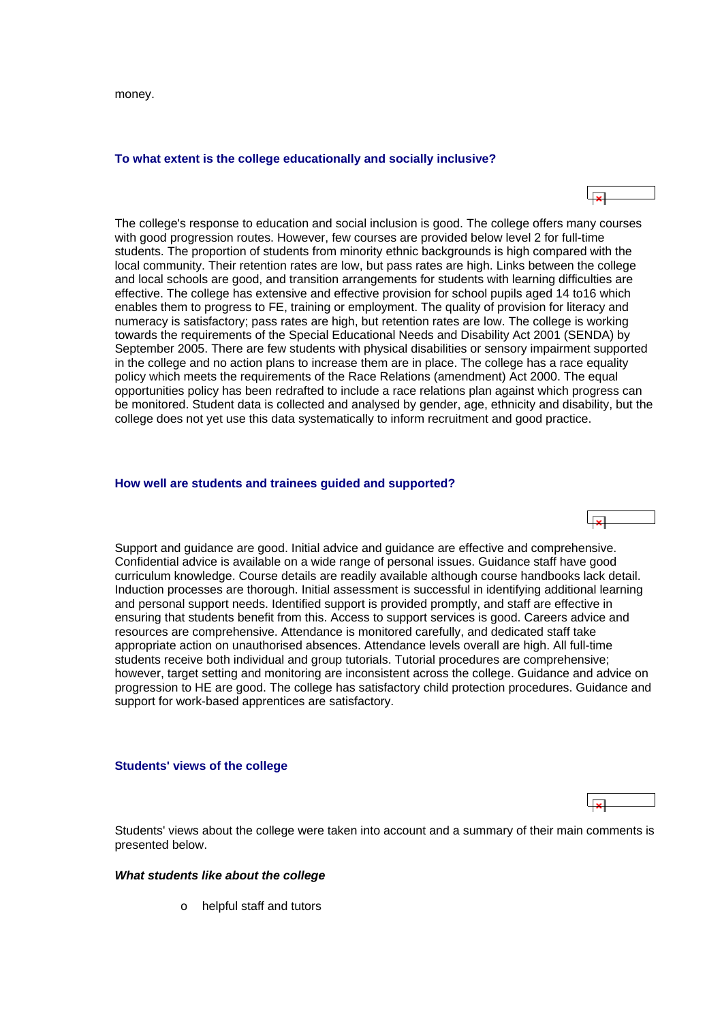<span id="page-6-0"></span>money.

#### **To what extent is the college educationally and socially inclusive?**



The college's response to education and social inclusion is good. The college offers many courses with good progression routes. However, few courses are provided below level 2 for full-time students. The proportion of students from minority ethnic backgrounds is high compared with the local community. Their retention rates are low, but pass rates are high. Links between the college and local schools are good, and transition arrangements for students with learning difficulties are effective. The college has extensive and effective provision for school pupils aged 14 to16 which enables them to progress to FE, training or employment. The quality of provision for literacy and numeracy is satisfactory; pass rates are high, but retention rates are low. The college is working towards the requirements of the Special Educational Needs and Disability Act 2001 (SENDA) by September 2005. There are few students with physical disabilities or sensory impairment supported in the college and no action plans to increase them are in place. The college has a race equality policy which meets the requirements of the Race Relations (amendment) Act 2000. The equal opportunities policy has been redrafted to include a race relations plan against which progress can be monitored. Student data is collected and analysed by gender, age, ethnicity and disability, but the college does not yet use this data systematically to inform recruitment and good practice.

#### **How well are students and trainees guided and supported?**

Support and guidance are good. Initial advice and guidance are effective and comprehensive. Confidential advice is available on a wide range of personal issues. Guidance staff have good curriculum knowledge. Course details are readily available although course handbooks lack detail. Induction processes are thorough. Initial assessment is successful in identifying additional learning and personal support needs. Identified support is provided promptly, and staff are effective in ensuring that students benefit from this. Access to support services is good. Careers advice and resources are comprehensive. Attendance is monitored carefully, and dedicated staff take appropriate action on unauthorised absences. Attendance levels overall are high. All full-time students receive both individual and group tutorials. Tutorial procedures are comprehensive; however, target setting and monitoring are inconsistent across the college. Guidance and advice on progression to HE are good. The college has satisfactory child protection procedures. Guidance and support for work-based apprentices are satisfactory.

#### **Students' views of the college**

احل

Students' views about the college were taken into account and a summary of their main comments is presented below.

#### *What students like about the college*

o helpful staff and tutors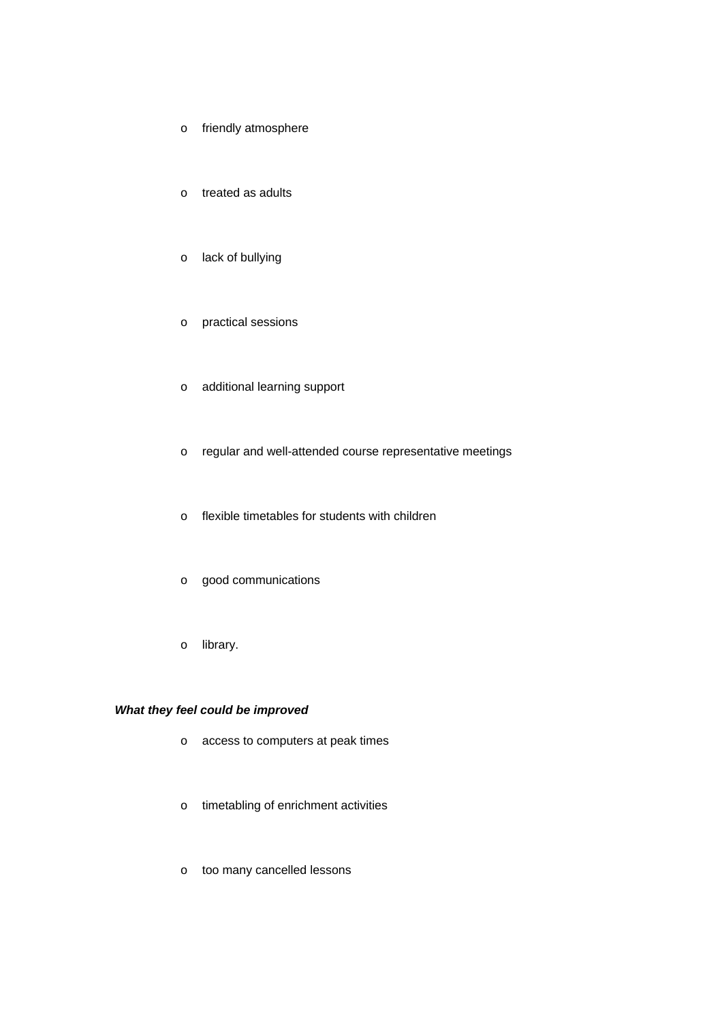- o friendly atmosphere
- o treated as adults
- o lack of bullying
- o practical sessions
- o additional learning support
- o regular and well-attended course representative meetings
- o flexible timetables for students with children
- o good communications
- o library.

# *What they feel could be improved*

- o access to computers at peak times
- o timetabling of enrichment activities
- o too many cancelled lessons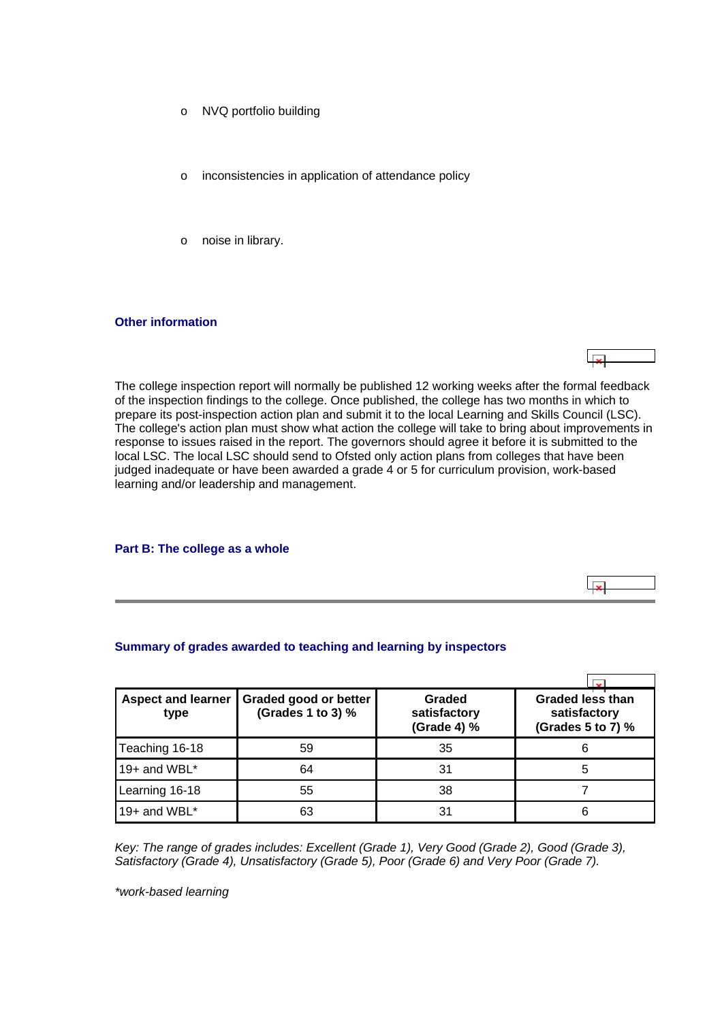- <span id="page-8-0"></span>o NVQ portfolio building
- o inconsistencies in application of attendance policy
- o noise in library.

#### **Other information**

The college inspection report will normally be published 12 working weeks after the formal feedback of the inspection findings to the college. Once published, the college has two months in which to prepare its post-inspection action plan and submit it to the local Learning and Skills Council (LSC). The college's action plan must show what action the college will take to bring about improvements in response to issues raised in the report. The governors should agree it before it is submitted to the local LSC. The local LSC should send to Ofsted only action plans from colleges that have been judged inadequate or have been awarded a grade 4 or 5 for curriculum provision, work-based learning and/or leadership and management.

ا ت

ایجا

#### **Part B: The college as a whole**

#### **Summary of grades awarded to teaching and learning by inspectors**

| <b>Aspect and learner</b><br>type | Graded good or better<br>(Grades 1 to 3) % | Graded<br>satisfactory<br>(Grade 4) % | <b>Graded less than</b><br>satisfactory<br>(Grades 5 to 7) % |
|-----------------------------------|--------------------------------------------|---------------------------------------|--------------------------------------------------------------|
| Teaching 16-18                    | 59                                         | 35                                    | 6                                                            |
| 19+ and WBL $*$                   | 64                                         | 31                                    | 5                                                            |
| Learning 16-18                    | 55                                         | 38                                    |                                                              |
| 19+ and WBL*                      | 63                                         | 31                                    | 6                                                            |

*Key: The range of grades includes: Excellent (Grade 1), Very Good (Grade 2), Good (Grade 3), Satisfactory (Grade 4), Unsatisfactory (Grade 5), Poor (Grade 6) and Very Poor (Grade 7).*

*\*work-based learning*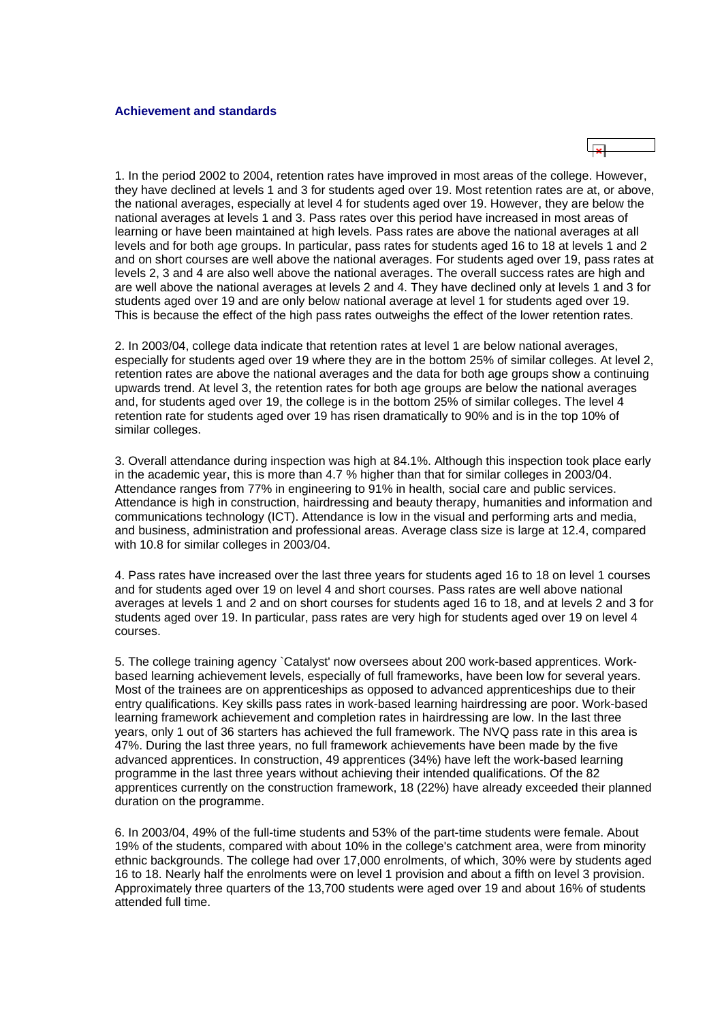

1. In the period 2002 to 2004, retention rates have improved in most areas of the college. However, they have declined at levels 1 and 3 for students aged over 19. Most retention rates are at, or above, the national averages, especially at level 4 for students aged over 19. However, they are below the national averages at levels 1 and 3. Pass rates over this period have increased in most areas of learning or have been maintained at high levels. Pass rates are above the national averages at all levels and for both age groups. In particular, pass rates for students aged 16 to 18 at levels 1 and 2 and on short courses are well above the national averages. For students aged over 19, pass rates at levels 2, 3 and 4 are also well above the national averages. The overall success rates are high and are well above the national averages at levels 2 and 4. They have declined only at levels 1 and 3 for students aged over 19 and are only below national average at level 1 for students aged over 19. This is because the effect of the high pass rates outweighs the effect of the lower retention rates.

2. In 2003/04, college data indicate that retention rates at level 1 are below national averages, especially for students aged over 19 where they are in the bottom 25% of similar colleges. At level 2, retention rates are above the national averages and the data for both age groups show a continuing upwards trend. At level 3, the retention rates for both age groups are below the national averages and, for students aged over 19, the college is in the bottom 25% of similar colleges. The level 4 retention rate for students aged over 19 has risen dramatically to 90% and is in the top 10% of similar colleges.

3. Overall attendance during inspection was high at 84.1%. Although this inspection took place early in the academic year, this is more than 4.7 % higher than that for similar colleges in 2003/04. Attendance ranges from 77% in engineering to 91% in health, social care and public services. Attendance is high in construction, hairdressing and beauty therapy, humanities and information and communications technology (ICT). Attendance is low in the visual and performing arts and media, and business, administration and professional areas. Average class size is large at 12.4, compared with 10.8 for similar colleges in 2003/04.

4. Pass rates have increased over the last three years for students aged 16 to 18 on level 1 courses and for students aged over 19 on level 4 and short courses. Pass rates are well above national averages at levels 1 and 2 and on short courses for students aged 16 to 18, and at levels 2 and 3 for students aged over 19. In particular, pass rates are very high for students aged over 19 on level 4 courses.

5. The college training agency `Catalyst' now oversees about 200 work-based apprentices. Workbased learning achievement levels, especially of full frameworks, have been low for several years. Most of the trainees are on apprenticeships as opposed to advanced apprenticeships due to their entry qualifications. Key skills pass rates in work-based learning hairdressing are poor. Work-based learning framework achievement and completion rates in hairdressing are low. In the last three years, only 1 out of 36 starters has achieved the full framework. The NVQ pass rate in this area is 47%. During the last three years, no full framework achievements have been made by the five advanced apprentices. In construction, 49 apprentices (34%) have left the work-based learning programme in the last three years without achieving their intended qualifications. Of the 82 apprentices currently on the construction framework, 18 (22%) have already exceeded their planned duration on the programme.

6. In 2003/04, 49% of the full-time students and 53% of the part-time students were female. About 19% of the students, compared with about 10% in the college's catchment area, were from minority ethnic backgrounds. The college had over 17,000 enrolments, of which, 30% were by students aged 16 to 18. Nearly half the enrolments were on level 1 provision and about a fifth on level 3 provision. Approximately three quarters of the 13,700 students were aged over 19 and about 16% of students attended full time.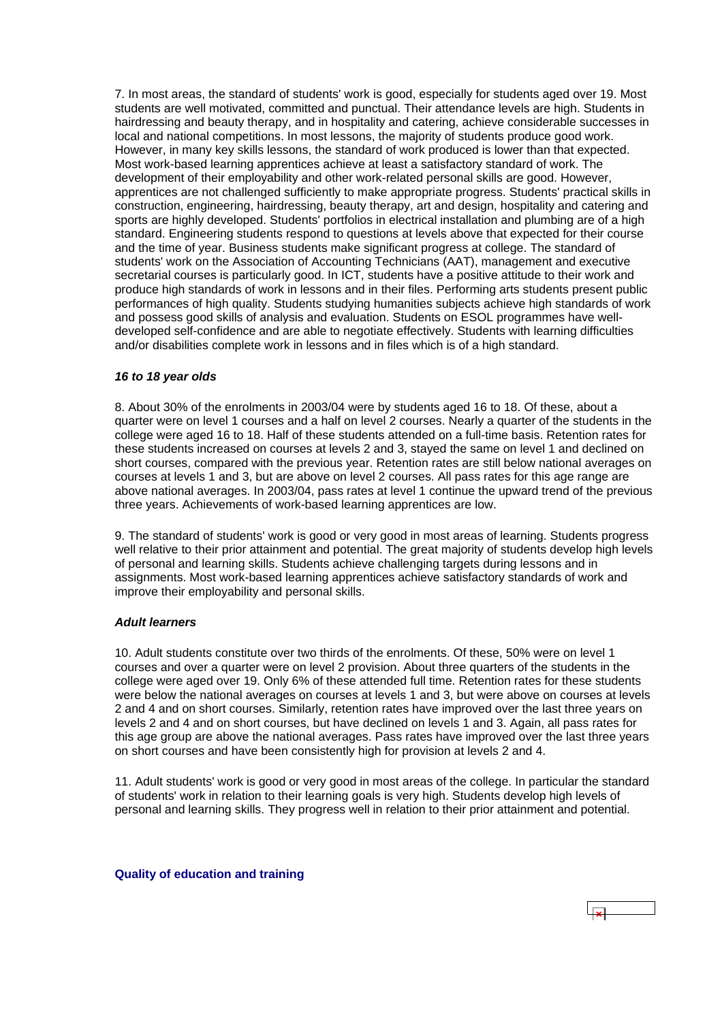<span id="page-10-0"></span>7. In most areas, the standard of students' work is good, especially for students aged over 19. Most students are well motivated, committed and punctual. Their attendance levels are high. Students in hairdressing and beauty therapy, and in hospitality and catering, achieve considerable successes in local and national competitions. In most lessons, the majority of students produce good work. However, in many key skills lessons, the standard of work produced is lower than that expected. Most work-based learning apprentices achieve at least a satisfactory standard of work. The development of their employability and other work-related personal skills are good. However, apprentices are not challenged sufficiently to make appropriate progress. Students' practical skills in construction, engineering, hairdressing, beauty therapy, art and design, hospitality and catering and sports are highly developed. Students' portfolios in electrical installation and plumbing are of a high standard. Engineering students respond to questions at levels above that expected for their course and the time of year. Business students make significant progress at college. The standard of students' work on the Association of Accounting Technicians (AAT), management and executive secretarial courses is particularly good. In ICT, students have a positive attitude to their work and produce high standards of work in lessons and in their files. Performing arts students present public performances of high quality. Students studying humanities subjects achieve high standards of work and possess good skills of analysis and evaluation. Students on ESOL programmes have welldeveloped self-confidence and are able to negotiate effectively. Students with learning difficulties and/or disabilities complete work in lessons and in files which is of a high standard.

# *16 to 18 year olds*

8. About 30% of the enrolments in 2003/04 were by students aged 16 to 18. Of these, about a quarter were on level 1 courses and a half on level 2 courses. Nearly a quarter of the students in the college were aged 16 to 18. Half of these students attended on a full-time basis. Retention rates for these students increased on courses at levels 2 and 3, stayed the same on level 1 and declined on short courses, compared with the previous year. Retention rates are still below national averages on courses at levels 1 and 3, but are above on level 2 courses. All pass rates for this age range are above national averages. In 2003/04, pass rates at level 1 continue the upward trend of the previous three years. Achievements of work-based learning apprentices are low.

9. The standard of students' work is good or very good in most areas of learning. Students progress well relative to their prior attainment and potential. The great majority of students develop high levels of personal and learning skills. Students achieve challenging targets during lessons and in assignments. Most work-based learning apprentices achieve satisfactory standards of work and improve their employability and personal skills.

#### *Adult learners*

10. Adult students constitute over two thirds of the enrolments. Of these, 50% were on level 1 courses and over a quarter were on level 2 provision. About three quarters of the students in the college were aged over 19. Only 6% of these attended full time. Retention rates for these students were below the national averages on courses at levels 1 and 3, but were above on courses at levels 2 and 4 and on short courses. Similarly, retention rates have improved over the last three years on levels 2 and 4 and on short courses, but have declined on levels 1 and 3. Again, all pass rates for this age group are above the national averages. Pass rates have improved over the last three years on short courses and have been consistently high for provision at levels 2 and 4.

11. Adult students' work is good or very good in most areas of the college. In particular the standard of students' work in relation to their learning goals is very high. Students develop high levels of personal and learning skills. They progress well in relation to their prior attainment and potential.

**Quality of education and training**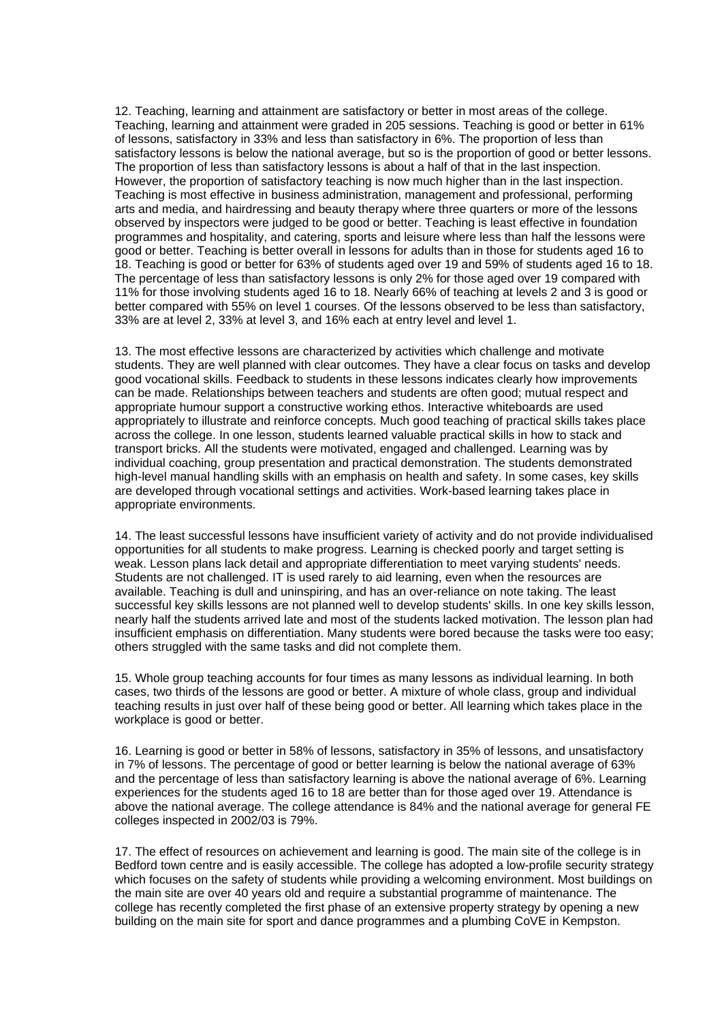12. Teaching, learning and attainment are satisfactory or better in most areas of the college. Teaching, learning and attainment were graded in 205 sessions. Teaching is good or better in 61% of lessons, satisfactory in 33% and less than satisfactory in 6%. The proportion of less than satisfactory lessons is below the national average, but so is the proportion of good or better lessons. The proportion of less than satisfactory lessons is about a half of that in the last inspection. However, the proportion of satisfactory teaching is now much higher than in the last inspection. Teaching is most effective in business administration, management and professional, performing arts and media, and hairdressing and beauty therapy where three quarters or more of the lessons observed by inspectors were judged to be good or better. Teaching is least effective in foundation programmes and hospitality, and catering, sports and leisure where less than half the lessons were good or better. Teaching is better overall in lessons for adults than in those for students aged 16 to 18. Teaching is good or better for 63% of students aged over 19 and 59% of students aged 16 to 18. The percentage of less than satisfactory lessons is only 2% for those aged over 19 compared with 11% for those involving students aged 16 to 18. Nearly 66% of teaching at levels 2 and 3 is good or better compared with 55% on level 1 courses. Of the lessons observed to be less than satisfactory, 33% are at level 2, 33% at level 3, and 16% each at entry level and level 1.

13. The most effective lessons are characterized by activities which challenge and motivate students. They are well planned with clear outcomes. They have a clear focus on tasks and develop good vocational skills. Feedback to students in these lessons indicates clearly how improvements can be made. Relationships between teachers and students are often good; mutual respect and appropriate humour support a constructive working ethos. Interactive whiteboards are used appropriately to illustrate and reinforce concepts. Much good teaching of practical skills takes place across the college. In one lesson, students learned valuable practical skills in how to stack and transport bricks. All the students were motivated, engaged and challenged. Learning was by individual coaching, group presentation and practical demonstration. The students demonstrated high-level manual handling skills with an emphasis on health and safety. In some cases, key skills are developed through vocational settings and activities. Work-based learning takes place in appropriate environments.

14. The least successful lessons have insufficient variety of activity and do not provide individualised opportunities for all students to make progress. Learning is checked poorly and target setting is weak. Lesson plans lack detail and appropriate differentiation to meet varying students' needs. Students are not challenged. IT is used rarely to aid learning, even when the resources are available. Teaching is dull and uninspiring, and has an over-reliance on note taking. The least successful key skills lessons are not planned well to develop students' skills. In one key skills lesson, nearly half the students arrived late and most of the students lacked motivation. The lesson plan had insufficient emphasis on differentiation. Many students were bored because the tasks were too easy; others struggled with the same tasks and did not complete them.

15. Whole group teaching accounts for four times as many lessons as individual learning. In both cases, two thirds of the lessons are good or better. A mixture of whole class, group and individual teaching results in just over half of these being good or better. All learning which takes place in the workplace is good or better.

16. Learning is good or better in 58% of lessons, satisfactory in 35% of lessons, and unsatisfactory in 7% of lessons. The percentage of good or better learning is below the national average of 63% and the percentage of less than satisfactory learning is above the national average of 6%. Learning experiences for the students aged 16 to 18 are better than for those aged over 19. Attendance is above the national average. The college attendance is 84% and the national average for general FE colleges inspected in 2002/03 is 79%.

17. The effect of resources on achievement and learning is good. The main site of the college is in Bedford town centre and is easily accessible. The college has adopted a low-profile security strategy which focuses on the safety of students while providing a welcoming environment. Most buildings on the main site are over 40 years old and require a substantial programme of maintenance. The college has recently completed the first phase of an extensive property strategy by opening a new building on the main site for sport and dance programmes and a plumbing CoVE in Kempston.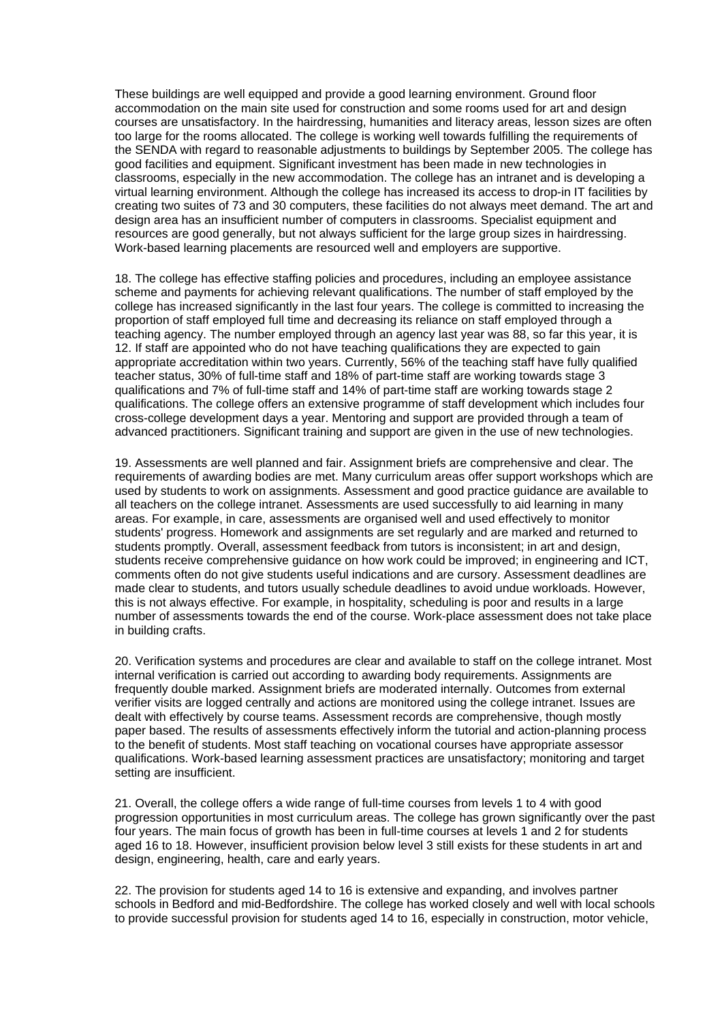These buildings are well equipped and provide a good learning environment. Ground floor accommodation on the main site used for construction and some rooms used for art and design courses are unsatisfactory. In the hairdressing, humanities and literacy areas, lesson sizes are often too large for the rooms allocated. The college is working well towards fulfilling the requirements of the SENDA with regard to reasonable adjustments to buildings by September 2005. The college has good facilities and equipment. Significant investment has been made in new technologies in classrooms, especially in the new accommodation. The college has an intranet and is developing a virtual learning environment. Although the college has increased its access to drop-in IT facilities by creating two suites of 73 and 30 computers, these facilities do not always meet demand. The art and design area has an insufficient number of computers in classrooms. Specialist equipment and resources are good generally, but not always sufficient for the large group sizes in hairdressing. Work-based learning placements are resourced well and employers are supportive.

18. The college has effective staffing policies and procedures, including an employee assistance scheme and payments for achieving relevant qualifications. The number of staff employed by the college has increased significantly in the last four years. The college is committed to increasing the proportion of staff employed full time and decreasing its reliance on staff employed through a teaching agency. The number employed through an agency last year was 88, so far this year, it is 12. If staff are appointed who do not have teaching qualifications they are expected to gain appropriate accreditation within two years. Currently, 56% of the teaching staff have fully qualified teacher status, 30% of full-time staff and 18% of part-time staff are working towards stage 3 qualifications and 7% of full-time staff and 14% of part-time staff are working towards stage 2 qualifications. The college offers an extensive programme of staff development which includes four cross-college development days a year. Mentoring and support are provided through a team of advanced practitioners. Significant training and support are given in the use of new technologies.

19. Assessments are well planned and fair. Assignment briefs are comprehensive and clear. The requirements of awarding bodies are met. Many curriculum areas offer support workshops which are used by students to work on assignments. Assessment and good practice guidance are available to all teachers on the college intranet. Assessments are used successfully to aid learning in many areas. For example, in care, assessments are organised well and used effectively to monitor students' progress. Homework and assignments are set regularly and are marked and returned to students promptly. Overall, assessment feedback from tutors is inconsistent; in art and design, students receive comprehensive guidance on how work could be improved; in engineering and ICT, comments often do not give students useful indications and are cursory. Assessment deadlines are made clear to students, and tutors usually schedule deadlines to avoid undue workloads. However, this is not always effective. For example, in hospitality, scheduling is poor and results in a large number of assessments towards the end of the course. Work-place assessment does not take place in building crafts.

20. Verification systems and procedures are clear and available to staff on the college intranet. Most internal verification is carried out according to awarding body requirements. Assignments are frequently double marked. Assignment briefs are moderated internally. Outcomes from external verifier visits are logged centrally and actions are monitored using the college intranet. Issues are dealt with effectively by course teams. Assessment records are comprehensive, though mostly paper based. The results of assessments effectively inform the tutorial and action-planning process to the benefit of students. Most staff teaching on vocational courses have appropriate assessor qualifications. Work-based learning assessment practices are unsatisfactory; monitoring and target setting are insufficient.

21. Overall, the college offers a wide range of full-time courses from levels 1 to 4 with good progression opportunities in most curriculum areas. The college has grown significantly over the past four years. The main focus of growth has been in full-time courses at levels 1 and 2 for students aged 16 to 18. However, insufficient provision below level 3 still exists for these students in art and design, engineering, health, care and early years.

22. The provision for students aged 14 to 16 is extensive and expanding, and involves partner schools in Bedford and mid-Bedfordshire. The college has worked closely and well with local schools to provide successful provision for students aged 14 to 16, especially in construction, motor vehicle,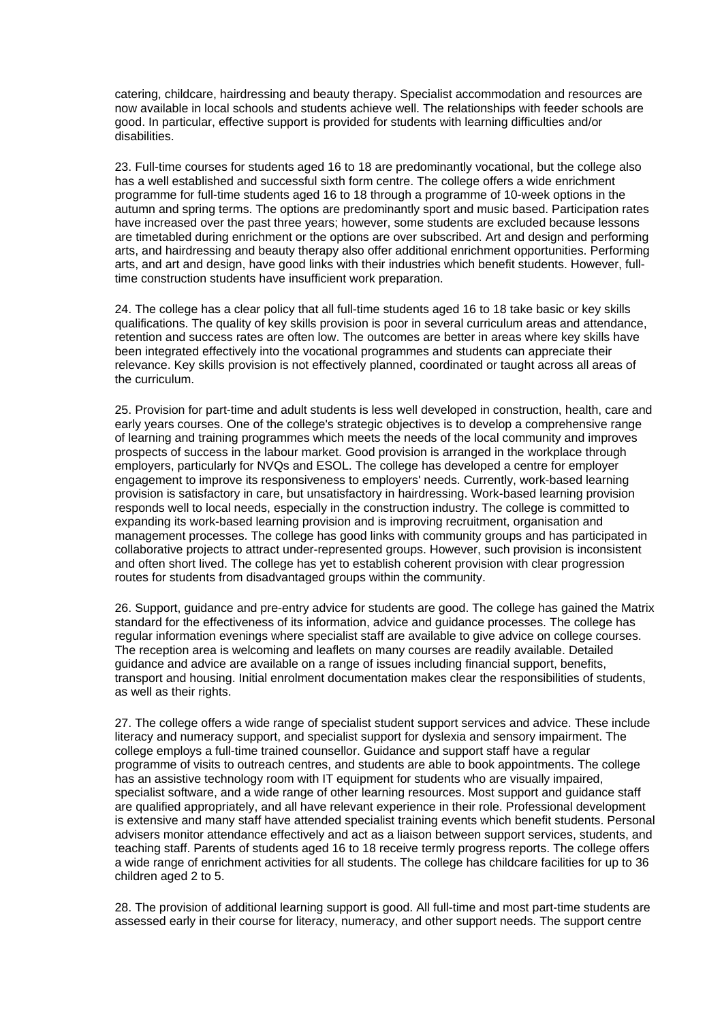catering, childcare, hairdressing and beauty therapy. Specialist accommodation and resources are now available in local schools and students achieve well. The relationships with feeder schools are good. In particular, effective support is provided for students with learning difficulties and/or disabilities.

23. Full-time courses for students aged 16 to 18 are predominantly vocational, but the college also has a well established and successful sixth form centre. The college offers a wide enrichment programme for full-time students aged 16 to 18 through a programme of 10-week options in the autumn and spring terms. The options are predominantly sport and music based. Participation rates have increased over the past three years; however, some students are excluded because lessons are timetabled during enrichment or the options are over subscribed. Art and design and performing arts, and hairdressing and beauty therapy also offer additional enrichment opportunities. Performing arts, and art and design, have good links with their industries which benefit students. However, fulltime construction students have insufficient work preparation.

24. The college has a clear policy that all full-time students aged 16 to 18 take basic or key skills qualifications. The quality of key skills provision is poor in several curriculum areas and attendance, retention and success rates are often low. The outcomes are better in areas where key skills have been integrated effectively into the vocational programmes and students can appreciate their relevance. Key skills provision is not effectively planned, coordinated or taught across all areas of the curriculum.

25. Provision for part-time and adult students is less well developed in construction, health, care and early years courses. One of the college's strategic objectives is to develop a comprehensive range of learning and training programmes which meets the needs of the local community and improves prospects of success in the labour market. Good provision is arranged in the workplace through employers, particularly for NVQs and ESOL. The college has developed a centre for employer engagement to improve its responsiveness to employers' needs. Currently, work-based learning provision is satisfactory in care, but unsatisfactory in hairdressing. Work-based learning provision responds well to local needs, especially in the construction industry. The college is committed to expanding its work-based learning provision and is improving recruitment, organisation and management processes. The college has good links with community groups and has participated in collaborative projects to attract under-represented groups. However, such provision is inconsistent and often short lived. The college has yet to establish coherent provision with clear progression routes for students from disadvantaged groups within the community.

26. Support, guidance and pre-entry advice for students are good. The college has gained the Matrix standard for the effectiveness of its information, advice and guidance processes. The college has regular information evenings where specialist staff are available to give advice on college courses. The reception area is welcoming and leaflets on many courses are readily available. Detailed guidance and advice are available on a range of issues including financial support, benefits, transport and housing. Initial enrolment documentation makes clear the responsibilities of students, as well as their rights.

27. The college offers a wide range of specialist student support services and advice. These include literacy and numeracy support, and specialist support for dyslexia and sensory impairment. The college employs a full-time trained counsellor. Guidance and support staff have a regular programme of visits to outreach centres, and students are able to book appointments. The college has an assistive technology room with IT equipment for students who are visually impaired, specialist software, and a wide range of other learning resources. Most support and guidance staff are qualified appropriately, and all have relevant experience in their role. Professional development is extensive and many staff have attended specialist training events which benefit students. Personal advisers monitor attendance effectively and act as a liaison between support services, students, and teaching staff. Parents of students aged 16 to 18 receive termly progress reports. The college offers a wide range of enrichment activities for all students. The college has childcare facilities for up to 36 children aged 2 to 5.

28. The provision of additional learning support is good. All full-time and most part-time students are assessed early in their course for literacy, numeracy, and other support needs. The support centre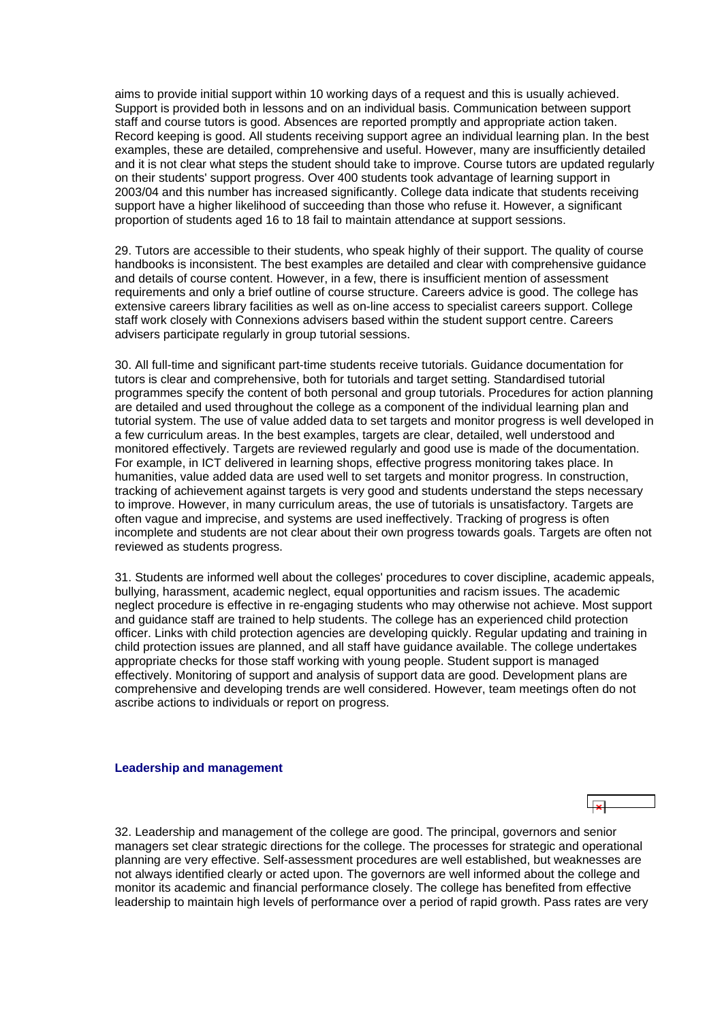<span id="page-14-0"></span>aims to provide initial support within 10 working days of a request and this is usually achieved. Support is provided both in lessons and on an individual basis. Communication between support staff and course tutors is good. Absences are reported promptly and appropriate action taken. Record keeping is good. All students receiving support agree an individual learning plan. In the best examples, these are detailed, comprehensive and useful. However, many are insufficiently detailed and it is not clear what steps the student should take to improve. Course tutors are updated regularly on their students' support progress. Over 400 students took advantage of learning support in 2003/04 and this number has increased significantly. College data indicate that students receiving support have a higher likelihood of succeeding than those who refuse it. However, a significant proportion of students aged 16 to 18 fail to maintain attendance at support sessions.

29. Tutors are accessible to their students, who speak highly of their support. The quality of course handbooks is inconsistent. The best examples are detailed and clear with comprehensive guidance and details of course content. However, in a few, there is insufficient mention of assessment requirements and only a brief outline of course structure. Careers advice is good. The college has extensive careers library facilities as well as on-line access to specialist careers support. College staff work closely with Connexions advisers based within the student support centre. Careers advisers participate regularly in group tutorial sessions.

30. All full-time and significant part-time students receive tutorials. Guidance documentation for tutors is clear and comprehensive, both for tutorials and target setting. Standardised tutorial programmes specify the content of both personal and group tutorials. Procedures for action planning are detailed and used throughout the college as a component of the individual learning plan and tutorial system. The use of value added data to set targets and monitor progress is well developed in a few curriculum areas. In the best examples, targets are clear, detailed, well understood and monitored effectively. Targets are reviewed regularly and good use is made of the documentation. For example, in ICT delivered in learning shops, effective progress monitoring takes place. In humanities, value added data are used well to set targets and monitor progress. In construction, tracking of achievement against targets is very good and students understand the steps necessary to improve. However, in many curriculum areas, the use of tutorials is unsatisfactory. Targets are often vague and imprecise, and systems are used ineffectively. Tracking of progress is often incomplete and students are not clear about their own progress towards goals. Targets are often not reviewed as students progress.

31. Students are informed well about the colleges' procedures to cover discipline, academic appeals, bullying, harassment, academic neglect, equal opportunities and racism issues. The academic neglect procedure is effective in re-engaging students who may otherwise not achieve. Most support and guidance staff are trained to help students. The college has an experienced child protection officer. Links with child protection agencies are developing quickly. Regular updating and training in child protection issues are planned, and all staff have guidance available. The college undertakes appropriate checks for those staff working with young people. Student support is managed effectively. Monitoring of support and analysis of support data are good. Development plans are comprehensive and developing trends are well considered. However, team meetings often do not ascribe actions to individuals or report on progress.

#### **Leadership and management**

32. Leadership and management of the college are good. The principal, governors and senior managers set clear strategic directions for the college. The processes for strategic and operational planning are very effective. Self-assessment procedures are well established, but weaknesses are not always identified clearly or acted upon. The governors are well informed about the college and monitor its academic and financial performance closely. The college has benefited from effective leadership to maintain high levels of performance over a period of rapid growth. Pass rates are very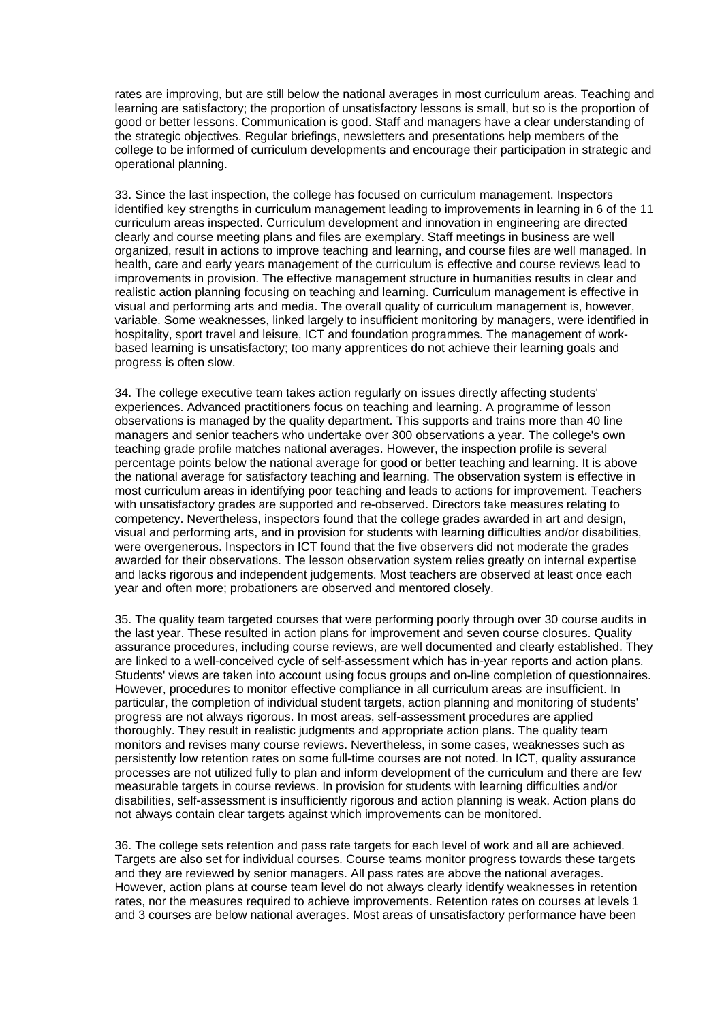rates are improving, but are still below the national averages in most curriculum areas. Teaching and learning are satisfactory; the proportion of unsatisfactory lessons is small, but so is the proportion of good or better lessons. Communication is good. Staff and managers have a clear understanding of the strategic objectives. Regular briefings, newsletters and presentations help members of the college to be informed of curriculum developments and encourage their participation in strategic and operational planning.

33. Since the last inspection, the college has focused on curriculum management. Inspectors identified key strengths in curriculum management leading to improvements in learning in 6 of the 11 curriculum areas inspected. Curriculum development and innovation in engineering are directed clearly and course meeting plans and files are exemplary. Staff meetings in business are well organized, result in actions to improve teaching and learning, and course files are well managed. In health, care and early years management of the curriculum is effective and course reviews lead to improvements in provision. The effective management structure in humanities results in clear and realistic action planning focusing on teaching and learning. Curriculum management is effective in visual and performing arts and media. The overall quality of curriculum management is, however, variable. Some weaknesses, linked largely to insufficient monitoring by managers, were identified in hospitality, sport travel and leisure, ICT and foundation programmes. The management of workbased learning is unsatisfactory; too many apprentices do not achieve their learning goals and progress is often slow.

34. The college executive team takes action regularly on issues directly affecting students' experiences. Advanced practitioners focus on teaching and learning. A programme of lesson observations is managed by the quality department. This supports and trains more than 40 line managers and senior teachers who undertake over 300 observations a year. The college's own teaching grade profile matches national averages. However, the inspection profile is several percentage points below the national average for good or better teaching and learning. It is above the national average for satisfactory teaching and learning. The observation system is effective in most curriculum areas in identifying poor teaching and leads to actions for improvement. Teachers with unsatisfactory grades are supported and re-observed. Directors take measures relating to competency. Nevertheless, inspectors found that the college grades awarded in art and design, visual and performing arts, and in provision for students with learning difficulties and/or disabilities, were overgenerous. Inspectors in ICT found that the five observers did not moderate the grades awarded for their observations. The lesson observation system relies greatly on internal expertise and lacks rigorous and independent judgements. Most teachers are observed at least once each year and often more; probationers are observed and mentored closely.

35. The quality team targeted courses that were performing poorly through over 30 course audits in the last year. These resulted in action plans for improvement and seven course closures. Quality assurance procedures, including course reviews, are well documented and clearly established. They are linked to a well-conceived cycle of self-assessment which has in-year reports and action plans. Students' views are taken into account using focus groups and on-line completion of questionnaires. However, procedures to monitor effective compliance in all curriculum areas are insufficient. In particular, the completion of individual student targets, action planning and monitoring of students' progress are not always rigorous. In most areas, self-assessment procedures are applied thoroughly. They result in realistic judgments and appropriate action plans. The quality team monitors and revises many course reviews. Nevertheless, in some cases, weaknesses such as persistently low retention rates on some full-time courses are not noted. In ICT, quality assurance processes are not utilized fully to plan and inform development of the curriculum and there are few measurable targets in course reviews. In provision for students with learning difficulties and/or disabilities, self-assessment is insufficiently rigorous and action planning is weak. Action plans do not always contain clear targets against which improvements can be monitored.

36. The college sets retention and pass rate targets for each level of work and all are achieved. Targets are also set for individual courses. Course teams monitor progress towards these targets and they are reviewed by senior managers. All pass rates are above the national averages. However, action plans at course team level do not always clearly identify weaknesses in retention rates, nor the measures required to achieve improvements. Retention rates on courses at levels 1 and 3 courses are below national averages. Most areas of unsatisfactory performance have been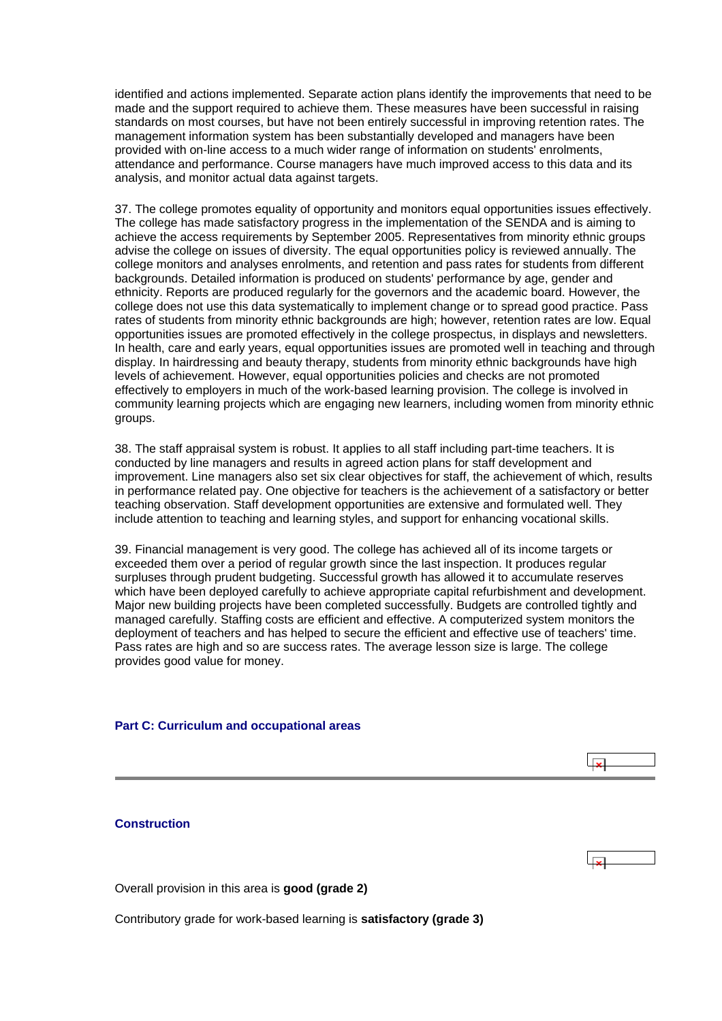<span id="page-16-0"></span>identified and actions implemented. Separate action plans identify the improvements that need to be made and the support required to achieve them. These measures have been successful in raising standards on most courses, but have not been entirely successful in improving retention rates. The management information system has been substantially developed and managers have been provided with on-line access to a much wider range of information on students' enrolments, attendance and performance. Course managers have much improved access to this data and its analysis, and monitor actual data against targets.

37. The college promotes equality of opportunity and monitors equal opportunities issues effectively. The college has made satisfactory progress in the implementation of the SENDA and is aiming to achieve the access requirements by September 2005. Representatives from minority ethnic groups advise the college on issues of diversity. The equal opportunities policy is reviewed annually. The college monitors and analyses enrolments, and retention and pass rates for students from different backgrounds. Detailed information is produced on students' performance by age, gender and ethnicity. Reports are produced regularly for the governors and the academic board. However, the college does not use this data systematically to implement change or to spread good practice. Pass rates of students from minority ethnic backgrounds are high; however, retention rates are low. Equal opportunities issues are promoted effectively in the college prospectus, in displays and newsletters. In health, care and early years, equal opportunities issues are promoted well in teaching and through display. In hairdressing and beauty therapy, students from minority ethnic backgrounds have high levels of achievement. However, equal opportunities policies and checks are not promoted effectively to employers in much of the work-based learning provision. The college is involved in community learning projects which are engaging new learners, including women from minority ethnic groups.

38. The staff appraisal system is robust. It applies to all staff including part-time teachers. It is conducted by line managers and results in agreed action plans for staff development and improvement. Line managers also set six clear objectives for staff, the achievement of which, results in performance related pay. One objective for teachers is the achievement of a satisfactory or better teaching observation. Staff development opportunities are extensive and formulated well. They include attention to teaching and learning styles, and support for enhancing vocational skills.

39. Financial management is very good. The college has achieved all of its income targets or exceeded them over a period of regular growth since the last inspection. It produces regular surpluses through prudent budgeting. Successful growth has allowed it to accumulate reserves which have been deployed carefully to achieve appropriate capital refurbishment and development. Major new building projects have been completed successfully. Budgets are controlled tightly and managed carefully. Staffing costs are efficient and effective. A computerized system monitors the deployment of teachers and has helped to secure the efficient and effective use of teachers' time. Pass rates are high and so are success rates. The average lesson size is large. The college provides good value for money.

 $\overline{\mathbf{r}}$ 

 $\overline{\mathbf{x}}$ 

#### **Part C: Curriculum and occupational areas**

#### **Construction**

Overall provision in this area is **good (grade 2)**

Contributory grade for work-based learning is **satisfactory (grade 3)**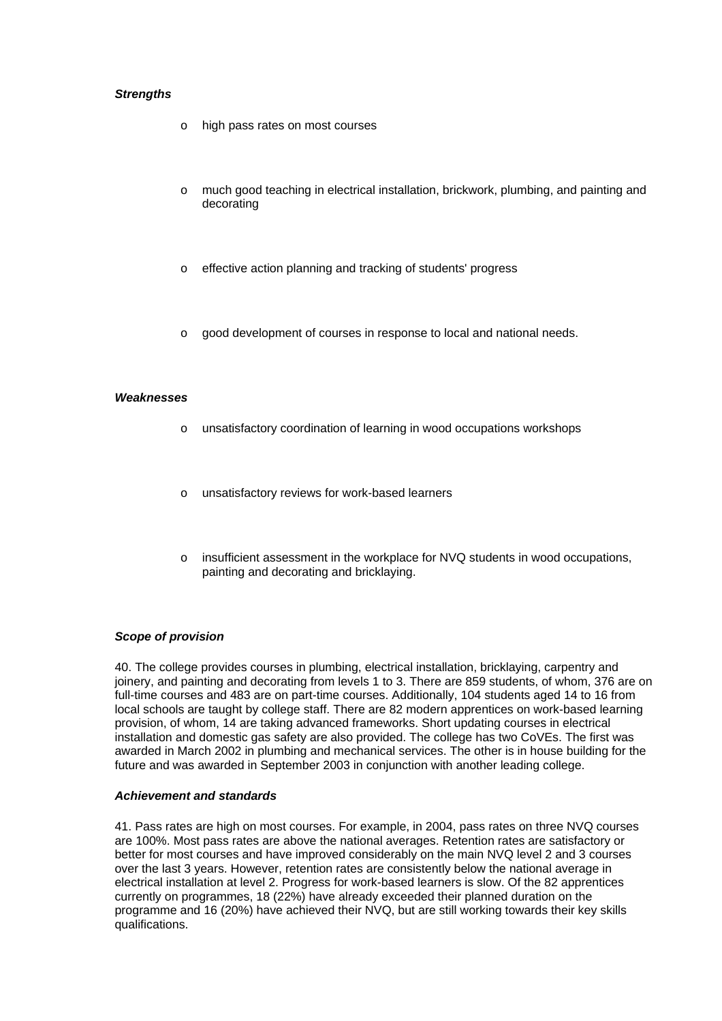# *Strengths*

- o high pass rates on most courses
- o much good teaching in electrical installation, brickwork, plumbing, and painting and decorating
- o effective action planning and tracking of students' progress
- $\circ$  good development of courses in response to local and national needs.

# *Weaknesses*

- o unsatisfactory coordination of learning in wood occupations workshops
- o unsatisfactory reviews for work-based learners
- $\circ$  insufficient assessment in the workplace for NVQ students in wood occupations, painting and decorating and bricklaying.

# *Scope of provision*

40. The college provides courses in plumbing, electrical installation, bricklaying, carpentry and joinery, and painting and decorating from levels 1 to 3. There are 859 students, of whom, 376 are on full-time courses and 483 are on part-time courses. Additionally, 104 students aged 14 to 16 from local schools are taught by college staff. There are 82 modern apprentices on work-based learning provision, of whom, 14 are taking advanced frameworks. Short updating courses in electrical installation and domestic gas safety are also provided. The college has two CoVEs. The first was awarded in March 2002 in plumbing and mechanical services. The other is in house building for the future and was awarded in September 2003 in conjunction with another leading college.

#### *Achievement and standards*

41. Pass rates are high on most courses. For example, in 2004, pass rates on three NVQ courses are 100%. Most pass rates are above the national averages. Retention rates are satisfactory or better for most courses and have improved considerably on the main NVQ level 2 and 3 courses over the last 3 years. However, retention rates are consistently below the national average in electrical installation at level 2. Progress for work-based learners is slow. Of the 82 apprentices currently on programmes, 18 (22%) have already exceeded their planned duration on the programme and 16 (20%) have achieved their NVQ, but are still working towards their key skills qualifications.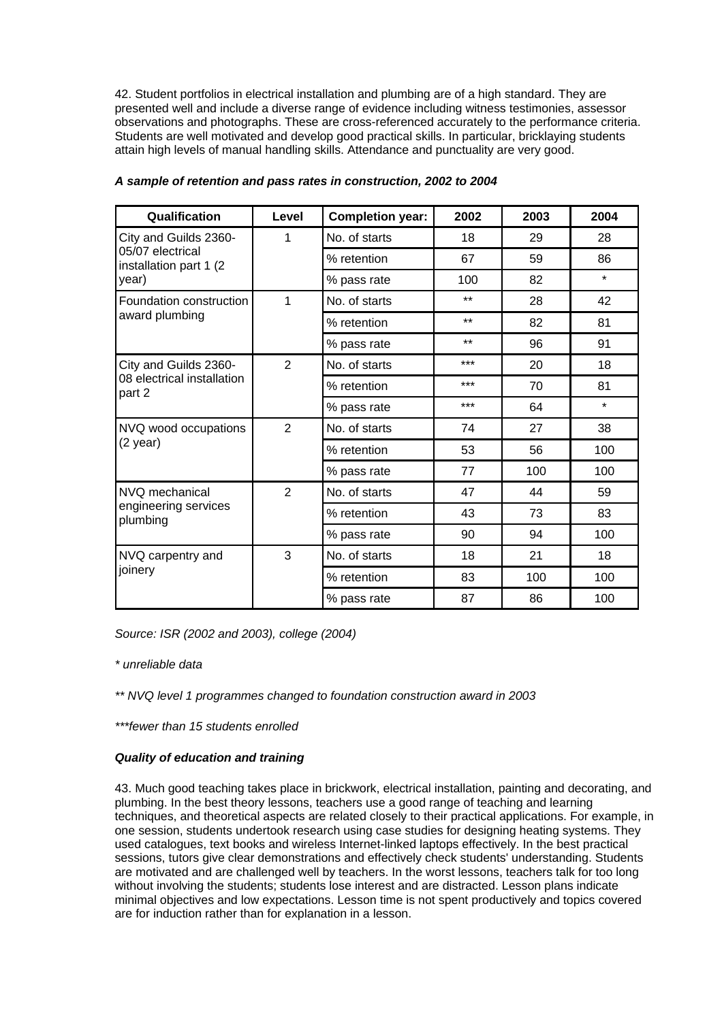42. Student portfolios in electrical installation and plumbing are of a high standard. They are presented well and include a diverse range of evidence including witness testimonies, assessor observations and photographs. These are cross-referenced accurately to the performance criteria. Students are well motivated and develop good practical skills. In particular, bricklaying students attain high levels of manual handling skills. Attendance and punctuality are very good.

| Qualification                               | Level          | <b>Completion year:</b> | 2002  | 2003 | 2004    |
|---------------------------------------------|----------------|-------------------------|-------|------|---------|
| City and Guilds 2360-                       | 1              | No. of starts           | 18    | 29   | 28      |
| 05/07 electrical<br>installation part 1 (2) |                | % retention             | 67    | 59   | 86      |
| year)                                       |                | % pass rate             | 100   | 82   | $\star$ |
| Foundation construction                     | 1              | No. of starts           | $***$ | 28   | 42      |
| award plumbing                              |                | % retention             | $***$ | 82   | 81      |
|                                             |                | % pass rate             | $***$ | 96   | 91      |
| City and Guilds 2360-                       | 2              | No. of starts           | ***   | 20   | 18      |
| 08 electrical installation<br>part 2        |                | % retention             | ***   | 70   | 81      |
|                                             |                | % pass rate             | ***   | 64   | $\star$ |
| NVQ wood occupations<br>$(2 \text{ year})$  | $\overline{2}$ | No. of starts           | 74    | 27   | 38      |
|                                             |                | % retention             | 53    | 56   | 100     |
|                                             |                | % pass rate             | 77    | 100  | 100     |
| NVQ mechanical                              | $\overline{2}$ | No. of starts           | 47    | 44   | 59      |
| engineering services<br>plumbing            |                | % retention             | 43    | 73   | 83      |
|                                             |                | % pass rate             | 90    | 94   | 100     |
| NVQ carpentry and                           | 3              | No. of starts           | 18    | 21   | 18      |
| joinery                                     |                | % retention             | 83    | 100  | 100     |
|                                             |                | % pass rate             | 87    | 86   | 100     |

# *A sample of retention and pass rates in construction, 2002 to 2004*

*Source: ISR (2002 and 2003), college (2004)*

*\* unreliable data*

*\*\* NVQ level 1 programmes changed to foundation construction award in 2003*

*\*\*\*fewer than 15 students enrolled*

# *Quality of education and training*

43. Much good teaching takes place in brickwork, electrical installation, painting and decorating, and plumbing. In the best theory lessons, teachers use a good range of teaching and learning techniques, and theoretical aspects are related closely to their practical applications. For example, in one session, students undertook research using case studies for designing heating systems. They used catalogues, text books and wireless Internet-linked laptops effectively. In the best practical sessions, tutors give clear demonstrations and effectively check students' understanding. Students are motivated and are challenged well by teachers. In the worst lessons, teachers talk for too long without involving the students; students lose interest and are distracted. Lesson plans indicate minimal objectives and low expectations. Lesson time is not spent productively and topics covered are for induction rather than for explanation in a lesson.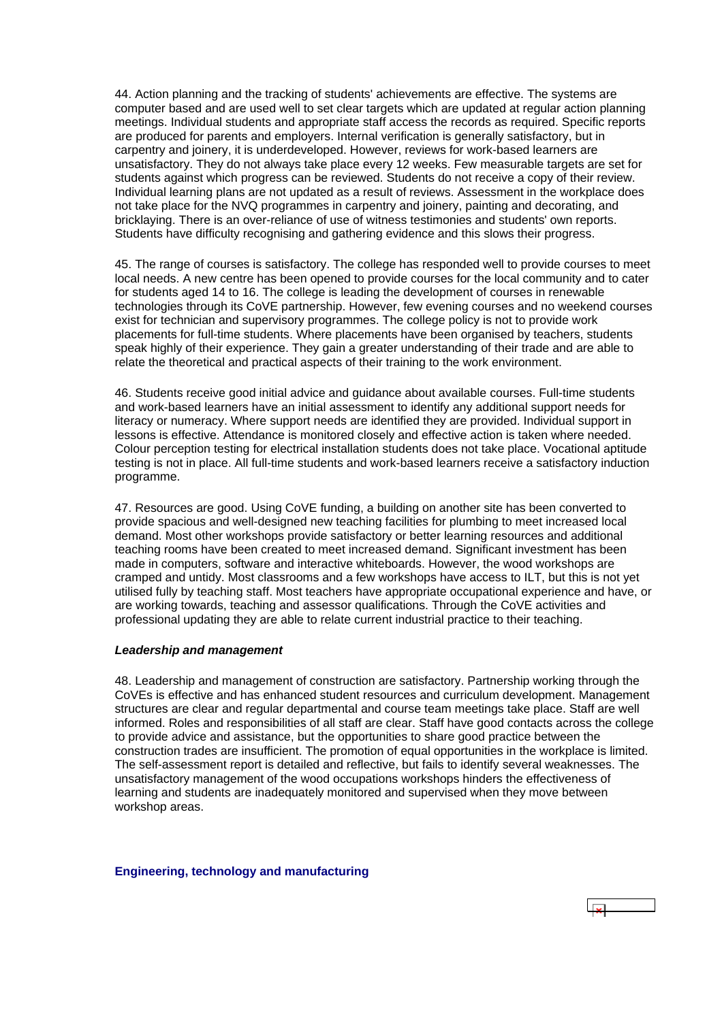<span id="page-19-0"></span>44. Action planning and the tracking of students' achievements are effective. The systems are computer based and are used well to set clear targets which are updated at regular action planning meetings. Individual students and appropriate staff access the records as required. Specific reports are produced for parents and employers. Internal verification is generally satisfactory, but in carpentry and joinery, it is underdeveloped. However, reviews for work-based learners are unsatisfactory. They do not always take place every 12 weeks. Few measurable targets are set for students against which progress can be reviewed. Students do not receive a copy of their review. Individual learning plans are not updated as a result of reviews. Assessment in the workplace does not take place for the NVQ programmes in carpentry and joinery, painting and decorating, and bricklaying. There is an over-reliance of use of witness testimonies and students' own reports. Students have difficulty recognising and gathering evidence and this slows their progress.

45. The range of courses is satisfactory. The college has responded well to provide courses to meet local needs. A new centre has been opened to provide courses for the local community and to cater for students aged 14 to 16. The college is leading the development of courses in renewable technologies through its CoVE partnership. However, few evening courses and no weekend courses exist for technician and supervisory programmes. The college policy is not to provide work placements for full-time students. Where placements have been organised by teachers, students speak highly of their experience. They gain a greater understanding of their trade and are able to relate the theoretical and practical aspects of their training to the work environment.

46. Students receive good initial advice and guidance about available courses. Full-time students and work-based learners have an initial assessment to identify any additional support needs for literacy or numeracy. Where support needs are identified they are provided. Individual support in lessons is effective. Attendance is monitored closely and effective action is taken where needed. Colour perception testing for electrical installation students does not take place. Vocational aptitude testing is not in place. All full-time students and work-based learners receive a satisfactory induction programme.

47. Resources are good. Using CoVE funding, a building on another site has been converted to provide spacious and well-designed new teaching facilities for plumbing to meet increased local demand. Most other workshops provide satisfactory or better learning resources and additional teaching rooms have been created to meet increased demand. Significant investment has been made in computers, software and interactive whiteboards. However, the wood workshops are cramped and untidy. Most classrooms and a few workshops have access to ILT, but this is not yet utilised fully by teaching staff. Most teachers have appropriate occupational experience and have, or are working towards, teaching and assessor qualifications. Through the CoVE activities and professional updating they are able to relate current industrial practice to their teaching.

#### *Leadership and management*

48. Leadership and management of construction are satisfactory. Partnership working through the CoVEs is effective and has enhanced student resources and curriculum development. Management structures are clear and regular departmental and course team meetings take place. Staff are well informed. Roles and responsibilities of all staff are clear. Staff have good contacts across the college to provide advice and assistance, but the opportunities to share good practice between the construction trades are insufficient. The promotion of equal opportunities in the workplace is limited. The self-assessment report is detailed and reflective, but fails to identify several weaknesses. The unsatisfactory management of the wood occupations workshops hinders the effectiveness of learning and students are inadequately monitored and supervised when they move between workshop areas.

**Engineering, technology and manufacturing**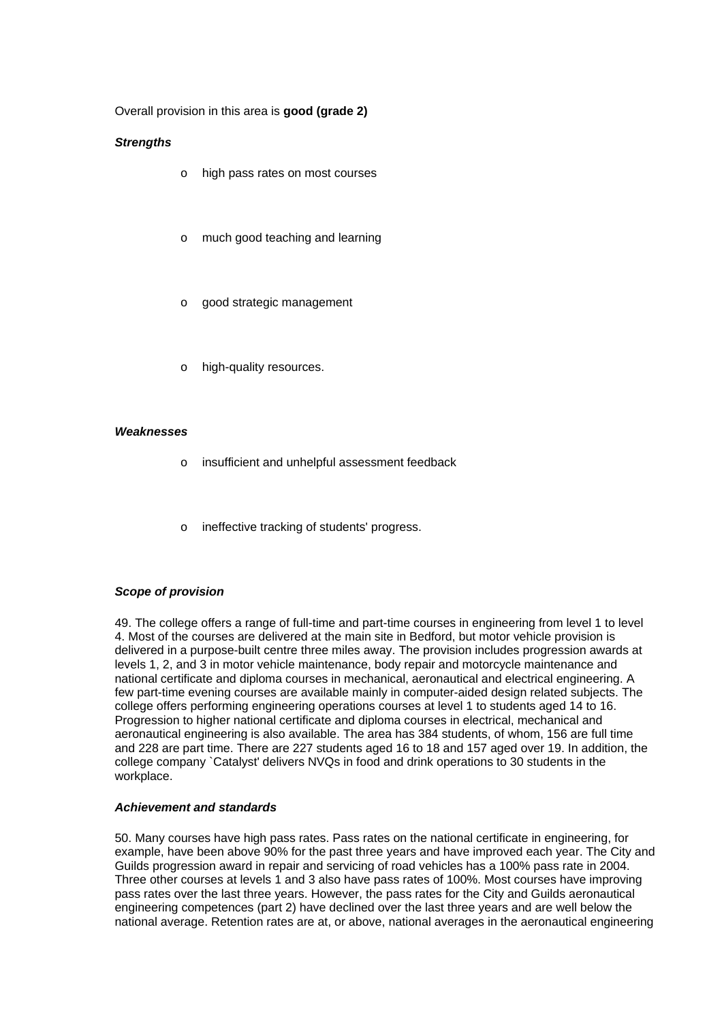Overall provision in this area is **good (grade 2)**

#### *Strengths*

- o high pass rates on most courses
- o much good teaching and learning
- o good strategic management
- o high-quality resources.

#### *Weaknesses*

- o insufficient and unhelpful assessment feedback
- o ineffective tracking of students' progress.

#### *Scope of provision*

49. The college offers a range of full-time and part-time courses in engineering from level 1 to level 4. Most of the courses are delivered at the main site in Bedford, but motor vehicle provision is delivered in a purpose-built centre three miles away. The provision includes progression awards at levels 1, 2, and 3 in motor vehicle maintenance, body repair and motorcycle maintenance and national certificate and diploma courses in mechanical, aeronautical and electrical engineering. A few part-time evening courses are available mainly in computer-aided design related subjects. The college offers performing engineering operations courses at level 1 to students aged 14 to 16. Progression to higher national certificate and diploma courses in electrical, mechanical and aeronautical engineering is also available. The area has 384 students, of whom, 156 are full time and 228 are part time. There are 227 students aged 16 to 18 and 157 aged over 19. In addition, the college company `Catalyst' delivers NVQs in food and drink operations to 30 students in the workplace.

#### *Achievement and standards*

50. Many courses have high pass rates. Pass rates on the national certificate in engineering, for example, have been above 90% for the past three years and have improved each year. The City and Guilds progression award in repair and servicing of road vehicles has a 100% pass rate in 2004. Three other courses at levels 1 and 3 also have pass rates of 100%. Most courses have improving pass rates over the last three years. However, the pass rates for the City and Guilds aeronautical engineering competences (part 2) have declined over the last three years and are well below the national average. Retention rates are at, or above, national averages in the aeronautical engineering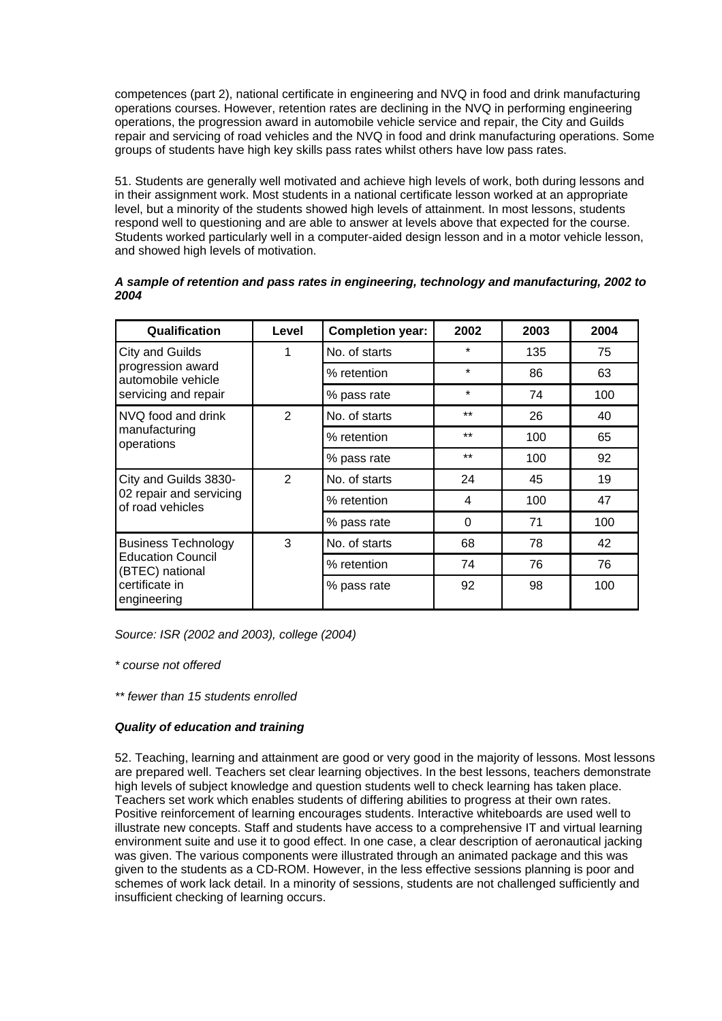competences (part 2), national certificate in engineering and NVQ in food and drink manufacturing operations courses. However, retention rates are declining in the NVQ in performing engineering operations, the progression award in automobile vehicle service and repair, the City and Guilds repair and servicing of road vehicles and the NVQ in food and drink manufacturing operations. Some groups of students have high key skills pass rates whilst others have low pass rates.

51. Students are generally well motivated and achieve high levels of work, both during lessons and in their assignment work. Most students in a national certificate lesson worked at an appropriate level, but a minority of the students showed high levels of attainment. In most lessons, students respond well to questioning and are able to answer at levels above that expected for the course. Students worked particularly well in a computer-aided design lesson and in a motor vehicle lesson, and showed high levels of motivation.

| Qualification                                                             | Level          | <b>Completion year:</b> | 2002     | 2003 | 2004 |
|---------------------------------------------------------------------------|----------------|-------------------------|----------|------|------|
| City and Guilds                                                           | 1              | No. of starts           | $\star$  | 135  | 75   |
| progression award<br>automobile vehicle                                   |                | % retention             | $\star$  | 86   | 63   |
| servicing and repair                                                      |                | % pass rate             | $\star$  | 74   | 100  |
| NVQ food and drink                                                        | $\overline{2}$ | No. of starts           | $***$    | 26   | 40   |
| manufacturing<br>operations                                               |                | % retention             | $***$    | 100  | 65   |
|                                                                           |                | % pass rate             | $***$    | 100  | 92   |
| City and Guilds 3830-<br>02 repair and servicing<br>of road vehicles      | $\mathfrak{p}$ | No. of starts           | 24       | 45   | 19   |
|                                                                           |                | % retention             | 4        | 100  | 47   |
|                                                                           |                | % pass rate             | $\Omega$ | 71   | 100  |
| <b>Business Technology</b><br><b>Education Council</b><br>(BTEC) national | 3              | No. of starts           | 68       | 78   | 42   |
|                                                                           |                | % retention             | 74       | 76   | 76   |
| certificate in<br>engineering                                             |                | % pass rate             | 92       | 98   | 100  |

# *A sample of retention and pass rates in engineering, technology and manufacturing, 2002 to 2004*

*Source: ISR (2002 and 2003), college (2004)*

*\* course not offered*

*\*\* fewer than 15 students enrolled*

# *Quality of education and training*

52. Teaching, learning and attainment are good or very good in the majority of lessons. Most lessons are prepared well. Teachers set clear learning objectives. In the best lessons, teachers demonstrate high levels of subject knowledge and question students well to check learning has taken place. Teachers set work which enables students of differing abilities to progress at their own rates. Positive reinforcement of learning encourages students. Interactive whiteboards are used well to illustrate new concepts. Staff and students have access to a comprehensive IT and virtual learning environment suite and use it to good effect. In one case, a clear description of aeronautical jacking was given. The various components were illustrated through an animated package and this was given to the students as a CD-ROM. However, in the less effective sessions planning is poor and schemes of work lack detail. In a minority of sessions, students are not challenged sufficiently and insufficient checking of learning occurs.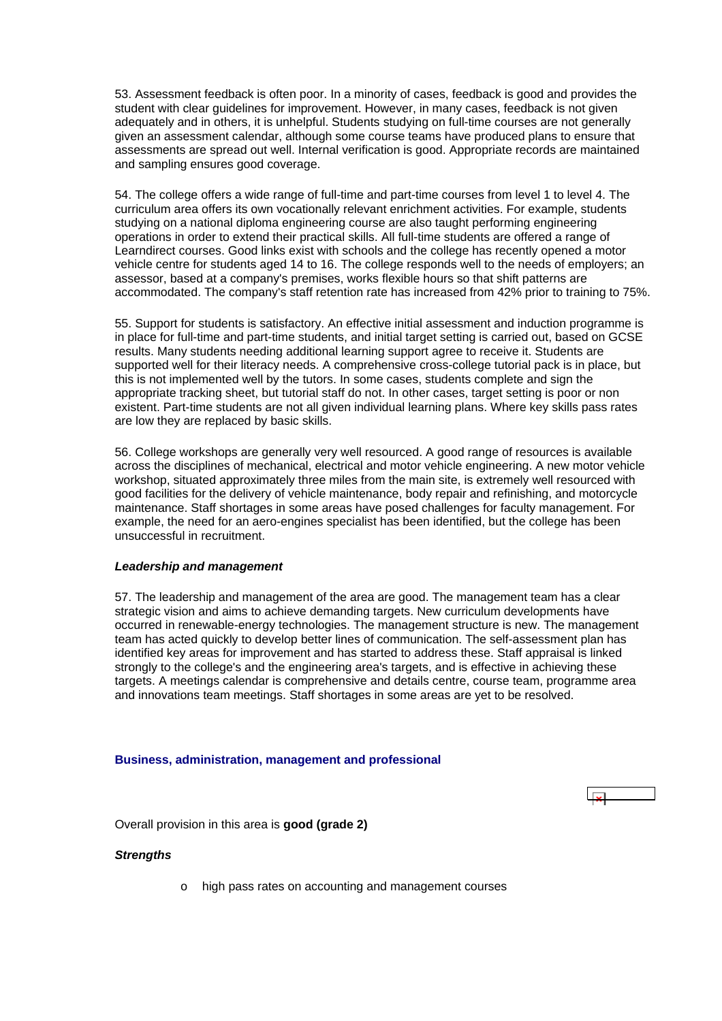<span id="page-22-0"></span>53. Assessment feedback is often poor. In a minority of cases, feedback is good and provides the student with clear guidelines for improvement. However, in many cases, feedback is not given adequately and in others, it is unhelpful. Students studying on full-time courses are not generally given an assessment calendar, although some course teams have produced plans to ensure that assessments are spread out well. Internal verification is good. Appropriate records are maintained and sampling ensures good coverage.

54. The college offers a wide range of full-time and part-time courses from level 1 to level 4. The curriculum area offers its own vocationally relevant enrichment activities. For example, students studying on a national diploma engineering course are also taught performing engineering operations in order to extend their practical skills. All full-time students are offered a range of Learndirect courses. Good links exist with schools and the college has recently opened a motor vehicle centre for students aged 14 to 16. The college responds well to the needs of employers; an assessor, based at a company's premises, works flexible hours so that shift patterns are accommodated. The company's staff retention rate has increased from 42% prior to training to 75%.

55. Support for students is satisfactory. An effective initial assessment and induction programme is in place for full-time and part-time students, and initial target setting is carried out, based on GCSE results. Many students needing additional learning support agree to receive it. Students are supported well for their literacy needs. A comprehensive cross-college tutorial pack is in place, but this is not implemented well by the tutors. In some cases, students complete and sign the appropriate tracking sheet, but tutorial staff do not. In other cases, target setting is poor or non existent. Part-time students are not all given individual learning plans. Where key skills pass rates are low they are replaced by basic skills.

56. College workshops are generally very well resourced. A good range of resources is available across the disciplines of mechanical, electrical and motor vehicle engineering. A new motor vehicle workshop, situated approximately three miles from the main site, is extremely well resourced with good facilities for the delivery of vehicle maintenance, body repair and refinishing, and motorcycle maintenance. Staff shortages in some areas have posed challenges for faculty management. For example, the need for an aero-engines specialist has been identified, but the college has been unsuccessful in recruitment.

#### *Leadership and management*

57. The leadership and management of the area are good. The management team has a clear strategic vision and aims to achieve demanding targets. New curriculum developments have occurred in renewable-energy technologies. The management structure is new. The management team has acted quickly to develop better lines of communication. The self-assessment plan has identified key areas for improvement and has started to address these. Staff appraisal is linked strongly to the college's and the engineering area's targets, and is effective in achieving these targets. A meetings calendar is comprehensive and details centre, course team, programme area and innovations team meetings. Staff shortages in some areas are yet to be resolved.

#### **Business, administration, management and professional**

Overall provision in this area is **good (grade 2)**

#### *Strengths*

o high pass rates on accounting and management courses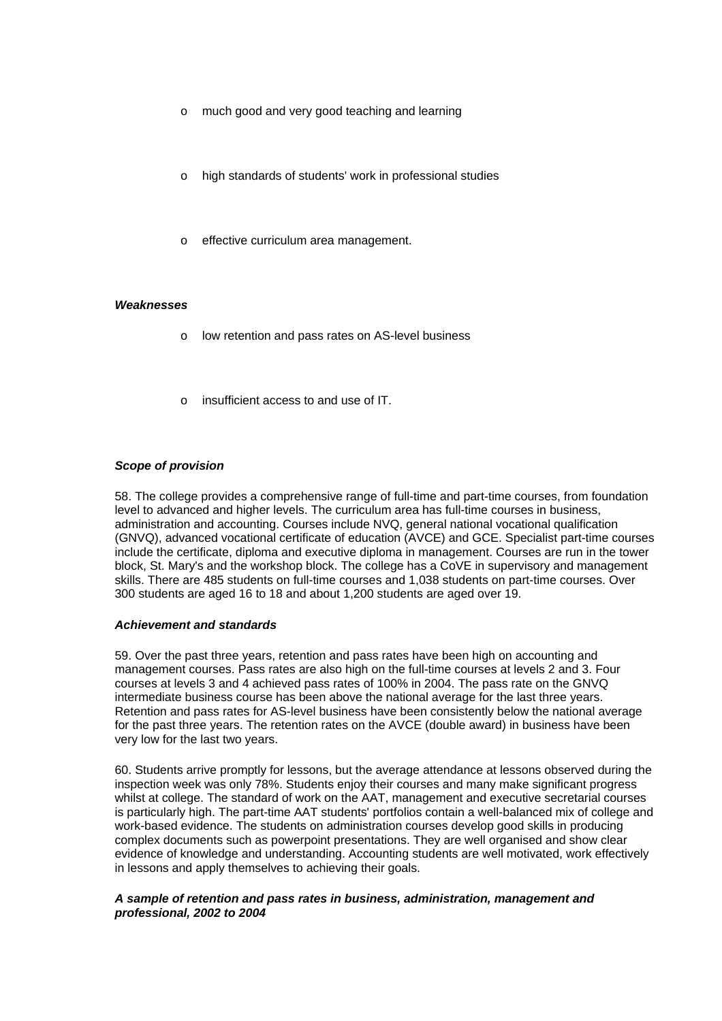- o much good and very good teaching and learning
- high standards of students' work in professional studies
- effective curriculum area management.

#### *Weaknesses*

- o low retention and pass rates on AS-level business
- insufficient access to and use of IT.

#### *Scope of provision*

58. The college provides a comprehensive range of full-time and part-time courses, from foundation level to advanced and higher levels. The curriculum area has full-time courses in business, administration and accounting. Courses include NVQ, general national vocational qualification (GNVQ), advanced vocational certificate of education (AVCE) and GCE. Specialist part-time courses include the certificate, diploma and executive diploma in management. Courses are run in the tower block, St. Mary's and the workshop block. The college has a CoVE in supervisory and management skills. There are 485 students on full-time courses and 1,038 students on part-time courses. Over 300 students are aged 16 to 18 and about 1,200 students are aged over 19.

#### *Achievement and standards*

59. Over the past three years, retention and pass rates have been high on accounting and management courses. Pass rates are also high on the full-time courses at levels 2 and 3. Four courses at levels 3 and 4 achieved pass rates of 100% in 2004. The pass rate on the GNVQ intermediate business course has been above the national average for the last three years. Retention and pass rates for AS-level business have been consistently below the national average for the past three years. The retention rates on the AVCE (double award) in business have been very low for the last two years.

60. Students arrive promptly for lessons, but the average attendance at lessons observed during the inspection week was only 78%. Students enjoy their courses and many make significant progress whilst at college. The standard of work on the AAT, management and executive secretarial courses is particularly high. The part-time AAT students' portfolios contain a well-balanced mix of college and work-based evidence. The students on administration courses develop good skills in producing complex documents such as powerpoint presentations. They are well organised and show clear evidence of knowledge and understanding. Accounting students are well motivated, work effectively in lessons and apply themselves to achieving their goals.

# *A sample of retention and pass rates in business, administration, management and professional, 2002 to 2004*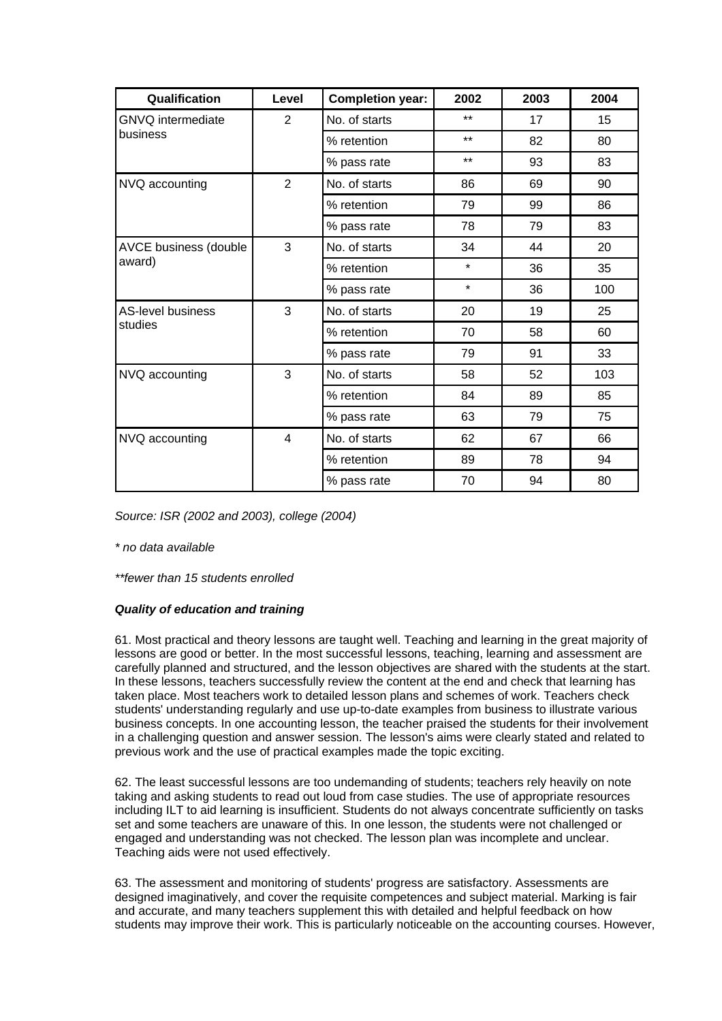| Qualification                       | Level          | <b>Completion year:</b> | 2002    | 2003 | 2004 |
|-------------------------------------|----------------|-------------------------|---------|------|------|
| <b>GNVQ</b> intermediate            | $\overline{2}$ | No. of starts           | $***$   | 17   | 15   |
| business                            |                | % retention             | $***$   | 82   | 80   |
|                                     |                | % pass rate             | $***$   | 93   | 83   |
| NVQ accounting                      | $\overline{2}$ | No. of starts           | 86      | 69   | 90   |
|                                     |                | % retention             | 79      | 99   | 86   |
|                                     |                | % pass rate             | 78      | 79   | 83   |
| AVCE business (double               | 3              | No. of starts           | 34      | 44   | 20   |
| award)                              |                | % retention             | $\star$ | 36   | 35   |
|                                     |                | % pass rate             | $\star$ | 36   | 100  |
| <b>AS-level business</b><br>studies | 3              | No. of starts           | 20      | 19   | 25   |
|                                     |                | % retention             | 70      | 58   | 60   |
|                                     |                | % pass rate             | 79      | 91   | 33   |
| NVQ accounting                      | 3              | No. of starts           | 58      | 52   | 103  |
|                                     |                | % retention             | 84      | 89   | 85   |
|                                     |                | % pass rate             | 63      | 79   | 75   |
| NVQ accounting                      | $\overline{4}$ | No. of starts           | 62      | 67   | 66   |
|                                     |                | % retention             | 89      | 78   | 94   |
|                                     |                | % pass rate             | 70      | 94   | 80   |

*Source: ISR (2002 and 2003), college (2004)*

*\* no data available*

*\*\*fewer than 15 students enrolled*

# *Quality of education and training*

61. Most practical and theory lessons are taught well. Teaching and learning in the great majority of lessons are good or better. In the most successful lessons, teaching, learning and assessment are carefully planned and structured, and the lesson objectives are shared with the students at the start. In these lessons, teachers successfully review the content at the end and check that learning has taken place. Most teachers work to detailed lesson plans and schemes of work. Teachers check students' understanding regularly and use up-to-date examples from business to illustrate various business concepts. In one accounting lesson, the teacher praised the students for their involvement in a challenging question and answer session. The lesson's aims were clearly stated and related to previous work and the use of practical examples made the topic exciting.

62. The least successful lessons are too undemanding of students; teachers rely heavily on note taking and asking students to read out loud from case studies. The use of appropriate resources including ILT to aid learning is insufficient. Students do not always concentrate sufficiently on tasks set and some teachers are unaware of this. In one lesson, the students were not challenged or engaged and understanding was not checked. The lesson plan was incomplete and unclear. Teaching aids were not used effectively.

63. The assessment and monitoring of students' progress are satisfactory. Assessments are designed imaginatively, and cover the requisite competences and subject material. Marking is fair and accurate, and many teachers supplement this with detailed and helpful feedback on how students may improve their work. This is particularly noticeable on the accounting courses. However,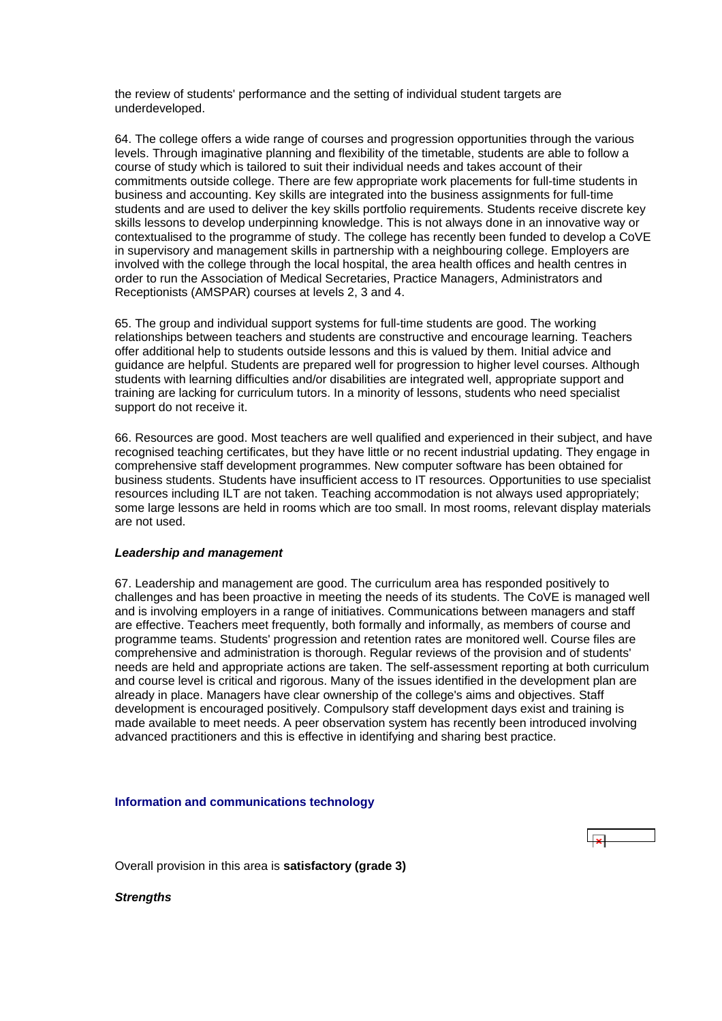<span id="page-25-0"></span>the review of students' performance and the setting of individual student targets are underdeveloped.

64. The college offers a wide range of courses and progression opportunities through the various levels. Through imaginative planning and flexibility of the timetable, students are able to follow a course of study which is tailored to suit their individual needs and takes account of their commitments outside college. There are few appropriate work placements for full-time students in business and accounting. Key skills are integrated into the business assignments for full-time students and are used to deliver the key skills portfolio requirements. Students receive discrete key skills lessons to develop underpinning knowledge. This is not always done in an innovative way or contextualised to the programme of study. The college has recently been funded to develop a CoVE in supervisory and management skills in partnership with a neighbouring college. Employers are involved with the college through the local hospital, the area health offices and health centres in order to run the Association of Medical Secretaries, Practice Managers, Administrators and Receptionists (AMSPAR) courses at levels 2, 3 and 4.

65. The group and individual support systems for full-time students are good. The working relationships between teachers and students are constructive and encourage learning. Teachers offer additional help to students outside lessons and this is valued by them. Initial advice and guidance are helpful. Students are prepared well for progression to higher level courses. Although students with learning difficulties and/or disabilities are integrated well, appropriate support and training are lacking for curriculum tutors. In a minority of lessons, students who need specialist support do not receive it.

66. Resources are good. Most teachers are well qualified and experienced in their subject, and have recognised teaching certificates, but they have little or no recent industrial updating. They engage in comprehensive staff development programmes. New computer software has been obtained for business students. Students have insufficient access to IT resources. Opportunities to use specialist resources including ILT are not taken. Teaching accommodation is not always used appropriately; some large lessons are held in rooms which are too small. In most rooms, relevant display materials are not used.

#### *Leadership and management*

67. Leadership and management are good. The curriculum area has responded positively to challenges and has been proactive in meeting the needs of its students. The CoVE is managed well and is involving employers in a range of initiatives. Communications between managers and staff are effective. Teachers meet frequently, both formally and informally, as members of course and programme teams. Students' progression and retention rates are monitored well. Course files are comprehensive and administration is thorough. Regular reviews of the provision and of students' needs are held and appropriate actions are taken. The self-assessment reporting at both curriculum and course level is critical and rigorous. Many of the issues identified in the development plan are already in place. Managers have clear ownership of the college's aims and objectives. Staff development is encouraged positively. Compulsory staff development days exist and training is made available to meet needs. A peer observation system has recently been introduced involving advanced practitioners and this is effective in identifying and sharing best practice.

#### **Information and communications technology**

Overall provision in this area is **satisfactory (grade 3)**

*Strengths*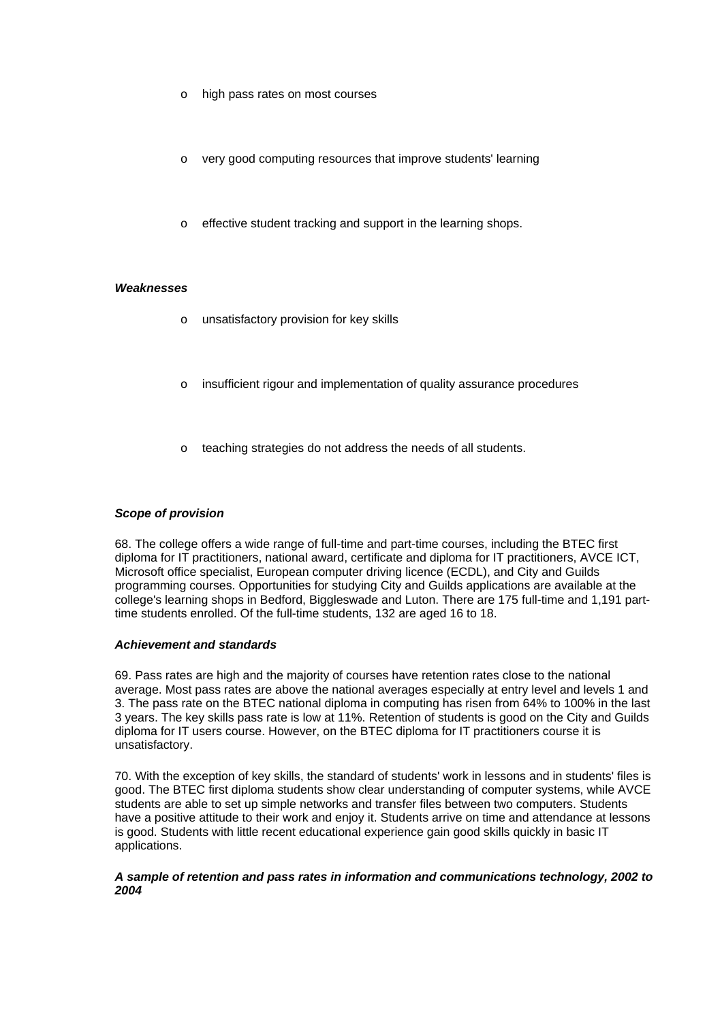- high pass rates on most courses
- very good computing resources that improve students' learning
- o effective student tracking and support in the learning shops.

#### *Weaknesses*

- o unsatisfactory provision for key skills
- o insufficient rigour and implementation of quality assurance procedures
- o teaching strategies do not address the needs of all students.

#### *Scope of provision*

68. The college offers a wide range of full-time and part-time courses, including the BTEC first diploma for IT practitioners, national award, certificate and diploma for IT practitioners, AVCE ICT, Microsoft office specialist, European computer driving licence (ECDL), and City and Guilds programming courses. Opportunities for studying City and Guilds applications are available at the college's learning shops in Bedford, Biggleswade and Luton. There are 175 full-time and 1,191 parttime students enrolled. Of the full-time students, 132 are aged 16 to 18.

### *Achievement and standards*

69. Pass rates are high and the majority of courses have retention rates close to the national average. Most pass rates are above the national averages especially at entry level and levels 1 and 3. The pass rate on the BTEC national diploma in computing has risen from 64% to 100% in the last 3 years. The key skills pass rate is low at 11%. Retention of students is good on the City and Guilds diploma for IT users course. However, on the BTEC diploma for IT practitioners course it is unsatisfactory.

70. With the exception of key skills, the standard of students' work in lessons and in students' files is good. The BTEC first diploma students show clear understanding of computer systems, while AVCE students are able to set up simple networks and transfer files between two computers. Students have a positive attitude to their work and enjoy it. Students arrive on time and attendance at lessons is good. Students with little recent educational experience gain good skills quickly in basic IT applications.

#### *A sample of retention and pass rates in information and communications technology, 2002 to 2004*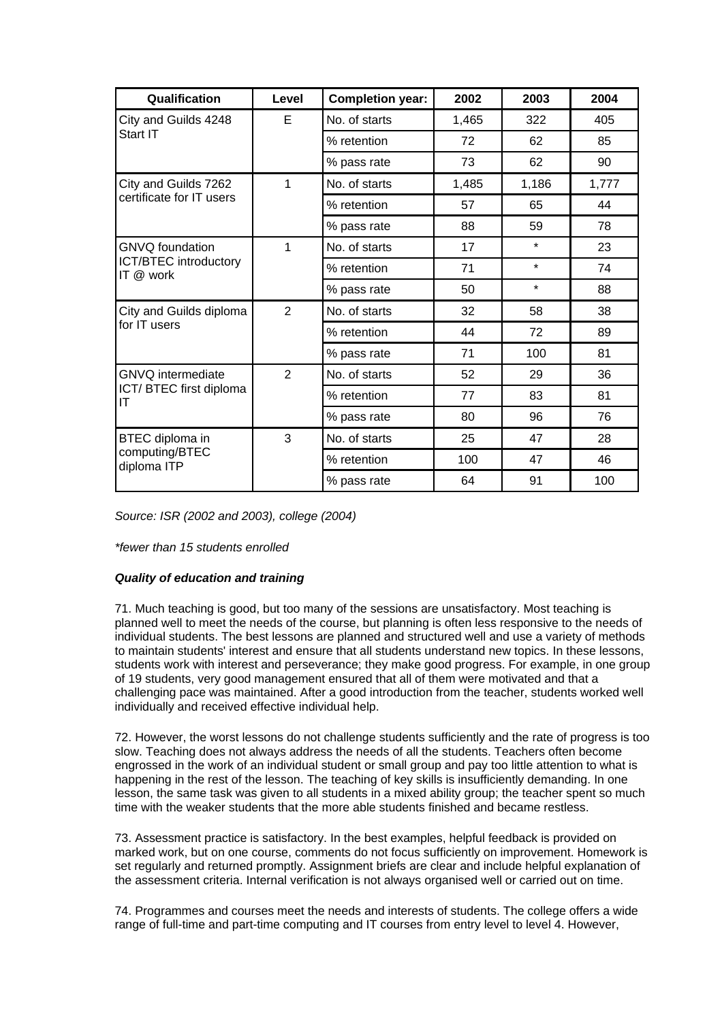| Qualification                             | Level          | <b>Completion year:</b> | 2002  | 2003    | 2004  |
|-------------------------------------------|----------------|-------------------------|-------|---------|-------|
| City and Guilds 4248                      | E              | No. of starts           | 1,465 | 322     | 405   |
| Start IT                                  |                | % retention             | 72    | 62      | 85    |
|                                           |                | % pass rate             | 73    | 62      | 90    |
| City and Guilds 7262                      | 1              | No. of starts           | 1,485 | 1,186   | 1,777 |
| certificate for IT users                  |                | % retention             | 57    | 65      | 44    |
|                                           |                | % pass rate             | 88    | 59      | 78    |
| <b>GNVQ</b> foundation                    | 1              | No. of starts           | 17    | $\star$ | 23    |
| <b>ICT/BTEC introductory</b><br>IT @ work |                | % retention             | 71    | $\star$ | 74    |
|                                           |                | % pass rate             | 50    | $\star$ | 88    |
| City and Guilds diploma<br>for IT users   | $\overline{2}$ | No. of starts           | 32    | 58      | 38    |
|                                           |                | % retention             | 44    | 72      | 89    |
|                                           |                | % pass rate             | 71    | 100     | 81    |
| <b>GNVQ</b> intermediate                  | $\overline{2}$ | No. of starts           | 52    | 29      | 36    |
| ICT/BTEC first diploma<br>IT              |                | % retention             | 77    | 83      | 81    |
|                                           |                | % pass rate             | 80    | 96      | 76    |
| BTEC diploma in                           | 3              | No. of starts           | 25    | 47      | 28    |
| computing/BTEC<br>diploma ITP             |                | % retention             | 100   | 47      | 46    |
|                                           |                | % pass rate             | 64    | 91      | 100   |

*Source: ISR (2002 and 2003), college (2004)*

*\*fewer than 15 students enrolled*

# *Quality of education and training*

71. Much teaching is good, but too many of the sessions are unsatisfactory. Most teaching is planned well to meet the needs of the course, but planning is often less responsive to the needs of individual students. The best lessons are planned and structured well and use a variety of methods to maintain students' interest and ensure that all students understand new topics. In these lessons, students work with interest and perseverance; they make good progress. For example, in one group of 19 students, very good management ensured that all of them were motivated and that a challenging pace was maintained. After a good introduction from the teacher, students worked well individually and received effective individual help.

72. However, the worst lessons do not challenge students sufficiently and the rate of progress is too slow. Teaching does not always address the needs of all the students. Teachers often become engrossed in the work of an individual student or small group and pay too little attention to what is happening in the rest of the lesson. The teaching of key skills is insufficiently demanding. In one lesson, the same task was given to all students in a mixed ability group; the teacher spent so much time with the weaker students that the more able students finished and became restless.

73. Assessment practice is satisfactory. In the best examples, helpful feedback is provided on marked work, but on one course, comments do not focus sufficiently on improvement. Homework is set regularly and returned promptly. Assignment briefs are clear and include helpful explanation of the assessment criteria. Internal verification is not always organised well or carried out on time.

74. Programmes and courses meet the needs and interests of students. The college offers a wide range of full-time and part-time computing and IT courses from entry level to level 4. However,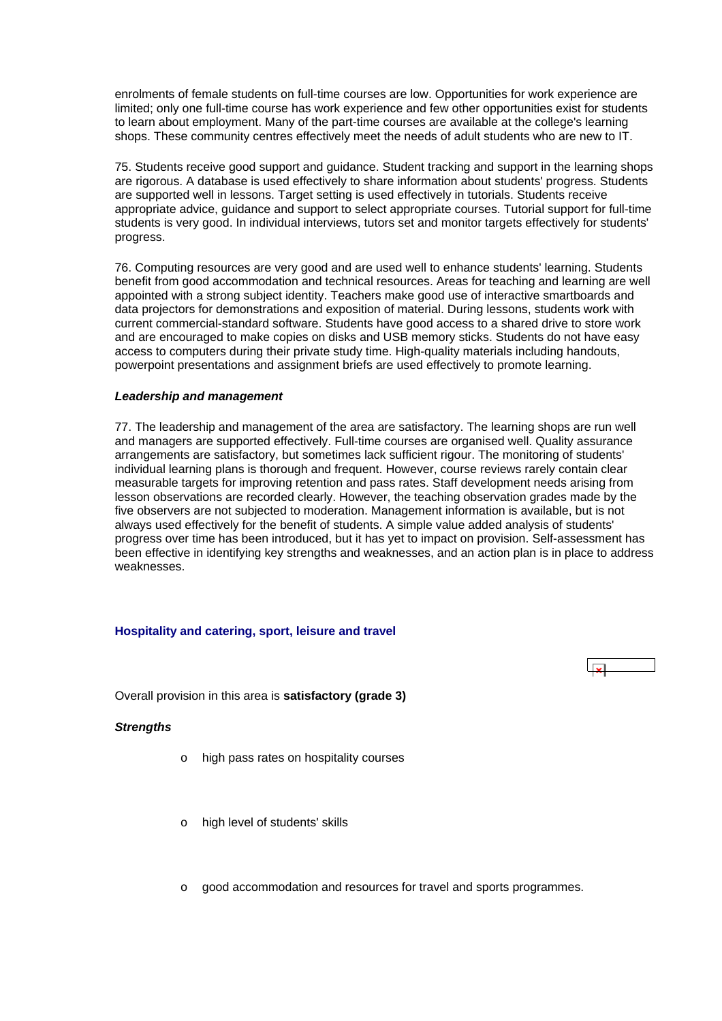<span id="page-28-0"></span>enrolments of female students on full-time courses are low. Opportunities for work experience are limited; only one full-time course has work experience and few other opportunities exist for students to learn about employment. Many of the part-time courses are available at the college's learning shops. These community centres effectively meet the needs of adult students who are new to IT.

75. Students receive good support and guidance. Student tracking and support in the learning shops are rigorous. A database is used effectively to share information about students' progress. Students are supported well in lessons. Target setting is used effectively in tutorials. Students receive appropriate advice, guidance and support to select appropriate courses. Tutorial support for full-time students is very good. In individual interviews, tutors set and monitor targets effectively for students' progress.

76. Computing resources are very good and are used well to enhance students' learning. Students benefit from good accommodation and technical resources. Areas for teaching and learning are well appointed with a strong subject identity. Teachers make good use of interactive smartboards and data projectors for demonstrations and exposition of material. During lessons, students work with current commercial-standard software. Students have good access to a shared drive to store work and are encouraged to make copies on disks and USB memory sticks. Students do not have easy access to computers during their private study time. High-quality materials including handouts, powerpoint presentations and assignment briefs are used effectively to promote learning.

#### *Leadership and management*

77. The leadership and management of the area are satisfactory. The learning shops are run well and managers are supported effectively. Full-time courses are organised well. Quality assurance arrangements are satisfactory, but sometimes lack sufficient rigour. The monitoring of students' individual learning plans is thorough and frequent. However, course reviews rarely contain clear measurable targets for improving retention and pass rates. Staff development needs arising from lesson observations are recorded clearly. However, the teaching observation grades made by the five observers are not subjected to moderation. Management information is available, but is not always used effectively for the benefit of students. A simple value added analysis of students' progress over time has been introduced, but it has yet to impact on provision. Self-assessment has been effective in identifying key strengths and weaknesses, and an action plan is in place to address weaknesses.

 $\overline{1}$ 

# **Hospitality and catering, sport, leisure and travel**

Overall provision in this area is **satisfactory (grade 3)**

#### *Strengths*

- high pass rates on hospitality courses
- o high level of students' skills
- $\circ$  good accommodation and resources for travel and sports programmes.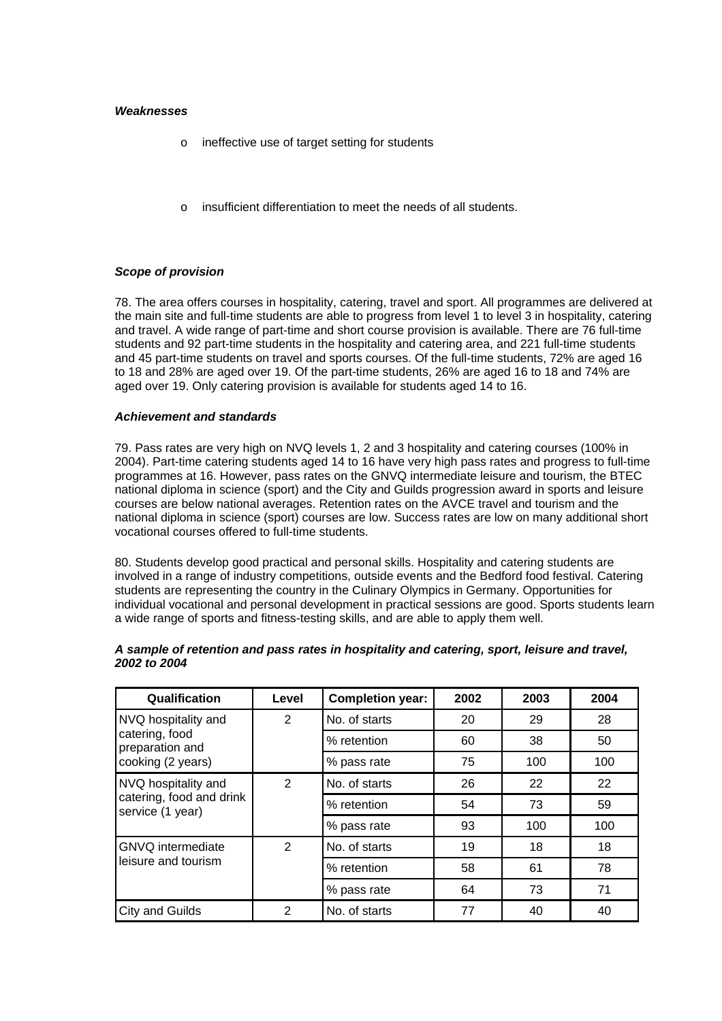#### *Weaknesses*

- o ineffective use of target setting for students
- o insufficient differentiation to meet the needs of all students.

# *Scope of provision*

78. The area offers courses in hospitality, catering, travel and sport. All programmes are delivered at the main site and full-time students are able to progress from level 1 to level 3 in hospitality, catering and travel. A wide range of part-time and short course provision is available. There are 76 full-time students and 92 part-time students in the hospitality and catering area, and 221 full-time students and 45 part-time students on travel and sports courses. Of the full-time students, 72% are aged 16 to 18 and 28% are aged over 19. Of the part-time students, 26% are aged 16 to 18 and 74% are aged over 19. Only catering provision is available for students aged 14 to 16.

#### *Achievement and standards*

79. Pass rates are very high on NVQ levels 1, 2 and 3 hospitality and catering courses (100% in 2004). Part-time catering students aged 14 to 16 have very high pass rates and progress to full-time programmes at 16. However, pass rates on the GNVQ intermediate leisure and tourism, the BTEC national diploma in science (sport) and the City and Guilds progression award in sports and leisure courses are below national averages. Retention rates on the AVCE travel and tourism and the national diploma in science (sport) courses are low. Success rates are low on many additional short vocational courses offered to full-time students.

80. Students develop good practical and personal skills. Hospitality and catering students are involved in a range of industry competitions, outside events and the Bedford food festival. Catering students are representing the country in the Culinary Olympics in Germany. Opportunities for individual vocational and personal development in practical sessions are good. Sports students learn a wide range of sports and fitness-testing skills, and are able to apply them well.

| Qualification                                                       | Level        | <b>Completion year:</b> | 2002 | 2003 | 2004 |
|---------------------------------------------------------------------|--------------|-------------------------|------|------|------|
| NVQ hospitality and                                                 | 2            | No. of starts           | 20   | 29   | 28   |
| catering, food<br>preparation and                                   |              | % retention             | 60   | 38   | 50   |
| cooking (2 years)                                                   |              | % pass rate             | 75   | 100  | 100  |
| NVQ hospitality and<br>catering, food and drink<br>service (1 year) | $\mathbf{2}$ | No. of starts           | 26   | 22   | 22   |
|                                                                     |              | % retention             | 54   | 73   | 59   |
|                                                                     |              | % pass rate             | 93   | 100  | 100  |
| <b>GNVQ</b> intermediate                                            | 2            | No. of starts           | 19   | 18   | 18   |
| leisure and tourism                                                 |              | % retention             | 58   | 61   | 78   |
|                                                                     |              | % pass rate             | 64   | 73   | 71   |
| City and Guilds                                                     | 2            | No. of starts           | 77   | 40   | 40   |

#### *A sample of retention and pass rates in hospitality and catering, sport, leisure and travel, 2002 to 2004*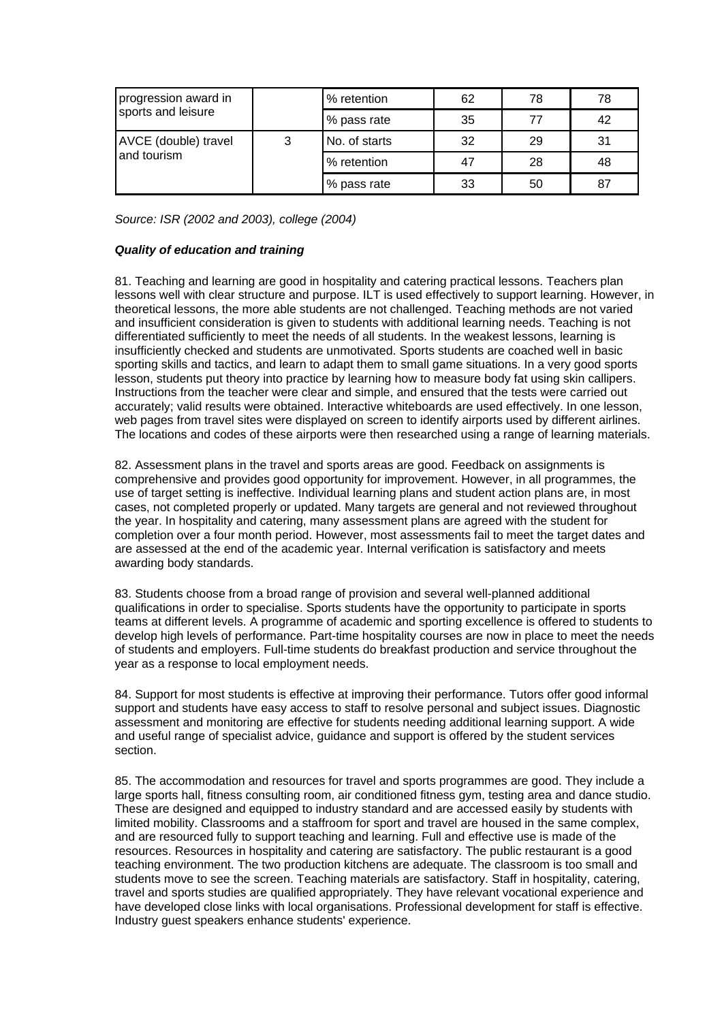| progression award in                |   | % retention   | 62 | 78 | 78 |
|-------------------------------------|---|---------------|----|----|----|
| sports and leisure                  |   | % pass rate   | 35 | 77 | 42 |
| AVCE (double) travel<br>and tourism | 3 | No. of starts | 32 | 29 | 31 |
|                                     |   | % retention   | 47 | 28 | 48 |
|                                     |   | % pass rate   | 33 | 50 | 87 |

*Source: ISR (2002 and 2003), college (2004)*

# *Quality of education and training*

81. Teaching and learning are good in hospitality and catering practical lessons. Teachers plan lessons well with clear structure and purpose. ILT is used effectively to support learning. However, in theoretical lessons, the more able students are not challenged. Teaching methods are not varied and insufficient consideration is given to students with additional learning needs. Teaching is not differentiated sufficiently to meet the needs of all students. In the weakest lessons, learning is insufficiently checked and students are unmotivated. Sports students are coached well in basic sporting skills and tactics, and learn to adapt them to small game situations. In a very good sports lesson, students put theory into practice by learning how to measure body fat using skin callipers. Instructions from the teacher were clear and simple, and ensured that the tests were carried out accurately; valid results were obtained. Interactive whiteboards are used effectively. In one lesson, web pages from travel sites were displayed on screen to identify airports used by different airlines. The locations and codes of these airports were then researched using a range of learning materials.

82. Assessment plans in the travel and sports areas are good. Feedback on assignments is comprehensive and provides good opportunity for improvement. However, in all programmes, the use of target setting is ineffective. Individual learning plans and student action plans are, in most cases, not completed properly or updated. Many targets are general and not reviewed throughout the year. In hospitality and catering, many assessment plans are agreed with the student for completion over a four month period. However, most assessments fail to meet the target dates and are assessed at the end of the academic year. Internal verification is satisfactory and meets awarding body standards.

83. Students choose from a broad range of provision and several well-planned additional qualifications in order to specialise. Sports students have the opportunity to participate in sports teams at different levels. A programme of academic and sporting excellence is offered to students to develop high levels of performance. Part-time hospitality courses are now in place to meet the needs of students and employers. Full-time students do breakfast production and service throughout the year as a response to local employment needs.

84. Support for most students is effective at improving their performance. Tutors offer good informal support and students have easy access to staff to resolve personal and subject issues. Diagnostic assessment and monitoring are effective for students needing additional learning support. A wide and useful range of specialist advice, guidance and support is offered by the student services section.

85. The accommodation and resources for travel and sports programmes are good. They include a large sports hall, fitness consulting room, air conditioned fitness gym, testing area and dance studio. These are designed and equipped to industry standard and are accessed easily by students with limited mobility. Classrooms and a staffroom for sport and travel are housed in the same complex, and are resourced fully to support teaching and learning. Full and effective use is made of the resources. Resources in hospitality and catering are satisfactory. The public restaurant is a good teaching environment. The two production kitchens are adequate. The classroom is too small and students move to see the screen. Teaching materials are satisfactory. Staff in hospitality, catering, travel and sports studies are qualified appropriately. They have relevant vocational experience and have developed close links with local organisations. Professional development for staff is effective. Industry guest speakers enhance students' experience.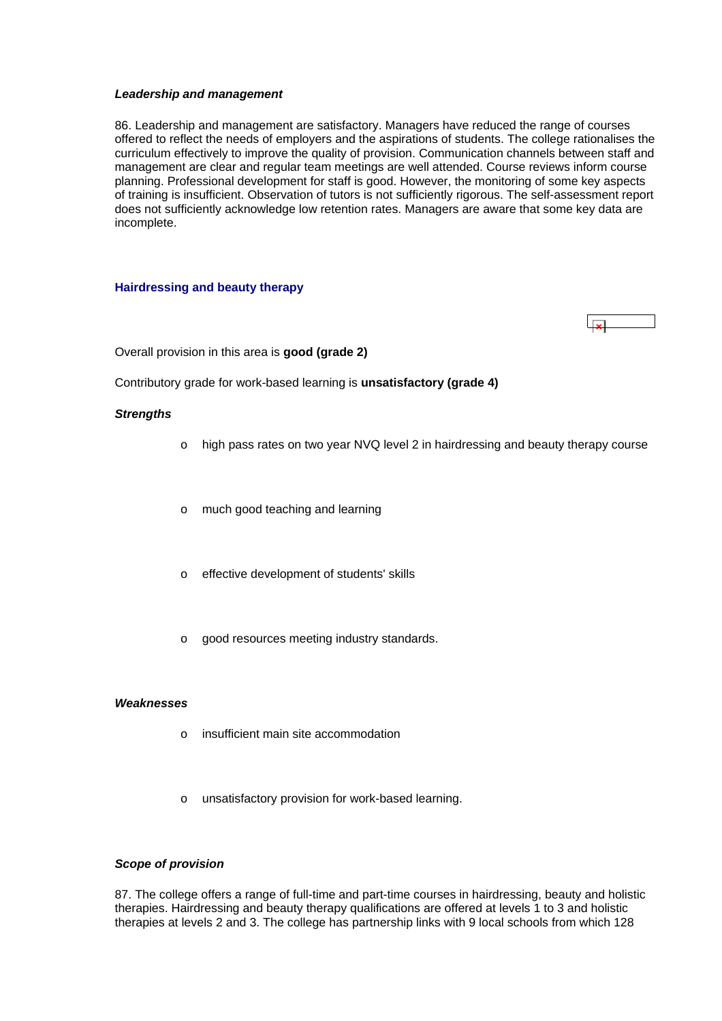#### <span id="page-31-0"></span>*Leadership and management*

86. Leadership and management are satisfactory. Managers have reduced the range of courses offered to reflect the needs of employers and the aspirations of students. The college rationalises the curriculum effectively to improve the quality of provision. Communication channels between staff and management are clear and regular team meetings are well attended. Course reviews inform course planning. Professional development for staff is good. However, the monitoring of some key aspects of training is insufficient. Observation of tutors is not sufficiently rigorous. The self-assessment report does not sufficiently acknowledge low retention rates. Managers are aware that some key data are incomplete.

#### **Hairdressing and beauty therapy**

Overall provision in this area is **good (grade 2)** 

Contributory grade for work-based learning is **unsatisfactory (grade 4)**

#### *Strengths*

- o high pass rates on two year NVQ level 2 in hairdressing and beauty therapy course
- o much good teaching and learning
- o effective development of students' skills
- o good resources meeting industry standards.

#### *Weaknesses*

- o insufficient main site accommodation
- unsatisfactory provision for work-based learning.

#### *Scope of provision*

87. The college offers a range of full-time and part-time courses in hairdressing, beauty and holistic therapies. Hairdressing and beauty therapy qualifications are offered at levels 1 to 3 and holistic therapies at levels 2 and 3. The college has partnership links with 9 local schools from which 128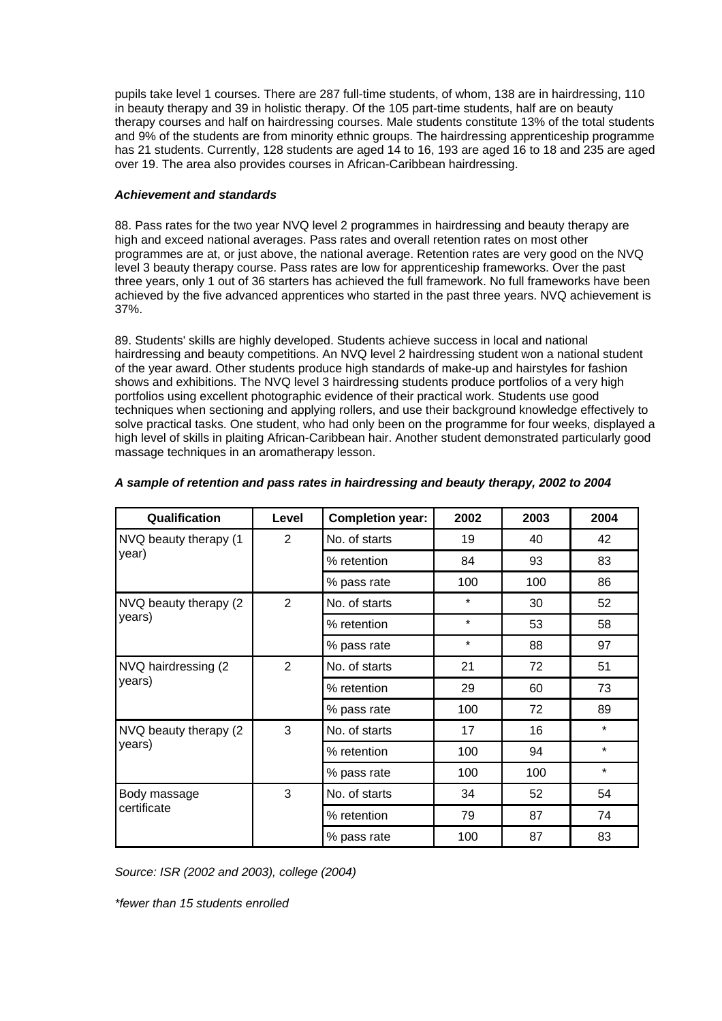pupils take level 1 courses. There are 287 full-time students, of whom, 138 are in hairdressing, 110 in beauty therapy and 39 in holistic therapy. Of the 105 part-time students, half are on beauty therapy courses and half on hairdressing courses. Male students constitute 13% of the total students and 9% of the students are from minority ethnic groups. The hairdressing apprenticeship programme has 21 students. Currently, 128 students are aged 14 to 16, 193 are aged 16 to 18 and 235 are aged over 19. The area also provides courses in African-Caribbean hairdressing.

# *Achievement and standards*

88. Pass rates for the two year NVQ level 2 programmes in hairdressing and beauty therapy are high and exceed national averages. Pass rates and overall retention rates on most other programmes are at, or just above, the national average. Retention rates are very good on the NVQ level 3 beauty therapy course. Pass rates are low for apprenticeship frameworks. Over the past three years, only 1 out of 36 starters has achieved the full framework. No full frameworks have been achieved by the five advanced apprentices who started in the past three years. NVQ achievement is 37%.

89. Students' skills are highly developed. Students achieve success in local and national hairdressing and beauty competitions. An NVQ level 2 hairdressing student won a national student of the year award. Other students produce high standards of make-up and hairstyles for fashion shows and exhibitions. The NVQ level 3 hairdressing students produce portfolios of a very high portfolios using excellent photographic evidence of their practical work. Students use good techniques when sectioning and applying rollers, and use their background knowledge effectively to solve practical tasks. One student, who had only been on the programme for four weeks, displayed a high level of skills in plaiting African-Caribbean hair. Another student demonstrated particularly good massage techniques in an aromatherapy lesson.

| Qualification          | Level          | <b>Completion year:</b> | 2002    | 2003 | 2004    |
|------------------------|----------------|-------------------------|---------|------|---------|
| NVQ beauty therapy (1  | $\overline{2}$ | No. of starts           | 19      | 40   | 42      |
| year)                  |                | % retention             | 84      | 93   | 83      |
|                        |                | % pass rate             | 100     | 100  | 86      |
| NVQ beauty therapy (2) | $\overline{2}$ | No. of starts           | $\star$ | 30   | 52      |
| years)                 |                | % retention             | $\star$ | 53   | 58      |
|                        |                | % pass rate             | $\star$ |      | 97      |
| NVQ hairdressing (2)   | 2              | No. of starts           | 21      | 72   | 51      |
| years)                 |                | % retention             | 29      | 60   | 73      |
|                        |                | % pass rate             | 100     | 72   | 89      |
| NVQ beauty therapy (2) | 3              | No. of starts           | 17      | 16   | $\star$ |
| years)                 |                | % retention             | 100     | 94   | $\star$ |
|                        |                | % pass rate             | 100     | 100  | $\star$ |
| Body massage           | 3              | No. of starts           | 34      | 52   | 54      |
| certificate            |                | % retention             | 79      | 87   | 74      |
|                        |                | % pass rate             | 100     | 87   | 83      |

# *A sample of retention and pass rates in hairdressing and beauty therapy, 2002 to 2004*

*Source: ISR (2002 and 2003), college (2004)*

*\*fewer than 15 students enrolled*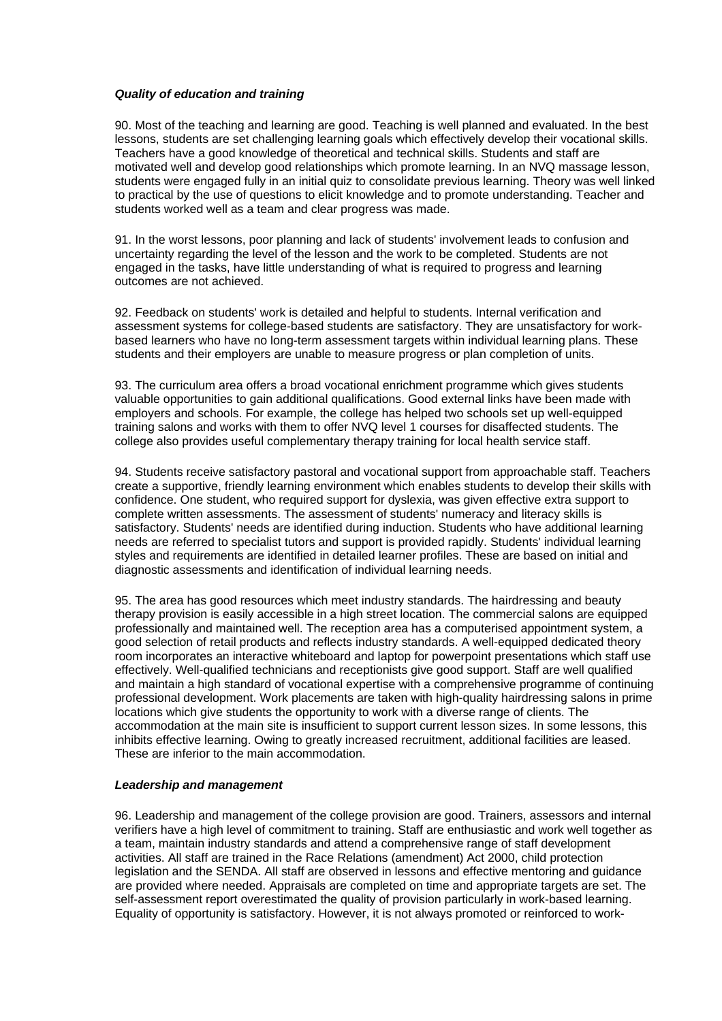#### *Quality of education and training*

90. Most of the teaching and learning are good. Teaching is well planned and evaluated. In the best lessons, students are set challenging learning goals which effectively develop their vocational skills. Teachers have a good knowledge of theoretical and technical skills. Students and staff are motivated well and develop good relationships which promote learning. In an NVQ massage lesson, students were engaged fully in an initial quiz to consolidate previous learning. Theory was well linked to practical by the use of questions to elicit knowledge and to promote understanding. Teacher and students worked well as a team and clear progress was made.

91. In the worst lessons, poor planning and lack of students' involvement leads to confusion and uncertainty regarding the level of the lesson and the work to be completed. Students are not engaged in the tasks, have little understanding of what is required to progress and learning outcomes are not achieved.

92. Feedback on students' work is detailed and helpful to students. Internal verification and assessment systems for college-based students are satisfactory. They are unsatisfactory for workbased learners who have no long-term assessment targets within individual learning plans. These students and their employers are unable to measure progress or plan completion of units.

93. The curriculum area offers a broad vocational enrichment programme which gives students valuable opportunities to gain additional qualifications. Good external links have been made with employers and schools. For example, the college has helped two schools set up well-equipped training salons and works with them to offer NVQ level 1 courses for disaffected students. The college also provides useful complementary therapy training for local health service staff.

94. Students receive satisfactory pastoral and vocational support from approachable staff. Teachers create a supportive, friendly learning environment which enables students to develop their skills with confidence. One student, who required support for dyslexia, was given effective extra support to complete written assessments. The assessment of students' numeracy and literacy skills is satisfactory. Students' needs are identified during induction. Students who have additional learning needs are referred to specialist tutors and support is provided rapidly. Students' individual learning styles and requirements are identified in detailed learner profiles. These are based on initial and diagnostic assessments and identification of individual learning needs.

95. The area has good resources which meet industry standards. The hairdressing and beauty therapy provision is easily accessible in a high street location. The commercial salons are equipped professionally and maintained well. The reception area has a computerised appointment system, a good selection of retail products and reflects industry standards. A well-equipped dedicated theory room incorporates an interactive whiteboard and laptop for powerpoint presentations which staff use effectively. Well-qualified technicians and receptionists give good support. Staff are well qualified and maintain a high standard of vocational expertise with a comprehensive programme of continuing professional development. Work placements are taken with high-quality hairdressing salons in prime locations which give students the opportunity to work with a diverse range of clients. The accommodation at the main site is insufficient to support current lesson sizes. In some lessons, this inhibits effective learning. Owing to greatly increased recruitment, additional facilities are leased. These are inferior to the main accommodation.

#### *Leadership and management*

96. Leadership and management of the college provision are good. Trainers, assessors and internal verifiers have a high level of commitment to training. Staff are enthusiastic and work well together as a team, maintain industry standards and attend a comprehensive range of staff development activities. All staff are trained in the Race Relations (amendment) Act 2000, child protection legislation and the SENDA. All staff are observed in lessons and effective mentoring and guidance are provided where needed. Appraisals are completed on time and appropriate targets are set. The self-assessment report overestimated the quality of provision particularly in work-based learning. Equality of opportunity is satisfactory. However, it is not always promoted or reinforced to work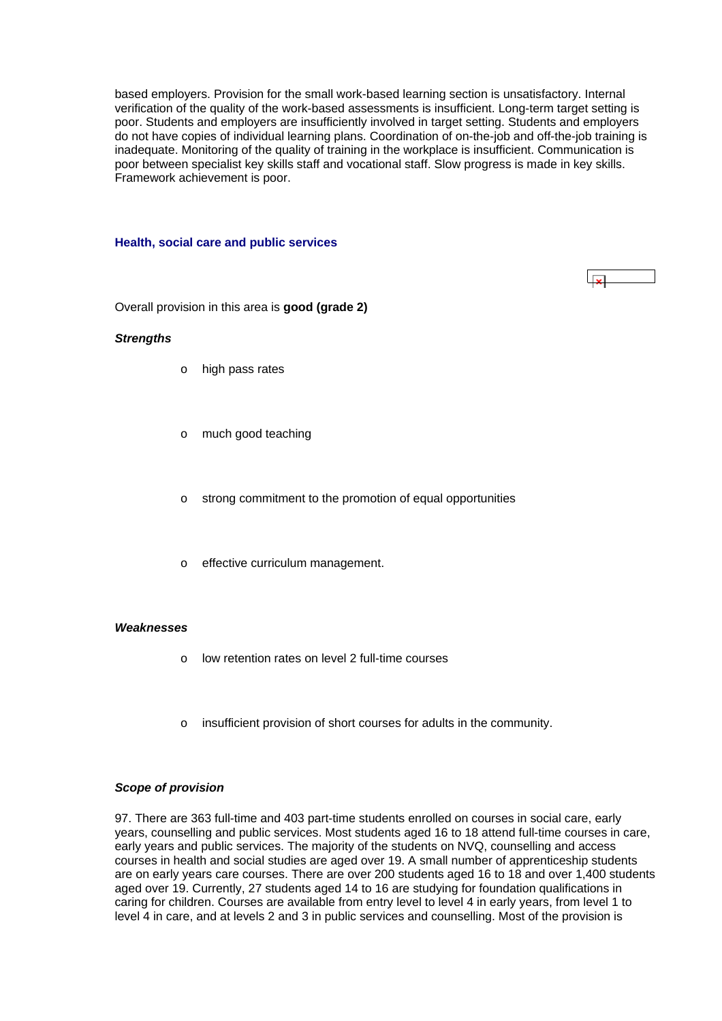<span id="page-34-0"></span>based employers. Provision for the small work-based learning section is unsatisfactory. Internal verification of the quality of the work-based assessments is insufficient. Long-term target setting is poor. Students and employers are insufficiently involved in target setting. Students and employers do not have copies of individual learning plans. Coordination of on-the-job and off-the-job training is inadequate. Monitoring of the quality of training in the workplace is insufficient. Communication is poor between specialist key skills staff and vocational staff. Slow progress is made in key skills. Framework achievement is poor.

#### **Health, social care and public services**

Overall provision in this area is **good (grade 2)**

#### *Strengths*

- o high pass rates
- o much good teaching
- o strong commitment to the promotion of equal opportunities
- o effective curriculum management.

#### *Weaknesses*

- o low retention rates on level 2 full-time courses
- o insufficient provision of short courses for adults in the community.

#### *Scope of provision*

97. There are 363 full-time and 403 part-time students enrolled on courses in social care, early years, counselling and public services. Most students aged 16 to 18 attend full-time courses in care, early years and public services. The majority of the students on NVQ, counselling and access courses in health and social studies are aged over 19. A small number of apprenticeship students are on early years care courses. There are over 200 students aged 16 to 18 and over 1,400 students aged over 19. Currently, 27 students aged 14 to 16 are studying for foundation qualifications in caring for children. Courses are available from entry level to level 4 in early years, from level 1 to level 4 in care, and at levels 2 and 3 in public services and counselling. Most of the provision is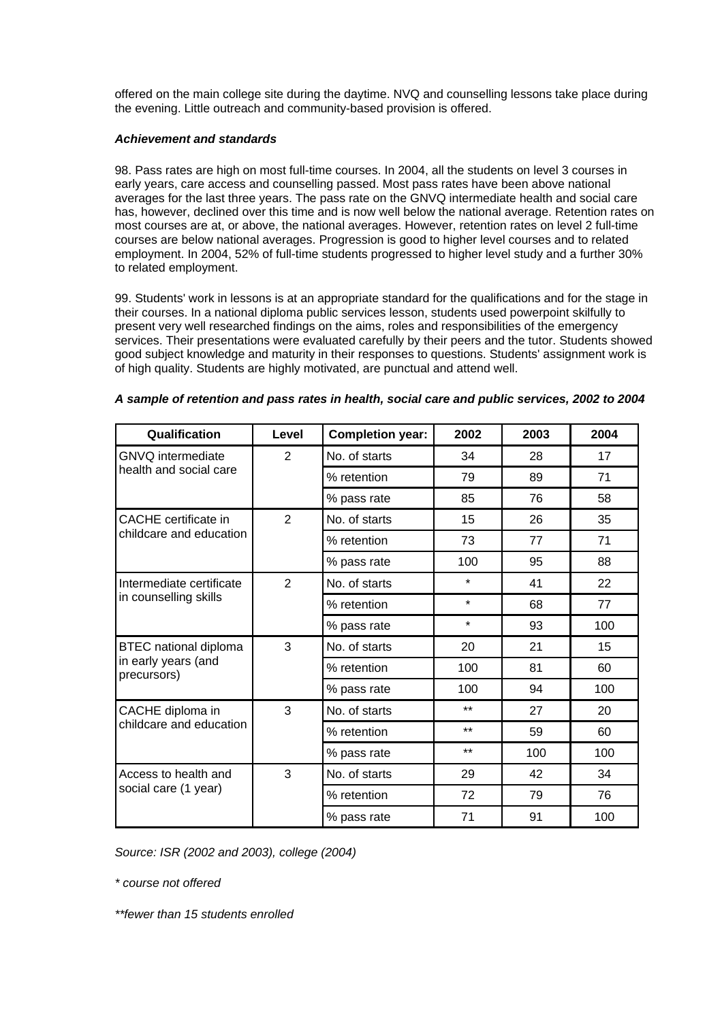offered on the main college site during the daytime. NVQ and counselling lessons take place during the evening. Little outreach and community-based provision is offered.

# *Achievement and standards*

98. Pass rates are high on most full-time courses. In 2004, all the students on level 3 courses in early years, care access and counselling passed. Most pass rates have been above national averages for the last three years. The pass rate on the GNVQ intermediate health and social care has, however, declined over this time and is now well below the national average. Retention rates on most courses are at, or above, the national averages. However, retention rates on level 2 full-time courses are below national averages. Progression is good to higher level courses and to related employment. In 2004, 52% of full-time students progressed to higher level study and a further 30% to related employment.

99. Students' work in lessons is at an appropriate standard for the qualifications and for the stage in their courses. In a national diploma public services lesson, students used powerpoint skilfully to present very well researched findings on the aims, roles and responsibilities of the emergency services. Their presentations were evaluated carefully by their peers and the tutor. Students showed good subject knowledge and maturity in their responses to questions. Students' assignment work is of high quality. Students are highly motivated, are punctual and attend well.

| Qualification                      | Level          | <b>Completion year:</b> | 2002    | 2003 | 2004 |
|------------------------------------|----------------|-------------------------|---------|------|------|
| <b>GNVQ</b> intermediate           | $\overline{2}$ | No. of starts           | 34      | 28   | 17   |
| health and social care             |                | % retention             | 79      | 89   | 71   |
|                                    |                | % pass rate             | 85      | 76   | 58   |
| CACHE certificate in               | 2              | No. of starts           | 15      | 26   | 35   |
| childcare and education            |                | % retention             | 73      | 77   | 71   |
|                                    |                | % pass rate             | 100     | 95   | 88   |
| Intermediate certificate           | $\overline{2}$ | No. of starts           | $\star$ | 41   | 22   |
| in counselling skills              |                | % retention             | $\star$ | 68   | 77   |
|                                    |                | % pass rate             | $\star$ | 93   | 100  |
| <b>BTEC</b> national diploma       | 3              | No. of starts           | 20      | 21   | 15   |
| in early years (and<br>precursors) |                | % retention             | 100     | 81   | 60   |
|                                    |                | % pass rate             | 100     | 94   | 100  |
| CACHE diploma in                   | 3              | No. of starts           | $***$   | 27   | 20   |
| childcare and education            |                | % retention             | $***$   | 59   | 60   |
|                                    |                | % pass rate             | $***$   | 100  | 100  |
| Access to health and               | 3              | No. of starts           | 29      | 42   | 34   |
| social care (1 year)               |                | % retention             | 72      | 79   | 76   |
|                                    |                | % pass rate             | 71      | 91   | 100  |

| A sample of retention and pass rates in health, social care and public services, 2002 to 2004 |  |  |  |  |
|-----------------------------------------------------------------------------------------------|--|--|--|--|
|-----------------------------------------------------------------------------------------------|--|--|--|--|

*Source: ISR (2002 and 2003), college (2004)*

*\* course not offered*

*\*\*fewer than 15 students enrolled*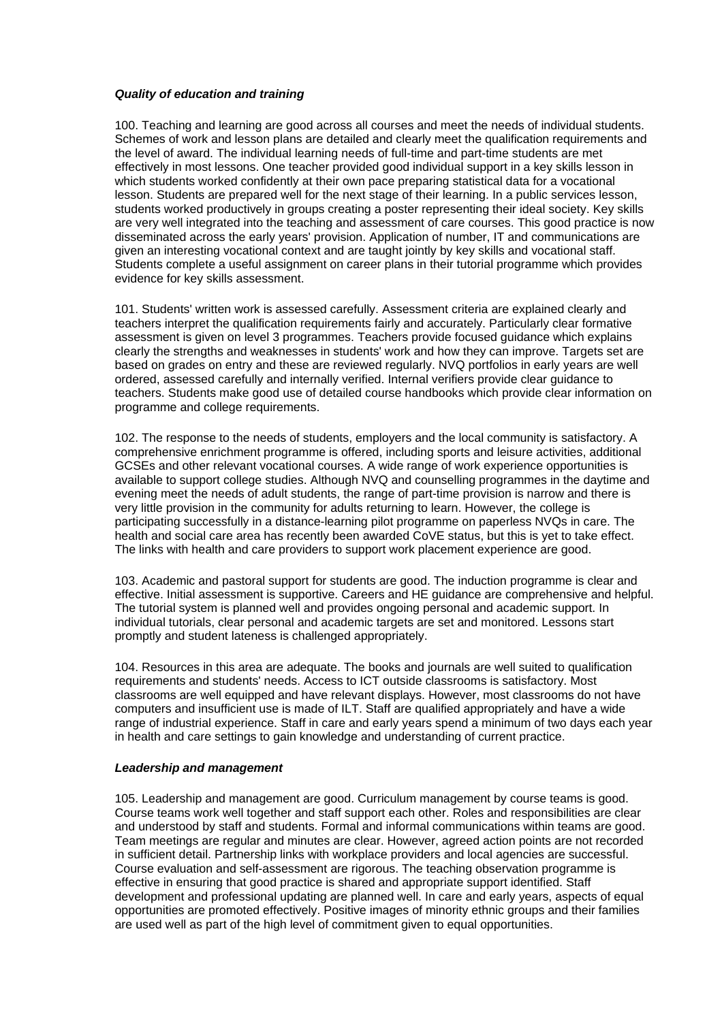# *Quality of education and training*

100. Teaching and learning are good across all courses and meet the needs of individual students. Schemes of work and lesson plans are detailed and clearly meet the qualification requirements and the level of award. The individual learning needs of full-time and part-time students are met effectively in most lessons. One teacher provided good individual support in a key skills lesson in which students worked confidently at their own pace preparing statistical data for a vocational lesson. Students are prepared well for the next stage of their learning. In a public services lesson, students worked productively in groups creating a poster representing their ideal society. Key skills are very well integrated into the teaching and assessment of care courses. This good practice is now disseminated across the early years' provision. Application of number, IT and communications are given an interesting vocational context and are taught jointly by key skills and vocational staff. Students complete a useful assignment on career plans in their tutorial programme which provides evidence for key skills assessment.

101. Students' written work is assessed carefully. Assessment criteria are explained clearly and teachers interpret the qualification requirements fairly and accurately. Particularly clear formative assessment is given on level 3 programmes. Teachers provide focused guidance which explains clearly the strengths and weaknesses in students' work and how they can improve. Targets set are based on grades on entry and these are reviewed regularly. NVQ portfolios in early years are well ordered, assessed carefully and internally verified. Internal verifiers provide clear guidance to teachers. Students make good use of detailed course handbooks which provide clear information on programme and college requirements.

102. The response to the needs of students, employers and the local community is satisfactory. A comprehensive enrichment programme is offered, including sports and leisure activities, additional GCSEs and other relevant vocational courses. A wide range of work experience opportunities is available to support college studies. Although NVQ and counselling programmes in the daytime and evening meet the needs of adult students, the range of part-time provision is narrow and there is very little provision in the community for adults returning to learn. However, the college is participating successfully in a distance-learning pilot programme on paperless NVQs in care. The health and social care area has recently been awarded CoVE status, but this is yet to take effect. The links with health and care providers to support work placement experience are good.

103. Academic and pastoral support for students are good. The induction programme is clear and effective. Initial assessment is supportive. Careers and HE guidance are comprehensive and helpful. The tutorial system is planned well and provides ongoing personal and academic support. In individual tutorials, clear personal and academic targets are set and monitored. Lessons start promptly and student lateness is challenged appropriately.

104. Resources in this area are adequate. The books and journals are well suited to qualification requirements and students' needs. Access to ICT outside classrooms is satisfactory. Most classrooms are well equipped and have relevant displays. However, most classrooms do not have computers and insufficient use is made of ILT. Staff are qualified appropriately and have a wide range of industrial experience. Staff in care and early years spend a minimum of two days each year in health and care settings to gain knowledge and understanding of current practice.

#### *Leadership and management*

105. Leadership and management are good. Curriculum management by course teams is good. Course teams work well together and staff support each other. Roles and responsibilities are clear and understood by staff and students. Formal and informal communications within teams are good. Team meetings are regular and minutes are clear. However, agreed action points are not recorded in sufficient detail. Partnership links with workplace providers and local agencies are successful. Course evaluation and self-assessment are rigorous. The teaching observation programme is effective in ensuring that good practice is shared and appropriate support identified. Staff development and professional updating are planned well. In care and early years, aspects of equal opportunities are promoted effectively. Positive images of minority ethnic groups and their families are used well as part of the high level of commitment given to equal opportunities.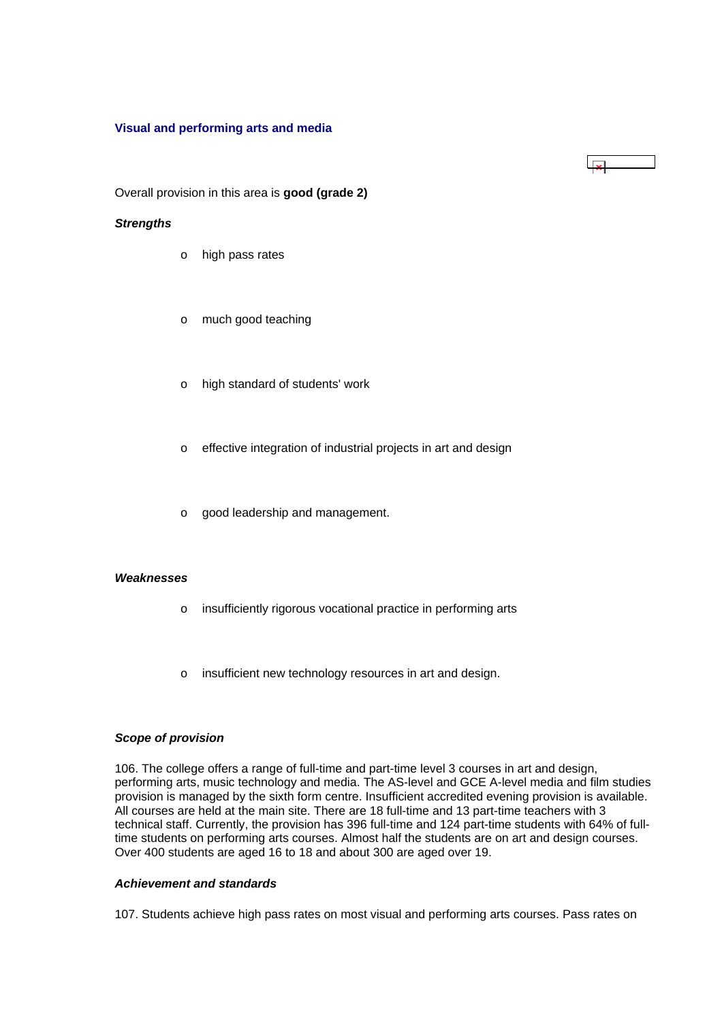#### <span id="page-37-0"></span>**Visual and performing arts and media**

Overall provision in this area is **good (grade 2)**

#### *Strengths*

- o high pass rates
- o much good teaching
- o high standard of students' work
- o effective integration of industrial projects in art and design

 $\overline{\mathbf{v}}$ 

o good leadership and management.

# *Weaknesses*

- o insufficiently rigorous vocational practice in performing arts
- o insufficient new technology resources in art and design.

#### *Scope of provision*

106. The college offers a range of full-time and part-time level 3 courses in art and design, performing arts, music technology and media. The AS-level and GCE A-level media and film studies provision is managed by the sixth form centre. Insufficient accredited evening provision is available. All courses are held at the main site. There are 18 full-time and 13 part-time teachers with 3 technical staff. Currently, the provision has 396 full-time and 124 part-time students with 64% of fulltime students on performing arts courses. Almost half the students are on art and design courses. Over 400 students are aged 16 to 18 and about 300 are aged over 19.

# *Achievement and standards*

107. Students achieve high pass rates on most visual and performing arts courses. Pass rates on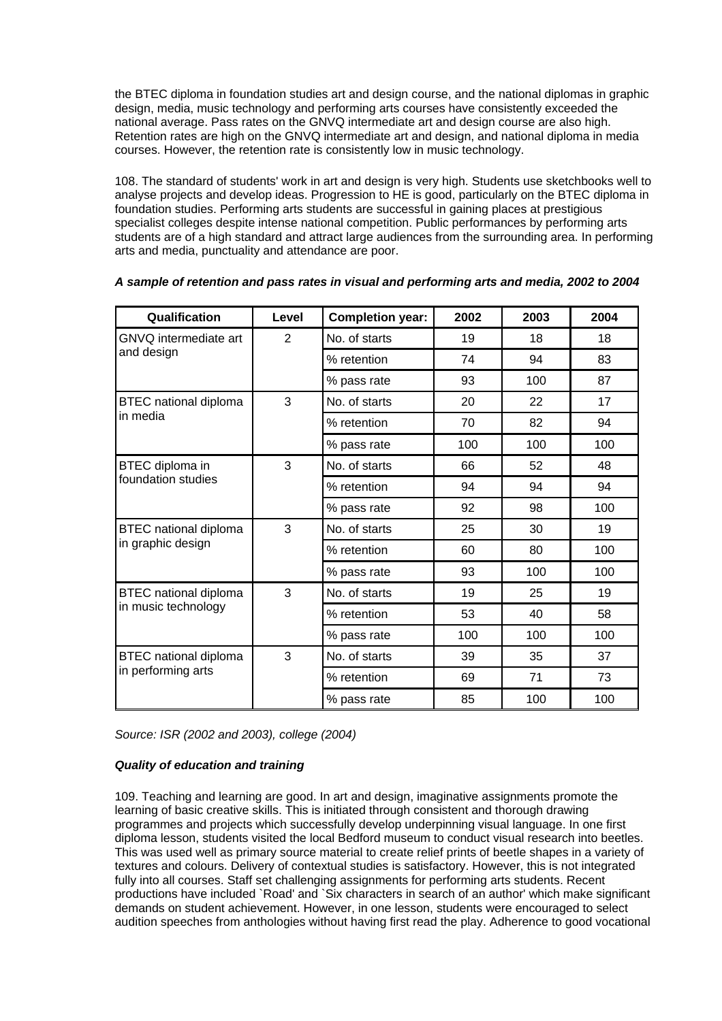the BTEC diploma in foundation studies art and design course, and the national diplomas in graphic design, media, music technology and performing arts courses have consistently exceeded the national average. Pass rates on the GNVQ intermediate art and design course are also high. Retention rates are high on the GNVQ intermediate art and design, and national diploma in media courses. However, the retention rate is consistently low in music technology.

108. The standard of students' work in art and design is very high. Students use sketchbooks well to analyse projects and develop ideas. Progression to HE is good, particularly on the BTEC diploma in foundation studies. Performing arts students are successful in gaining places at prestigious specialist colleges despite intense national competition. Public performances by performing arts students are of a high standard and attract large audiences from the surrounding area. In performing arts and media, punctuality and attendance are poor.

| Qualification                | Level | <b>Completion year:</b> | 2002 | 2003 | 2004 |
|------------------------------|-------|-------------------------|------|------|------|
| GNVQ intermediate art        | 2     | No. of starts           | 19   | 18   | 18   |
| and design                   |       | % retention             | 74   | 94   | 83   |
|                              |       | % pass rate             | 93   | 100  | 87   |
| <b>BTEC</b> national diploma | 3     | No. of starts           | 20   | 22   | 17   |
| in media                     |       | % retention             | 70   | 82   | 94   |
|                              |       | % pass rate             | 100  | 100  | 100  |
| BTEC diploma in              | 3     | No. of starts           | 66   | 52   | 48   |
| foundation studies           |       | % retention             | 94   | 94   | 94   |
|                              |       | % pass rate             | 92   | 98   | 100  |
| BTEC national diploma        | 3     | No. of starts           | 25   | 30   | 19   |
| in graphic design            |       | % retention             | 60   | 80   | 100  |
|                              |       | % pass rate             | 93   | 100  | 100  |
| BTEC national diploma        | 3     | No. of starts           | 19   | 25   | 19   |
| in music technology          |       | % retention             | 53   | 40   | 58   |
|                              |       | % pass rate             | 100  | 100  | 100  |
| <b>BTEC</b> national diploma | 3     | No. of starts           | 39   | 35   | 37   |
| in performing arts           |       | % retention             | 69   | 71   | 73   |
|                              |       | % pass rate             | 85   | 100  | 100  |

|  |  | A sample of retention and pass rates in visual and performing arts and media, 2002 to 2004 |  |
|--|--|--------------------------------------------------------------------------------------------|--|
|--|--|--------------------------------------------------------------------------------------------|--|

*Source: ISR (2002 and 2003), college (2004)*

# *Quality of education and training*

109. Teaching and learning are good. In art and design, imaginative assignments promote the learning of basic creative skills. This is initiated through consistent and thorough drawing programmes and projects which successfully develop underpinning visual language. In one first diploma lesson, students visited the local Bedford museum to conduct visual research into beetles. This was used well as primary source material to create relief prints of beetle shapes in a variety of textures and colours. Delivery of contextual studies is satisfactory. However, this is not integrated fully into all courses. Staff set challenging assignments for performing arts students. Recent productions have included `Road' and `Six characters in search of an author' which make significant demands on student achievement. However, in one lesson, students were encouraged to select audition speeches from anthologies without having first read the play. Adherence to good vocational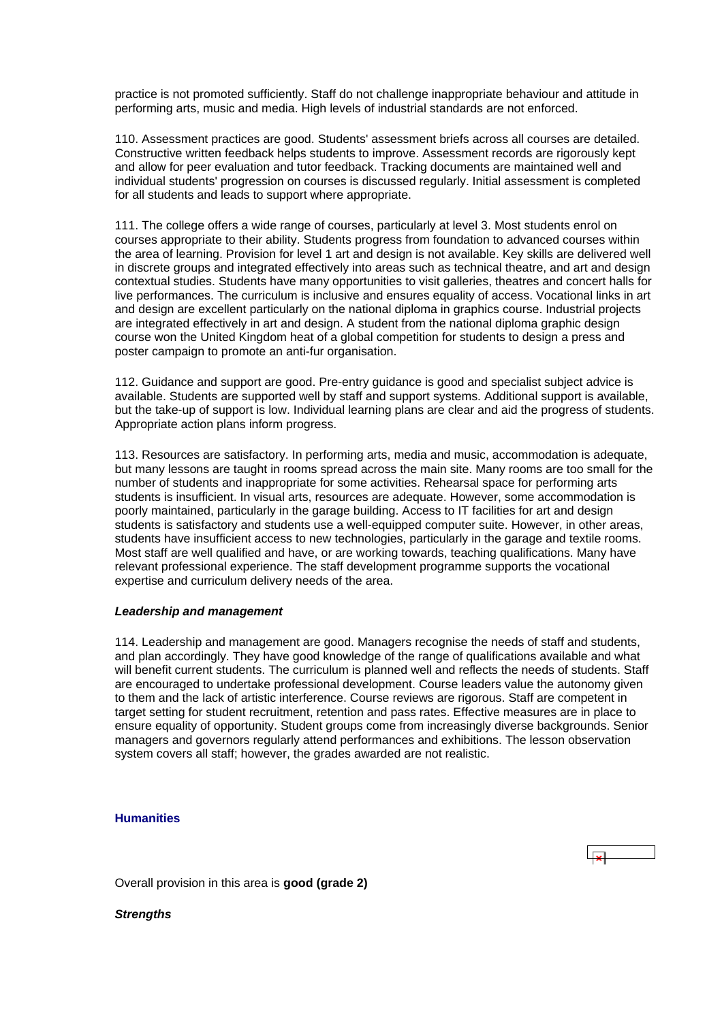<span id="page-39-0"></span>practice is not promoted sufficiently. Staff do not challenge inappropriate behaviour and attitude in performing arts, music and media. High levels of industrial standards are not enforced.

110. Assessment practices are good. Students' assessment briefs across all courses are detailed. Constructive written feedback helps students to improve. Assessment records are rigorously kept and allow for peer evaluation and tutor feedback. Tracking documents are maintained well and individual students' progression on courses is discussed regularly. Initial assessment is completed for all students and leads to support where appropriate.

111. The college offers a wide range of courses, particularly at level 3. Most students enrol on courses appropriate to their ability. Students progress from foundation to advanced courses within the area of learning. Provision for level 1 art and design is not available. Key skills are delivered well in discrete groups and integrated effectively into areas such as technical theatre, and art and design contextual studies. Students have many opportunities to visit galleries, theatres and concert halls for live performances. The curriculum is inclusive and ensures equality of access. Vocational links in art and design are excellent particularly on the national diploma in graphics course. Industrial projects are integrated effectively in art and design. A student from the national diploma graphic design course won the United Kingdom heat of a global competition for students to design a press and poster campaign to promote an anti-fur organisation.

112. Guidance and support are good. Pre-entry guidance is good and specialist subject advice is available. Students are supported well by staff and support systems. Additional support is available, but the take-up of support is low. Individual learning plans are clear and aid the progress of students. Appropriate action plans inform progress.

113. Resources are satisfactory. In performing arts, media and music, accommodation is adequate, but many lessons are taught in rooms spread across the main site. Many rooms are too small for the number of students and inappropriate for some activities. Rehearsal space for performing arts students is insufficient. In visual arts, resources are adequate. However, some accommodation is poorly maintained, particularly in the garage building. Access to IT facilities for art and design students is satisfactory and students use a well-equipped computer suite. However, in other areas, students have insufficient access to new technologies, particularly in the garage and textile rooms. Most staff are well qualified and have, or are working towards, teaching qualifications. Many have relevant professional experience. The staff development programme supports the vocational expertise and curriculum delivery needs of the area.

#### *Leadership and management*

114. Leadership and management are good. Managers recognise the needs of staff and students, and plan accordingly. They have good knowledge of the range of qualifications available and what will benefit current students. The curriculum is planned well and reflects the needs of students. Staff are encouraged to undertake professional development. Course leaders value the autonomy given to them and the lack of artistic interference. Course reviews are rigorous. Staff are competent in target setting for student recruitment, retention and pass rates. Effective measures are in place to ensure equality of opportunity. Student groups come from increasingly diverse backgrounds. Senior managers and governors regularly attend performances and exhibitions. The lesson observation system covers all staff; however, the grades awarded are not realistic.

# **Humanities**

Overall provision in this area is **good (grade 2)**

*Strengths*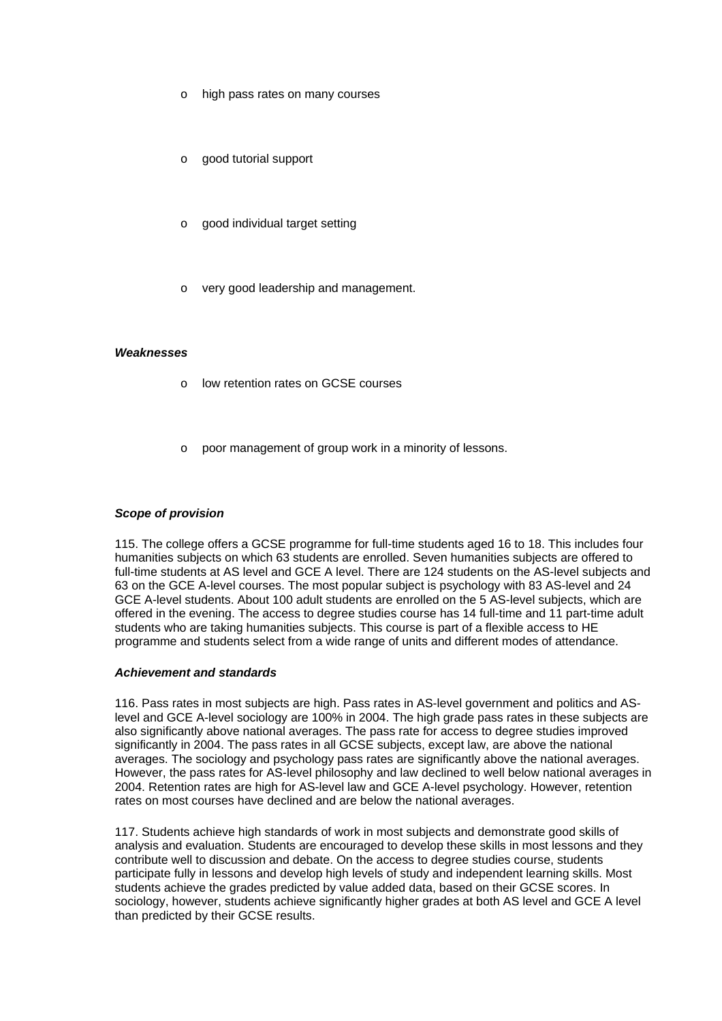- o high pass rates on many courses
- o good tutorial support
- o good individual target setting
- o very good leadership and management.

#### *Weaknesses*

- o low retention rates on GCSE courses
- o poor management of group work in a minority of lessons.

#### *Scope of provision*

115. The college offers a GCSE programme for full-time students aged 16 to 18. This includes four humanities subjects on which 63 students are enrolled. Seven humanities subjects are offered to full-time students at AS level and GCE A level. There are 124 students on the AS-level subjects and 63 on the GCE A-level courses. The most popular subject is psychology with 83 AS-level and 24 GCE A-level students. About 100 adult students are enrolled on the 5 AS-level subjects, which are offered in the evening. The access to degree studies course has 14 full-time and 11 part-time adult students who are taking humanities subjects. This course is part of a flexible access to HE programme and students select from a wide range of units and different modes of attendance.

#### *Achievement and standards*

116. Pass rates in most subjects are high. Pass rates in AS-level government and politics and ASlevel and GCE A-level sociology are 100% in 2004. The high grade pass rates in these subjects are also significantly above national averages. The pass rate for access to degree studies improved significantly in 2004. The pass rates in all GCSE subjects, except law, are above the national averages. The sociology and psychology pass rates are significantly above the national averages. However, the pass rates for AS-level philosophy and law declined to well below national averages in 2004. Retention rates are high for AS-level law and GCE A-level psychology. However, retention rates on most courses have declined and are below the national averages.

117. Students achieve high standards of work in most subjects and demonstrate good skills of analysis and evaluation. Students are encouraged to develop these skills in most lessons and they contribute well to discussion and debate. On the access to degree studies course, students participate fully in lessons and develop high levels of study and independent learning skills. Most students achieve the grades predicted by value added data, based on their GCSE scores. In sociology, however, students achieve significantly higher grades at both AS level and GCE A level than predicted by their GCSE results.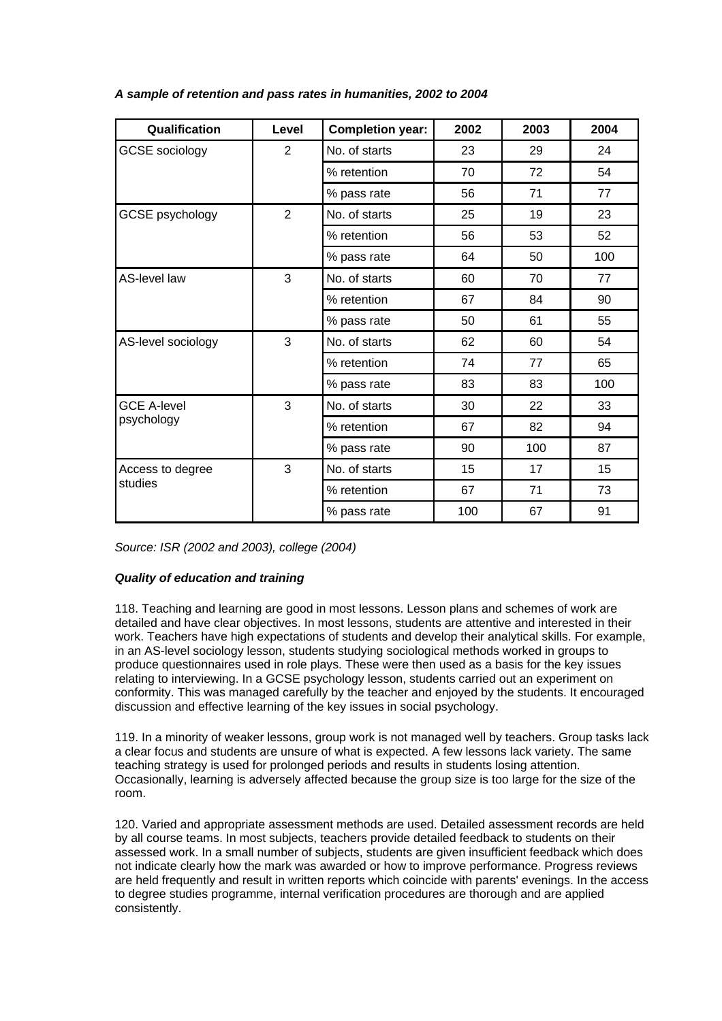| Qualification         | Level          | <b>Completion year:</b> | 2002 | 2003 | 2004 |
|-----------------------|----------------|-------------------------|------|------|------|
| <b>GCSE</b> sociology | $\overline{2}$ | No. of starts           | 23   | 29   | 24   |
|                       |                | % retention             | 70   | 72   | 54   |
|                       |                | % pass rate             | 56   | 71   | 77   |
| GCSE psychology       | $\overline{2}$ | No. of starts           | 25   | 19   | 23   |
|                       |                | % retention             | 56   | 53   | 52   |
|                       |                | % pass rate             | 64   | 50   | 100  |
| AS-level law          | 3              | No. of starts           | 60   | 70   | 77   |
|                       |                | % retention             | 67   | 84   | 90   |
|                       |                | % pass rate             | 50   | 61   | 55   |
| AS-level sociology    | 3              | No. of starts           | 62   | 60   | 54   |
|                       |                | % retention             | 74   | 77   | 65   |
|                       |                | % pass rate             | 83   | 83   | 100  |
| <b>GCE A-level</b>    | 3              | No. of starts           | 30   | 22   | 33   |
| psychology            |                | % retention             | 67   | 82   | 94   |
|                       |                | % pass rate             | 90   | 100  | 87   |
| Access to degree      | 3              | No. of starts           | 15   | 17   | 15   |
| studies               |                | % retention             | 67   | 71   | 73   |
|                       |                | % pass rate             | 100  | 67   | 91   |

# *A sample of retention and pass rates in humanities, 2002 to 2004*

*Source: ISR (2002 and 2003), college (2004)*

# *Quality of education and training*

118. Teaching and learning are good in most lessons. Lesson plans and schemes of work are detailed and have clear objectives. In most lessons, students are attentive and interested in their work. Teachers have high expectations of students and develop their analytical skills. For example, in an AS-level sociology lesson, students studying sociological methods worked in groups to produce questionnaires used in role plays. These were then used as a basis for the key issues relating to interviewing. In a GCSE psychology lesson, students carried out an experiment on conformity. This was managed carefully by the teacher and enjoyed by the students. It encouraged discussion and effective learning of the key issues in social psychology.

119. In a minority of weaker lessons, group work is not managed well by teachers. Group tasks lack a clear focus and students are unsure of what is expected. A few lessons lack variety. The same teaching strategy is used for prolonged periods and results in students losing attention. Occasionally, learning is adversely affected because the group size is too large for the size of the room.

120. Varied and appropriate assessment methods are used. Detailed assessment records are held by all course teams. In most subjects, teachers provide detailed feedback to students on their assessed work. In a small number of subjects, students are given insufficient feedback which does not indicate clearly how the mark was awarded or how to improve performance. Progress reviews are held frequently and result in written reports which coincide with parents' evenings. In the access to degree studies programme, internal verification procedures are thorough and are applied consistently.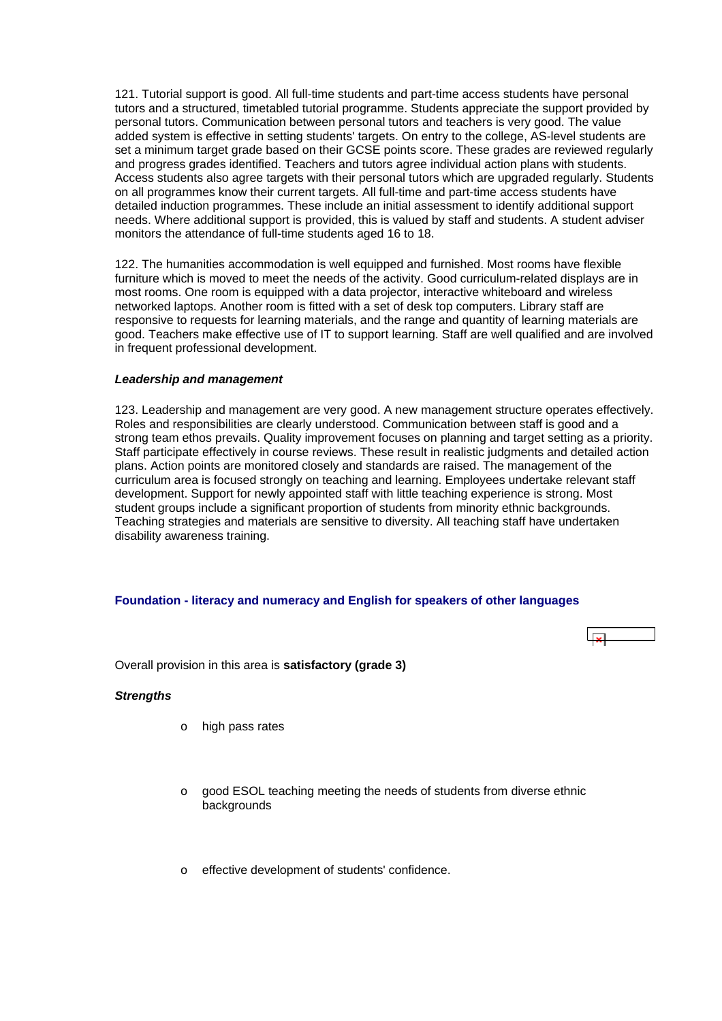<span id="page-42-0"></span>121. Tutorial support is good. All full-time students and part-time access students have personal tutors and a structured, timetabled tutorial programme. Students appreciate the support provided by personal tutors. Communication between personal tutors and teachers is very good. The value added system is effective in setting students' targets. On entry to the college, AS-level students are set a minimum target grade based on their GCSE points score. These grades are reviewed regularly and progress grades identified. Teachers and tutors agree individual action plans with students. Access students also agree targets with their personal tutors which are upgraded regularly. Students on all programmes know their current targets. All full-time and part-time access students have detailed induction programmes. These include an initial assessment to identify additional support needs. Where additional support is provided, this is valued by staff and students. A student adviser monitors the attendance of full-time students aged 16 to 18.

122. The humanities accommodation is well equipped and furnished. Most rooms have flexible furniture which is moved to meet the needs of the activity. Good curriculum-related displays are in most rooms. One room is equipped with a data projector, interactive whiteboard and wireless networked laptops. Another room is fitted with a set of desk top computers. Library staff are responsive to requests for learning materials, and the range and quantity of learning materials are good. Teachers make effective use of IT to support learning. Staff are well qualified and are involved in frequent professional development.

#### *Leadership and management*

123. Leadership and management are very good. A new management structure operates effectively. Roles and responsibilities are clearly understood. Communication between staff is good and a strong team ethos prevails. Quality improvement focuses on planning and target setting as a priority. Staff participate effectively in course reviews. These result in realistic judgments and detailed action plans. Action points are monitored closely and standards are raised. The management of the curriculum area is focused strongly on teaching and learning. Employees undertake relevant staff development. Support for newly appointed staff with little teaching experience is strong. Most student groups include a significant proportion of students from minority ethnic backgrounds. Teaching strategies and materials are sensitive to diversity. All teaching staff have undertaken disability awareness training.

# **Foundation - literacy and numeracy and English for speakers of other languages**



Overall provision in this area is **satisfactory (grade 3)**

# *Strengths*

- o high pass rates
- o good ESOL teaching meeting the needs of students from diverse ethnic backgrounds
- effective development of students' confidence.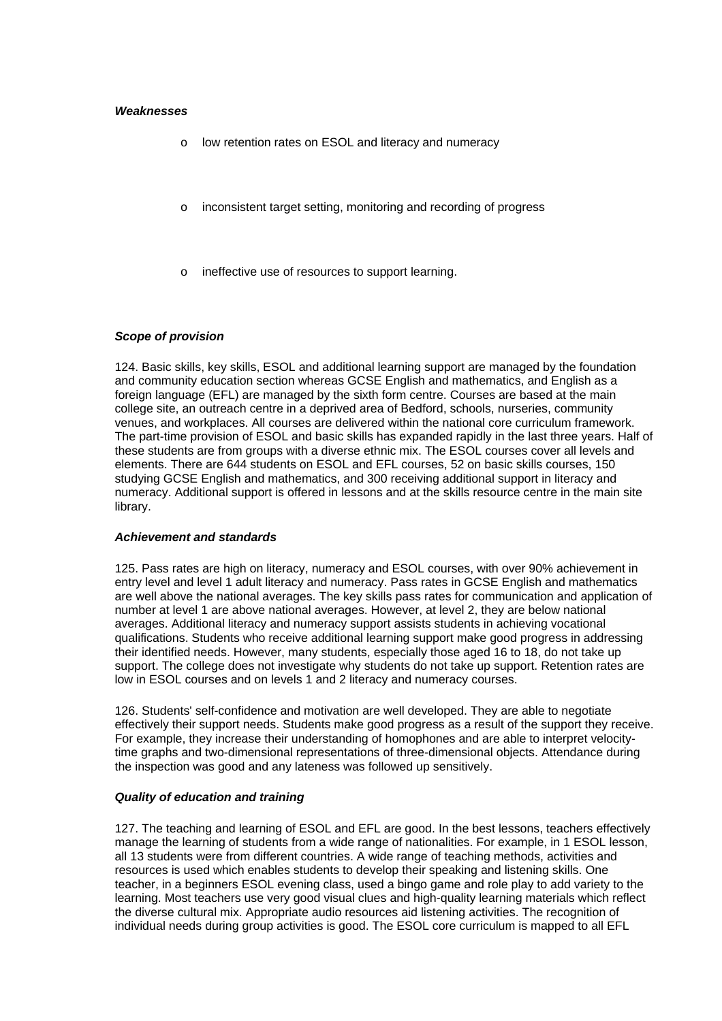#### *Weaknesses*

- o low retention rates on ESOL and literacy and numeracy
- o inconsistent target setting, monitoring and recording of progress
- ineffective use of resources to support learning.

#### *Scope of provision*

124. Basic skills, key skills, ESOL and additional learning support are managed by the foundation and community education section whereas GCSE English and mathematics, and English as a foreign language (EFL) are managed by the sixth form centre. Courses are based at the main college site, an outreach centre in a deprived area of Bedford, schools, nurseries, community venues, and workplaces. All courses are delivered within the national core curriculum framework. The part-time provision of ESOL and basic skills has expanded rapidly in the last three years. Half of these students are from groups with a diverse ethnic mix. The ESOL courses cover all levels and elements. There are 644 students on ESOL and EFL courses, 52 on basic skills courses, 150 studying GCSE English and mathematics, and 300 receiving additional support in literacy and numeracy. Additional support is offered in lessons and at the skills resource centre in the main site library.

#### *Achievement and standards*

125. Pass rates are high on literacy, numeracy and ESOL courses, with over 90% achievement in entry level and level 1 adult literacy and numeracy. Pass rates in GCSE English and mathematics are well above the national averages. The key skills pass rates for communication and application of number at level 1 are above national averages. However, at level 2, they are below national averages. Additional literacy and numeracy support assists students in achieving vocational qualifications. Students who receive additional learning support make good progress in addressing their identified needs. However, many students, especially those aged 16 to 18, do not take up support. The college does not investigate why students do not take up support. Retention rates are low in ESOL courses and on levels 1 and 2 literacy and numeracy courses.

126. Students' self-confidence and motivation are well developed. They are able to negotiate effectively their support needs. Students make good progress as a result of the support they receive. For example, they increase their understanding of homophones and are able to interpret velocitytime graphs and two-dimensional representations of three-dimensional objects. Attendance during the inspection was good and any lateness was followed up sensitively.

#### *Quality of education and training*

127. The teaching and learning of ESOL and EFL are good. In the best lessons, teachers effectively manage the learning of students from a wide range of nationalities. For example, in 1 ESOL lesson, all 13 students were from different countries. A wide range of teaching methods, activities and resources is used which enables students to develop their speaking and listening skills. One teacher, in a beginners ESOL evening class, used a bingo game and role play to add variety to the learning. Most teachers use very good visual clues and high-quality learning materials which reflect the diverse cultural mix. Appropriate audio resources aid listening activities. The recognition of individual needs during group activities is good. The ESOL core curriculum is mapped to all EFL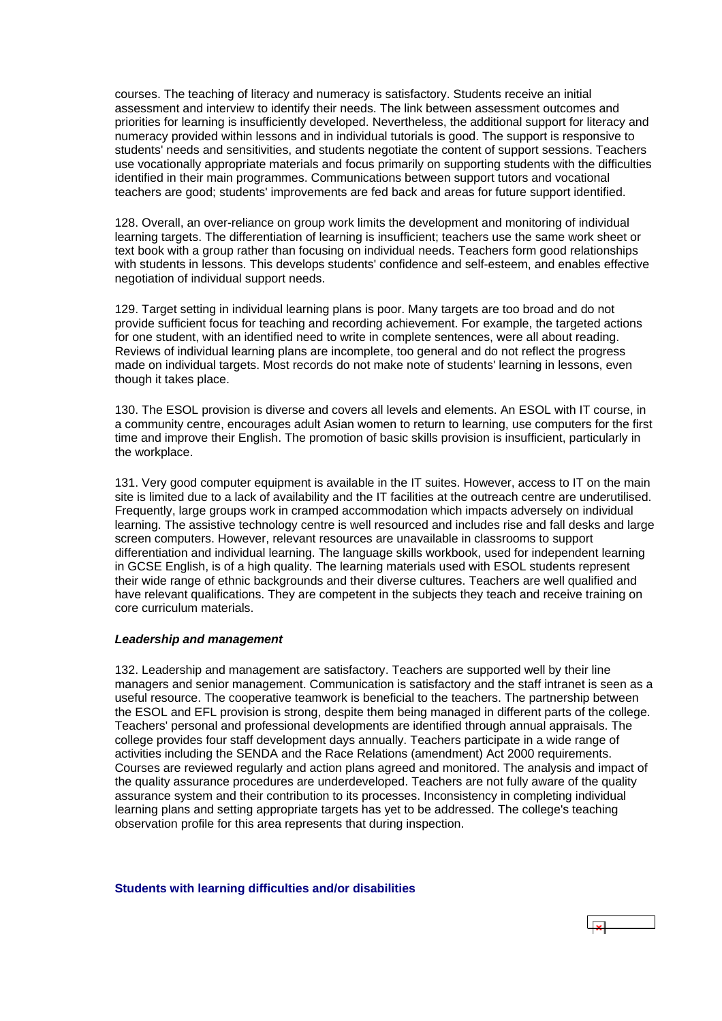<span id="page-44-0"></span>courses. The teaching of literacy and numeracy is satisfactory. Students receive an initial assessment and interview to identify their needs. The link between assessment outcomes and priorities for learning is insufficiently developed. Nevertheless, the additional support for literacy and numeracy provided within lessons and in individual tutorials is good. The support is responsive to students' needs and sensitivities, and students negotiate the content of support sessions. Teachers use vocationally appropriate materials and focus primarily on supporting students with the difficulties identified in their main programmes. Communications between support tutors and vocational teachers are good; students' improvements are fed back and areas for future support identified.

128. Overall, an over-reliance on group work limits the development and monitoring of individual learning targets. The differentiation of learning is insufficient; teachers use the same work sheet or text book with a group rather than focusing on individual needs. Teachers form good relationships with students in lessons. This develops students' confidence and self-esteem, and enables effective negotiation of individual support needs.

129. Target setting in individual learning plans is poor. Many targets are too broad and do not provide sufficient focus for teaching and recording achievement. For example, the targeted actions for one student, with an identified need to write in complete sentences, were all about reading. Reviews of individual learning plans are incomplete, too general and do not reflect the progress made on individual targets. Most records do not make note of students' learning in lessons, even though it takes place.

130. The ESOL provision is diverse and covers all levels and elements. An ESOL with IT course, in a community centre, encourages adult Asian women to return to learning, use computers for the first time and improve their English. The promotion of basic skills provision is insufficient, particularly in the workplace.

131. Very good computer equipment is available in the IT suites. However, access to IT on the main site is limited due to a lack of availability and the IT facilities at the outreach centre are underutilised. Frequently, large groups work in cramped accommodation which impacts adversely on individual learning. The assistive technology centre is well resourced and includes rise and fall desks and large screen computers. However, relevant resources are unavailable in classrooms to support differentiation and individual learning. The language skills workbook, used for independent learning in GCSE English, is of a high quality. The learning materials used with ESOL students represent their wide range of ethnic backgrounds and their diverse cultures. Teachers are well qualified and have relevant qualifications. They are competent in the subjects they teach and receive training on core curriculum materials.

#### *Leadership and management*

132. Leadership and management are satisfactory. Teachers are supported well by their line managers and senior management. Communication is satisfactory and the staff intranet is seen as a useful resource. The cooperative teamwork is beneficial to the teachers. The partnership between the ESOL and EFL provision is strong, despite them being managed in different parts of the college. Teachers' personal and professional developments are identified through annual appraisals. The college provides four staff development days annually. Teachers participate in a wide range of activities including the SENDA and the Race Relations (amendment) Act 2000 requirements. Courses are reviewed regularly and action plans agreed and monitored. The analysis and impact of the quality assurance procedures are underdeveloped. Teachers are not fully aware of the quality assurance system and their contribution to its processes. Inconsistency in completing individual learning plans and setting appropriate targets has yet to be addressed. The college's teaching observation profile for this area represents that during inspection.

#### **Students with learning difficulties and/or disabilities**

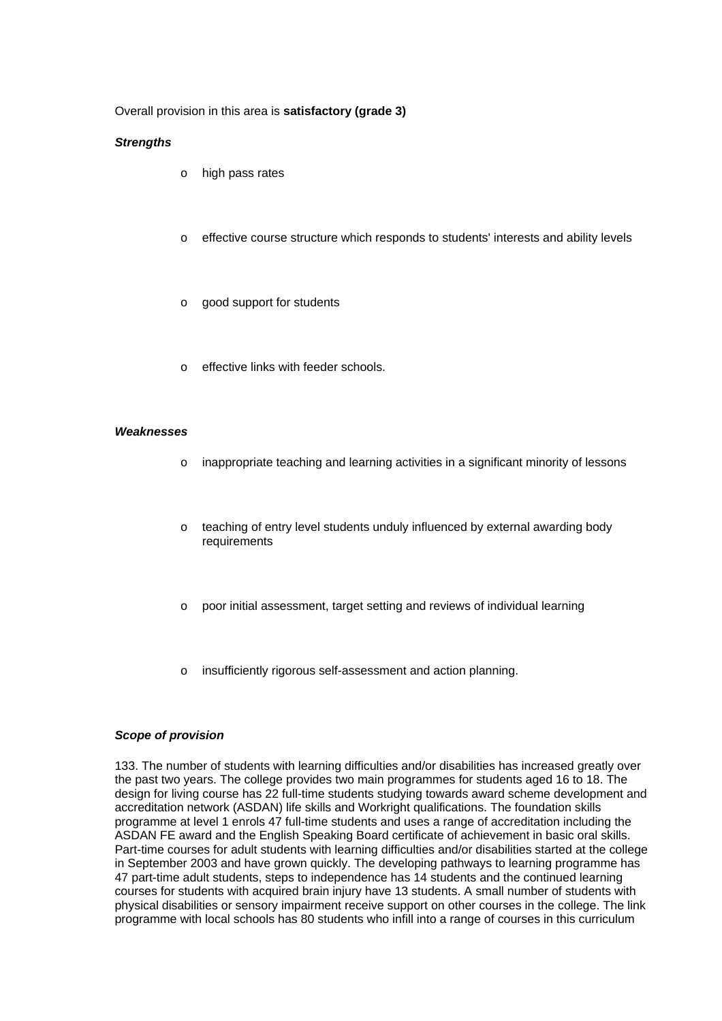# Overall provision in this area is **satisfactory (grade 3)**

#### *Strengths*

- o high pass rates
- o effective course structure which responds to students' interests and ability levels
- o good support for students
- effective links with feeder schools.

#### *Weaknesses*

- o inappropriate teaching and learning activities in a significant minority of lessons
- o teaching of entry level students unduly influenced by external awarding body requirements
- o poor initial assessment, target setting and reviews of individual learning
- o insufficiently rigorous self-assessment and action planning.

#### *Scope of provision*

133. The number of students with learning difficulties and/or disabilities has increased greatly over the past two years. The college provides two main programmes for students aged 16 to 18. The design for living course has 22 full-time students studying towards award scheme development and accreditation network (ASDAN) life skills and Workright qualifications. The foundation skills programme at level 1 enrols 47 full-time students and uses a range of accreditation including the ASDAN FE award and the English Speaking Board certificate of achievement in basic oral skills. Part-time courses for adult students with learning difficulties and/or disabilities started at the college in September 2003 and have grown quickly. The developing pathways to learning programme has 47 part-time adult students, steps to independence has 14 students and the continued learning courses for students with acquired brain injury have 13 students. A small number of students with physical disabilities or sensory impairment receive support on other courses in the college. The link programme with local schools has 80 students who infill into a range of courses in this curriculum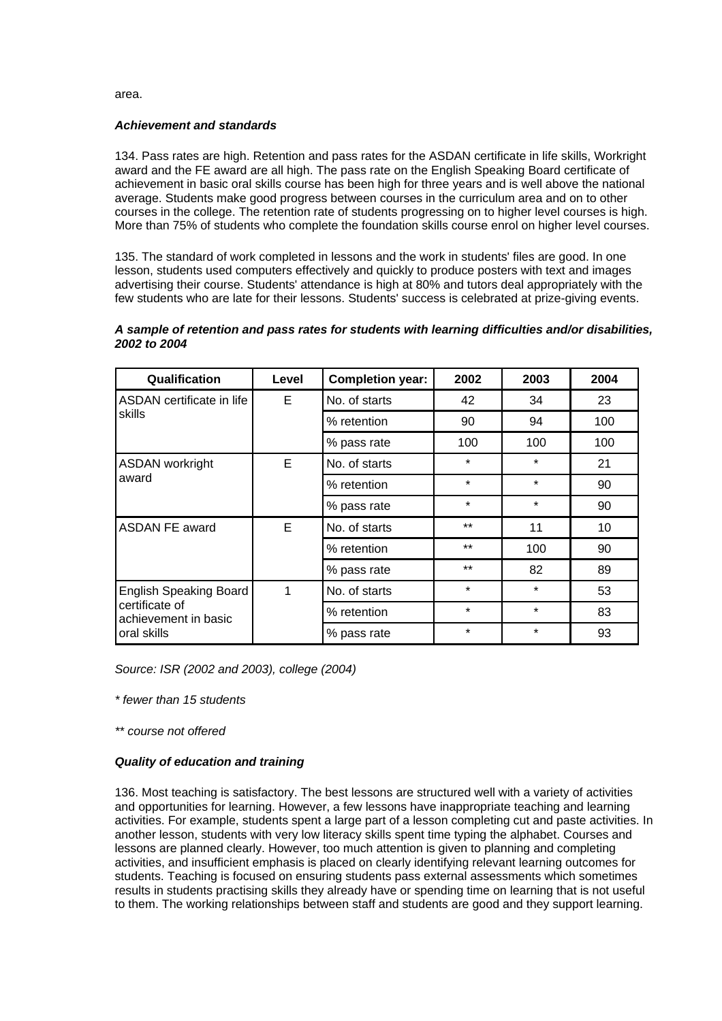area.

#### *Achievement and standards*

134. Pass rates are high. Retention and pass rates for the ASDAN certificate in life skills, Workright award and the FE award are all high. The pass rate on the English Speaking Board certificate of achievement in basic oral skills course has been high for three years and is well above the national average. Students make good progress between courses in the curriculum area and on to other courses in the college. The retention rate of students progressing on to higher level courses is high. More than 75% of students who complete the foundation skills course enrol on higher level courses.

135. The standard of work completed in lessons and the work in students' files are good. In one lesson, students used computers effectively and quickly to produce posters with text and images advertising their course. Students' attendance is high at 80% and tutors deal appropriately with the few students who are late for their lessons. Students' success is celebrated at prize-giving events.

# *A sample of retention and pass rates for students with learning difficulties and/or disabilities, 2002 to 2004*

| Qualification                          | Level | <b>Completion year:</b> | 2002    | 2003    | 2004 |
|----------------------------------------|-------|-------------------------|---------|---------|------|
| ASDAN certificate in life              | E     | No. of starts           | 42      | 34      | 23   |
| skills                                 |       | % retention             | 90      | 94      | 100  |
|                                        |       | % pass rate             | 100     | 100     | 100  |
| <b>ASDAN</b> workright                 | E     | No. of starts           | $\star$ | $\star$ | 21   |
| award                                  |       | % retention             | $\star$ | $\star$ | 90   |
|                                        |       | % pass rate             | $\star$ | $\star$ | 90   |
| <b>ASDAN FE award</b>                  | E     |                         | $***$   | 11      | 10   |
|                                        |       | % retention             | $***$   | 100     | 90   |
|                                        |       | % pass rate             | $***$   | 82      | 89   |
| <b>English Speaking Board</b>          | 1     | No. of starts           | $\star$ | $\star$ | 53   |
| certificate of<br>achievement in basic |       | % retention             | $\star$ | $\star$ | 83   |
| oral skills                            |       | % pass rate             | $\star$ | $\star$ | 93   |

*Source: ISR (2002 and 2003), college (2004)*

*\* fewer than 15 students*

*\*\* course not offered*

# *Quality of education and training*

136. Most teaching is satisfactory. The best lessons are structured well with a variety of activities and opportunities for learning. However, a few lessons have inappropriate teaching and learning activities. For example, students spent a large part of a lesson completing cut and paste activities. In another lesson, students with very low literacy skills spent time typing the alphabet. Courses and lessons are planned clearly. However, too much attention is given to planning and completing activities, and insufficient emphasis is placed on clearly identifying relevant learning outcomes for students. Teaching is focused on ensuring students pass external assessments which sometimes results in students practising skills they already have or spending time on learning that is not useful to them. The working relationships between staff and students are good and they support learning.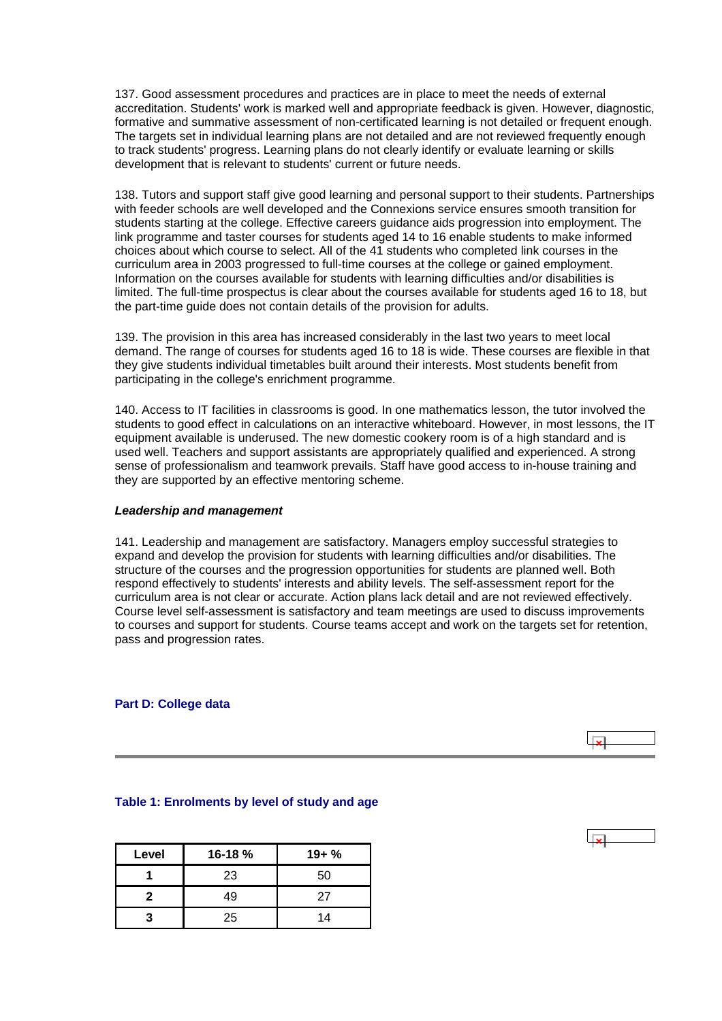<span id="page-47-0"></span>137. Good assessment procedures and practices are in place to meet the needs of external accreditation. Students' work is marked well and appropriate feedback is given. However, diagnostic, formative and summative assessment of non-certificated learning is not detailed or frequent enough. The targets set in individual learning plans are not detailed and are not reviewed frequently enough to track students' progress. Learning plans do not clearly identify or evaluate learning or skills development that is relevant to students' current or future needs.

138. Tutors and support staff give good learning and personal support to their students. Partnerships with feeder schools are well developed and the Connexions service ensures smooth transition for students starting at the college. Effective careers guidance aids progression into employment. The link programme and taster courses for students aged 14 to 16 enable students to make informed choices about which course to select. All of the 41 students who completed link courses in the curriculum area in 2003 progressed to full-time courses at the college or gained employment. Information on the courses available for students with learning difficulties and/or disabilities is limited. The full-time prospectus is clear about the courses available for students aged 16 to 18, but the part-time guide does not contain details of the provision for adults.

139. The provision in this area has increased considerably in the last two years to meet local demand. The range of courses for students aged 16 to 18 is wide. These courses are flexible in that they give students individual timetables built around their interests. Most students benefit from participating in the college's enrichment programme.

140. Access to IT facilities in classrooms is good. In one mathematics lesson, the tutor involved the students to good effect in calculations on an interactive whiteboard. However, in most lessons, the IT equipment available is underused. The new domestic cookery room is of a high standard and is used well. Teachers and support assistants are appropriately qualified and experienced. A strong sense of professionalism and teamwork prevails. Staff have good access to in-house training and they are supported by an effective mentoring scheme.

### *Leadership and management*

141. Leadership and management are satisfactory. Managers employ successful strategies to expand and develop the provision for students with learning difficulties and/or disabilities. The structure of the courses and the progression opportunities for students are planned well. Both respond effectively to students' interests and ability levels. The self-assessment report for the curriculum area is not clear or accurate. Action plans lack detail and are not reviewed effectively. Course level self-assessment is satisfactory and team meetings are used to discuss improvements to courses and support for students. Course teams accept and work on the targets set for retention, pass and progression rates.

#### **Part D: College data**



#### **Table 1: Enrolments by level of study and age**

| Level | 16-18% | $19 + \%$ |
|-------|--------|-----------|
|       | 23     | 50        |
| 2     | 49     | 27        |
|       | 25     | 14        |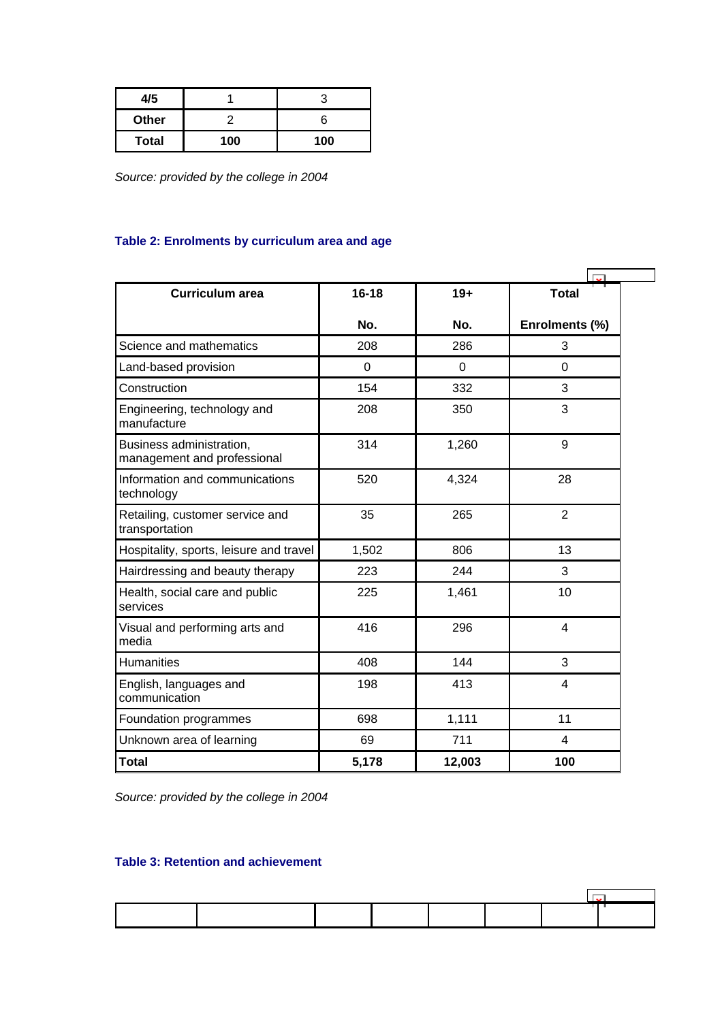<span id="page-48-0"></span>

| 4/5          |     |     |
|--------------|-----|-----|
| Other        |     |     |
| <b>Total</b> | 100 | 100 |

*Source: provided by the college in 2004*

# **Table 2: Enrolments by curriculum area and age**

| <b>Curriculum area</b>                                  | $16 - 18$ | $19+$    | <b>Total</b>            |
|---------------------------------------------------------|-----------|----------|-------------------------|
|                                                         | No.       | No.      | Enrolments (%)          |
| Science and mathematics                                 | 208       | 286      | 3                       |
| Land-based provision                                    | 0         | $\Omega$ | 0                       |
| Construction                                            | 154       | 332      | 3                       |
| Engineering, technology and<br>manufacture              | 208       | 350      | 3                       |
| Business administration,<br>management and professional | 314       | 1,260    | 9                       |
| Information and communications<br>technology            | 520       | 4,324    | 28                      |
| Retailing, customer service and<br>transportation       | 35        | 265      | $\overline{2}$          |
| Hospitality, sports, leisure and travel                 | 1,502     | 806      | 13                      |
| Hairdressing and beauty therapy                         | 223       | 244      | 3                       |
| Health, social care and public<br>services              | 225       | 1,461    | 10                      |
| Visual and performing arts and<br>media                 | 416       | 296      | $\overline{\mathbf{4}}$ |
| <b>Humanities</b>                                       | 408       | 144      | 3                       |
| English, languages and<br>communication                 | 198       | 413      | 4                       |
| Foundation programmes                                   | 698       | 1,111    | 11                      |
| Unknown area of learning                                | 69        | 711      | 4                       |
| <b>Total</b>                                            | 5,178     | 12,003   | 100                     |

*Source: provided by the college in 2004*

# **Table 3: Retention and achievement**

 $\overline{\phantom{0}}$ 

 $\blacksquare$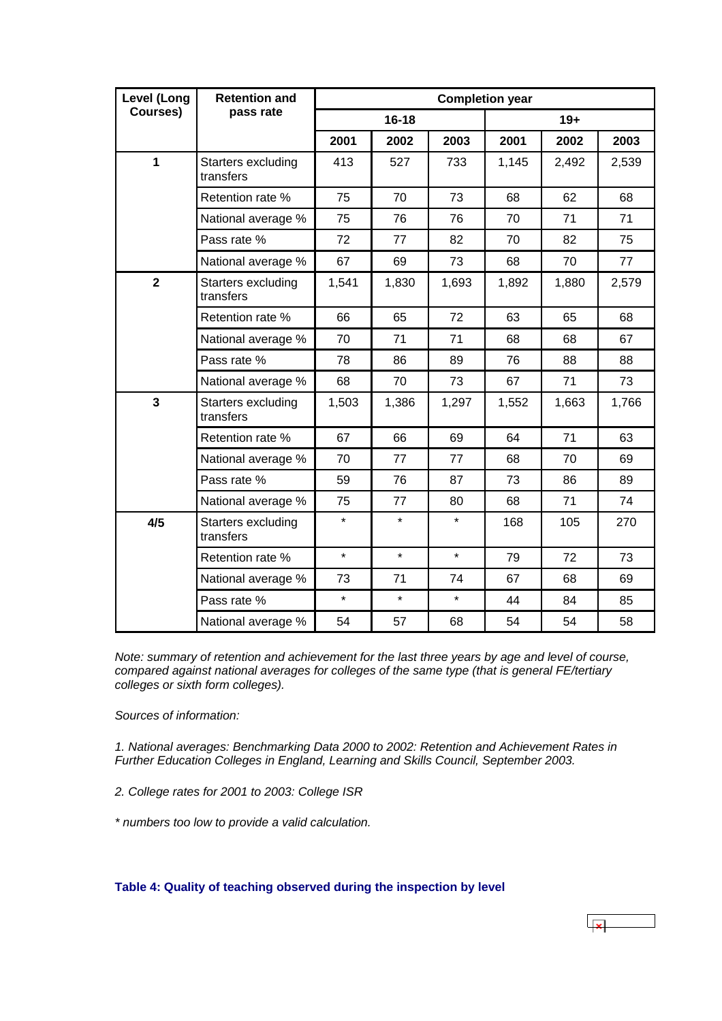<span id="page-49-0"></span>

| Level (Long             | <b>Retention and</b>            | <b>Completion year</b> |         |         |       |       |       |  |
|-------------------------|---------------------------------|------------------------|---------|---------|-------|-------|-------|--|
| Courses)                | pass rate                       | $16 - 18$              |         |         | $19+$ |       |       |  |
|                         |                                 | 2001                   | 2002    | 2003    | 2001  | 2002  | 2003  |  |
| $\mathbf{1}$            | Starters excluding<br>transfers | 413                    | 527     | 733     | 1,145 | 2,492 | 2,539 |  |
|                         | Retention rate %                | 75                     | 70      | 73      | 68    | 62    | 68    |  |
|                         | National average %              | 75                     | 76      | 76      | 70    | 71    | 71    |  |
|                         | Pass rate %                     | 72                     | 77      | 82      | 70    | 82    | 75    |  |
|                         | National average %              | 67                     | 69      | 73      | 68    | 70    | 77    |  |
| $\overline{\mathbf{2}}$ | Starters excluding<br>transfers | 1,541                  | 1,830   | 1,693   | 1,892 | 1,880 | 2,579 |  |
|                         | Retention rate %                | 66                     | 65      | 72      | 63    | 65    | 68    |  |
|                         | National average %              | 70                     | 71      | 71      | 68    | 68    | 67    |  |
|                         | Pass rate %                     | 78                     | 86      | 89      | 76    | 88    | 88    |  |
|                         | National average %              | 68                     | 70      | 73      | 67    | 71    | 73    |  |
| $\mathbf{3}$            | Starters excluding<br>transfers | 1,503                  | 1,386   | 1,297   | 1,552 | 1,663 | 1,766 |  |
|                         | Retention rate %                | 67                     | 66      | 69      | 64    | 71    | 63    |  |
|                         | National average %              | 70                     | 77      | 77      | 68    | 70    | 69    |  |
|                         | Pass rate %                     | 59                     | 76      | 87      | 73    | 86    | 89    |  |
|                         | National average %              | 75                     | 77      | 80      | 68    | 71    | 74    |  |
| 4/5                     | Starters excluding<br>transfers | $\star$                | $\star$ | $\star$ | 168   | 105   | 270   |  |
|                         | Retention rate %                | $\star$                | $\star$ | $\star$ | 79    | 72    | 73    |  |
|                         | National average %              | 73                     | 71      | 74      | 67    | 68    | 69    |  |
|                         | Pass rate %                     | $\star$                | $\star$ | $\star$ | 44    | 84    | 85    |  |
|                         | National average %              | 54                     | 57      | 68      | 54    | 54    | 58    |  |

*Note: summary of retention and achievement for the last three years by age and level of course, compared against national averages for colleges of the same type (that is general FE/tertiary colleges or sixth form colleges).*

*Sources of information:* 

*1. National averages: Benchmarking Data 2000 to 2002: Retention and Achievement Rates in Further Education Colleges in England, Learning and Skills Council, September 2003.*

 $\overline{\mathbf{r}}$ 

*2. College rates for 2001 to 2003: College ISR*

*\* numbers too low to provide a valid calculation.*

**Table 4: Quality of teaching observed during the inspection by level**